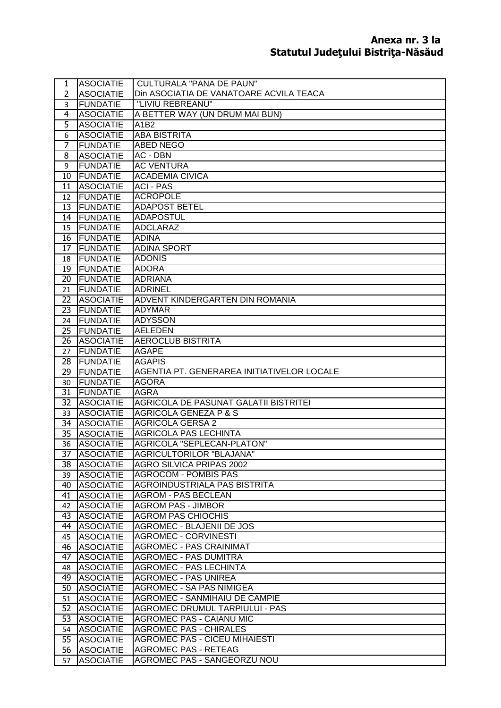| $\mathbf{1}$          | <b>ASOCIATIE</b>                     | <b>CULTURALA "PANA DE PAUN"</b>                                     |
|-----------------------|--------------------------------------|---------------------------------------------------------------------|
| $\overline{2}$        | <b>ASOCIATIE</b>                     | Din ASOCIATIA DE VANATOARE ACVILA TEACA                             |
| 3                     | <b>FUNDATIE</b>                      | "LIVIU REBREANU"                                                    |
| $\overline{4}$        | <b>ASOCIATIE</b>                     | A BETTER WAY (UN DRUM MAI BUN)                                      |
| 5                     | <b>ASOCIATIE</b>                     | A1B2                                                                |
| 6                     | <b>ASOCIATIE</b>                     | <b>ABA BISTRITA</b>                                                 |
| 7                     | <b>FUNDATIE</b>                      | <b>ABED NEGO</b>                                                    |
| 8                     | <b>ASOCIATIE</b>                     | AC - DBN                                                            |
| 9                     | <b>FUNDATIE</b>                      | <b>AC VENTURA</b>                                                   |
| 10                    | FUNDATIE                             | <b>ACADEMIA CIVICA</b>                                              |
| 11                    | <b>ASOCIATIE</b>                     | <b>ACI - PAS</b>                                                    |
| 12 <sup>12</sup>      | <b>FUNDATIE</b>                      | <b>ACROPOLE</b>                                                     |
| 13                    | FUNDATIE                             | <b>ADAPOST BETEL</b>                                                |
| 14                    | FUNDATIE                             | <b>ADAPOSTUL</b>                                                    |
| 15                    | FUNDATIE                             | ADCLARAZ                                                            |
| 16                    | FUNDATIE                             | <b>ADINA</b>                                                        |
| 17                    | FUNDATIE                             | <b>ADINA SPORT</b>                                                  |
| 18                    | FUNDATIE                             | <b>ADONIS</b>                                                       |
| 19                    | FUNDATIE                             | <b>ADORA</b>                                                        |
| 20                    | FUNDATIE                             | <b>ADRIANA</b>                                                      |
| 21                    | FUNDATIE<br><b>ASOCIATIE</b>         | <b>ADRINEL</b>                                                      |
| $\overline{22}$<br>23 | FUNDATIE                             | ADVENT KINDERGARTEN DIN ROMANIA<br><b>ADYMAR</b>                    |
| 24                    | FUNDATIE                             | <b>ADYSSON</b>                                                      |
| 25 <sub>1</sub>       | <b>FUNDATIE</b>                      | <b>AELEDEN</b>                                                      |
| 26                    | <b>ASOCIATIE</b>                     | <b>AEROCLUB BISTRITA</b>                                            |
| 27                    | FUNDATIE                             | <b>AGAPE</b>                                                        |
| 28                    | FUNDATIE                             | <b>AGAPIS</b>                                                       |
| 29                    | FUNDATIE                             | AGENTIA PT. GENERAREA INITIATIVELOR LOCALE                          |
| 30                    | <b>FUNDATIE</b>                      | <b>AGORA</b>                                                        |
| 31                    | FUNDATIE                             | <b>AGRA</b>                                                         |
| 32                    | <b>ASOCIATIE</b>                     | <b>AGRICOLA DE PASUNAT GALATII BISTRITEI</b>                        |
| 33                    | <b>ASOCIATIE</b>                     | <b>AGRICOLA GENEZA P &amp; S</b>                                    |
| 34                    | <b>ASOCIATIE</b>                     | <b>AGRICOLA GERSA 2</b>                                             |
| 35                    |                                      |                                                                     |
|                       | <b>ASOCIATIE</b>                     | <b>AGRICOLA PAS LECHINTA</b>                                        |
| 36                    | <b>ASOCIATIE</b>                     | <b>AGRICOLA "SEPLECAN-PLATON"</b>                                   |
| 37                    | <b>IASOCIATIE</b>                    | AGRICULTORILOR "BLAJANA"                                            |
|                       | 38 ASOCIATIE                         | AGRO SILVICA PRIPAS 2002                                            |
| 39                    | <b>ASOCIATIE</b>                     | <b>AGROCOM - POMBIS PAS</b>                                         |
|                       | 40 ASOCIATIE                         | <b>AGROINDUSTRIALA PAS BISTRITA</b>                                 |
| 41                    | <b>ASOCIATIE</b>                     | <b>AGROM - PAS BECLEAN</b>                                          |
| 42                    | <b>ASOCIATIE</b>                     | <b>AGROM PAS - JIMBOR</b>                                           |
| 43                    | <b>ASOCIATIE</b>                     | <b>AGROM PAS CHIOCHIS</b>                                           |
| 44                    | <b>ASOCIATIE</b>                     | <b>AGROMEC - BLAJENII DE JOS</b>                                    |
| 45                    | <b>ASOCIATIE</b>                     | <b>AGROMEC - CORVINESTI</b>                                         |
| 46                    | <b>ASOCIATIE</b>                     | <b>AGROMEC - PAS CRAINIMAT</b>                                      |
| 47                    | <b>ASOCIATIE</b>                     | <b>AGROMEC - PAS DUMITRA</b>                                        |
| 48                    | <b>ASOCIATIE</b>                     | <b>AGROMEC - PAS LECHINTA</b>                                       |
|                       | 49 ASOCIATIE                         | <b>AGROMEC - PAS UNIREA</b>                                         |
|                       | 50 ASOCIATIE                         | <b>AGROMEC - SA PAS NIMIGEA</b>                                     |
| 51                    | <b>ASOCIATIE</b>                     | <b>AGROMEC - SANMIHAIU DE CAMPIE</b>                                |
| 52                    | <b>ASOCIATIE</b>                     | AGROMEC DRUMUL TARPIULUI - PAS                                      |
| 53                    | <b>ASOCIATIE</b>                     | <b>AGROMEC PAS - CAIANU MIC</b>                                     |
| 54                    | <b>ASOCIATIE</b>                     | <b>AGROMEC PAS - CHIRALES</b>                                       |
| 55<br>56              | <b>ASOCIATIE</b><br><b>ASOCIATIE</b> | <b>AGROMEC PAS - CICEU MIHAIESTI</b><br><b>AGROMEC PAS - RETEAG</b> |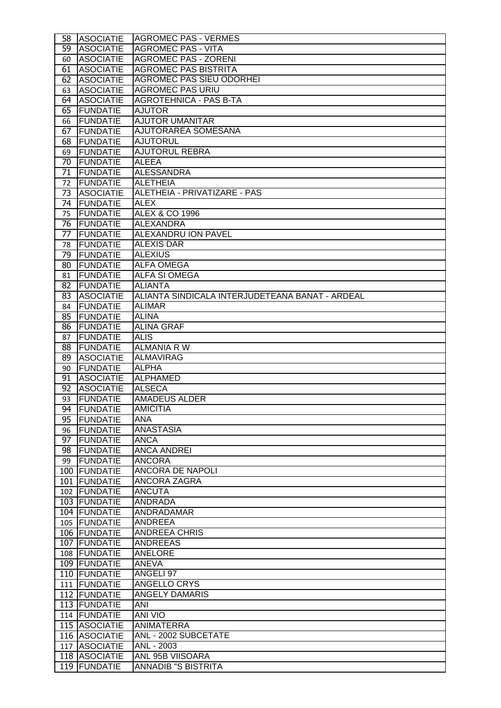|                 | 58 ASOCIATIE     | <b>AGROMEC PAS - VERMES</b>                     |
|-----------------|------------------|-------------------------------------------------|
| 59              | <b>ASOCIATIE</b> | <b>AGROMEC PAS - VITA</b>                       |
| 60              | <b>ASOCIATIE</b> | <b>AGROMEC PAS - ZORENI</b>                     |
| 61              | <b>ASOCIATIE</b> | <b>AGROMEC PAS BISTRITA</b>                     |
| 62              | <b>ASOCIATIE</b> | <b>AGROMEC PAS SIEU ODORHEI</b>                 |
| 63              | <b>ASOCIATIE</b> | <b>AGROMEC PAS URIU</b>                         |
| 64              | <b>ASOCIATIE</b> | <b>AGROTEHNICA - PAS B-TA</b>                   |
| 65              | FUNDATIE         | <b>AJUTOR</b>                                   |
| 66              | <b>FUNDATIE</b>  | <b>AJUTOR UMANITAR</b>                          |
| 67              | <b>FUNDATIE</b>  | AJUTORAREA SOMESANA                             |
| 68              | FUNDATIE         | <b>AJUTORUL</b>                                 |
| 69              | FUNDATIE         | <b>AJUTORUL REBRA</b>                           |
| 70              | FUNDATIE         | <b>ALEEA</b>                                    |
| 71              | FUNDATIE         | <b>ALESSANDRA</b>                               |
| 72              | FUNDATIE         | <b>ALETHEIA</b>                                 |
| 73              | <b>ASOCIATIE</b> | ALETHEIA - PRIVATIZARE - PAS                    |
| 74              | FUNDATIE         | <b>ALEX</b>                                     |
| 75              | FUNDATIE         | <b>ALEX &amp; CO 1996</b>                       |
| 76              | FUNDATIE         | <b>ALEXANDRA</b>                                |
| $\overline{77}$ | FUNDATIE         | <b>ALEXANDRU ION PAVEL</b>                      |
| 78              | FUNDATIE         | <b>ALEXIS DAR</b>                               |
| 79              | <b>FUNDATIE</b>  | <b>ALEXIUS</b>                                  |
| 80              | <b>FUNDATIE</b>  | <b>ALFA OMEGA</b>                               |
| 81              | FUNDATIE         | <b>ALFA SI OMEGA</b>                            |
| 82              | FUNDATIE         | <b>ALIANTA</b>                                  |
| 83              | <b>ASOCIATIE</b> | ALIANTA SINDICALA INTERJUDETEANA BANAT - ARDEAL |
| 84              | FUNDATIE         | <b>ALIMAR</b>                                   |
| 85              | FUNDATIE         | <b>ALINA</b>                                    |
| 86              | FUNDATIE         | <b>ALINA GRAF</b>                               |
| 87              | FUNDATIE         | <b>ALIS</b>                                     |
| 88              | <b>FUNDATIE</b>  | <b>ALMANIA R W</b>                              |
| 89              | <b>ASOCIATIE</b> | <b>ALMAVIRAG</b>                                |
| 90              | FUNDATIE         | <b>ALPHA</b>                                    |
| 91              | <b>ASOCIATIE</b> | <b>ALPHAMED</b>                                 |
| 92              | <b>ASOCIATIE</b> | <b>ALSECA</b>                                   |
| 93              | <b>FUNDATIE</b>  | <b>AMADEUS ALDER</b>                            |
| 94              | <b>IFUNDATIE</b> | <b>AMICITIA</b>                                 |
| 95              | FUNDATIE         | ANA                                             |
| 96              | FUNDATIE         | <b>ANASTASIA</b>                                |
| 97              | FUNDATIE         | <b>ANCA</b>                                     |
| 98              | FUNDATIE         | <b>ANCA ANDREI</b>                              |
| 99              | FUNDATIE         | <b>ANCORA</b>                                   |
|                 | 100 FUNDATIE     | <b>ANCORA DE NAPOLI</b>                         |
|                 | 101   FUNDATIE   | ANCORA ZAGRA                                    |
|                 | 102 FUNDATIE     | <b>ANCUTA</b>                                   |
|                 | 103 FUNDATIE     | <b>ANDRADA</b>                                  |
|                 | 104 FUNDATIE     | ANDRADAMAR                                      |
|                 | 105 FUNDATIE     | <b>ANDREEA</b>                                  |
|                 | 106 FUNDATIE     | <b>ANDREEA CHRIS</b>                            |
|                 | 107 FUNDATIE     | <b>ANDREEAS</b>                                 |
|                 | 108 FUNDATIE     | <b>ANELORE</b>                                  |
|                 | 109 FUNDATIE     | ANEVA                                           |
|                 | 110 FUNDATIE     | ANGELI 97                                       |
|                 | 111 FUNDATIE     | ANGELLO CRYS                                    |
|                 | 112 FUNDATIE     | <b>ANGELY DAMARIS</b>                           |
|                 | 113 FUNDATIE     | ANI                                             |
|                 | 114 FUNDATIE     | <b>ANI VIO</b>                                  |
|                 | 115 ASOCIATIE    | ANIMATERRA                                      |
|                 | 116 ASOCIATIE    | ANL - 2002 SUBCETATE                            |
|                 | 117 ASOCIATIE    | ANL - 2003                                      |
|                 | 118 ASOCIATIE    | ANL 95B VIISOARA                                |
|                 | 119 FUNDATIE     | <b>ANNADIB "S BISTRITA</b>                      |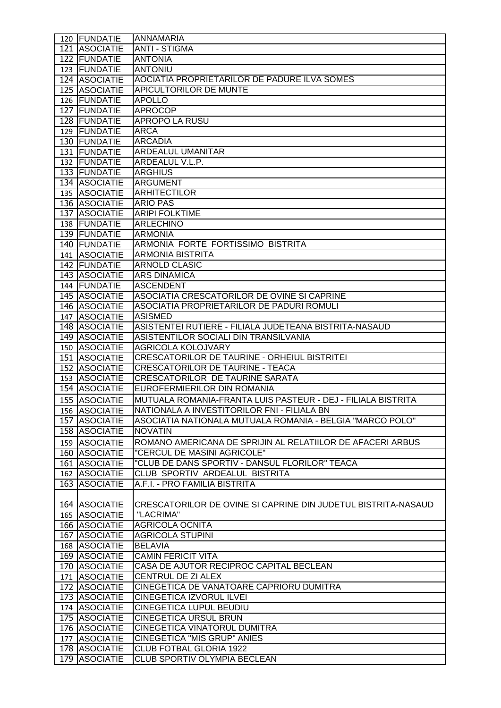| 120 FUNDATIE  | <b>ANNAMARIA</b>                                              |
|---------------|---------------------------------------------------------------|
| 121 ASOCIATIE | <b>ANTI - STIGMA</b>                                          |
| 122 FUNDATIE  | <b>ANTONIA</b>                                                |
| 123 FUNDATIE  | <b>ANTONIU</b>                                                |
| 124 ASOCIATIE | AOCIATIA PROPRIETARILOR DE PADURE ILVA SOMES                  |
| 125 ASOCIATIE | <b>APICULTORILOR DE MUNTE</b>                                 |
| 126 FUNDATIE  | <b>APOLLO</b>                                                 |
| 127 FUNDATIE  | <b>APROCOP</b>                                                |
| 128 FUNDATIE  | <b>APROPO LA RUSU</b>                                         |
| 129 FUNDATIE  | <b>ARCA</b>                                                   |
| 130 FUNDATIE  | <b>ARCADIA</b>                                                |
| 131 FUNDATIE  | <b>ARDEALUL UMANITAR</b>                                      |
| 132 FUNDATIE  | ARDEALUL V.L.P.                                               |
| 133 FUNDATIE  | <b>ARGHIUS</b>                                                |
| 134 ASOCIATIE | <b>ARGUMENT</b>                                               |
| 135 ASOCIATIE | <b>ARHITECTILOR</b>                                           |
| 136 ASOCIATIE | <b>ARIO PAS</b>                                               |
| 137 ASOCIATIE | <b>ARIPI FOLKTIME</b>                                         |
| 138 FUNDATIE  | <b>ARLECHINO</b>                                              |
| 139 FUNDATIE  | <b>ARMONIA</b>                                                |
| 140 FUNDATIE  | ARMONIA FORTE FORTISSIMO BISTRITA                             |
| 141 ASOCIATIE | <b>ARMONIA BISTRITA</b>                                       |
| 142 FUNDATIE  | <b>ARNOLD CLASIC</b>                                          |
| 143 ASOCIATIE | <b>ARS DINAMICA</b>                                           |
| 144 FUNDATIE  | <b>ASCENDENT</b>                                              |
| 145 ASOCIATIE | ASOCIATIA CRESCATORILOR DE OVINE SI CAPRINE                   |
| 146 ASOCIATIE | ASOCIATIA PROPRIETARILOR DE PADURI ROMULI                     |
| 147 ASOCIATIE | <b>ASISMED</b>                                                |
| 148 ASOCIATIE | ASISTENTEI RUTIERE - FILIALA JUDETEANA BISTRITA-NASAUD        |
| 149 ASOCIATIE | ASISTENTILOR SOCIALI DIN TRANSILVANIA                         |
| 150 ASOCIATIE | <b>AGRICOLA KOLOJVARY</b>                                     |
| 151 ASOCIATIE | CRESCATORILOR DE TAURINE - ORHEIUL BISTRITEI                  |
| 152 ASOCIATIE | <b>CRESCATORILOR DE TAURINE - TEACA</b>                       |
| 153 ASOCIATIE | <b>CRESCATORILOR DE TAURINE SARATA</b>                        |
| 154 ASOCIATIE | EUROFERMIERILOR DIN ROMANIA                                   |
| 155 ASOCIATIE | MUTUALA ROMANIA-FRANTA LUIS PASTEUR - DEJ - FILIALA BISTRITA  |
| 156 ASOCIATIE | NATIONALA A INVESTITORILOR FNI - FILIALA BN                   |
| 157 ASOCIATIE | ASOCIATIA NATIONALA MUTUALA ROMANIA - BELGIA "MARCO POLO"     |
| 158 ASOCIATIE | <b>NOVATIN</b>                                                |
| 159 ASOCIATIE | ROMANO AMERICANA DE SPRIJIN AL RELATIILOR DE AFACERI ARBUS    |
| 160 ASOCIATIE | "CERCUL DE MASINI AGRICOLE"                                   |
| 161 ASOCIATIE | "CLUB DE DANS SPORTIV - DANSUL FLORILOR" TEACA                |
| 162 ASOCIATIE | CLUB SPORTIV ARDEALUL BISTRITA                                |
| 163 ASOCIATIE | A.F.I. - PRO FAMILIA BISTRITA                                 |
|               |                                                               |
| 164 ASOCIATIE | CRESCATORILOR DE OVINE SI CAPRINE DIN JUDETUL BISTRITA-NASAUD |
| 165 ASOCIATIE | "LACRIMA"                                                     |
| 166 ASOCIATIE | <b>AGRICOLA OCNITA</b>                                        |
| 167 ASOCIATIE | <b>AGRICOLA STUPINI</b>                                       |
| 168 ASOCIATIE | <b>BELAVIA</b>                                                |
| 169 ASOCIATIE | <b>CAMIN FERICIT VITA</b>                                     |
| 170 ASOCIATIE | CASA DE AJUTOR RECIPROC CAPITAL BECLEAN                       |
| 171 ASOCIATIE | CENTRUL DE ZI ALEX                                            |
| 172 ASOCIATIE | CINEGETICA DE VANATOARE CAPRIORU DUMITRA                      |
| 173 ASOCIATIE | CINEGETICA IZVORUL ILVEI                                      |
| 174 ASOCIATIE | <b>CINEGETICA LUPUL BEUDIU</b>                                |
| 175 ASOCIATIE | <b>CINEGETICA URSUL BRUN</b>                                  |
| 176 ASOCIATIE | CINEGETICA VINATORUL DUMITRA                                  |
| 177 ASOCIATIE | <b>CINEGETICA "MIS GRUP" ANIES</b>                            |
| 178 ASOCIATIE | CLUB FOTBAL GLORIA 1922                                       |
| 179 ASOCIATIE | CLUB SPORTIV OLYMPIA BECLEAN                                  |
|               |                                                               |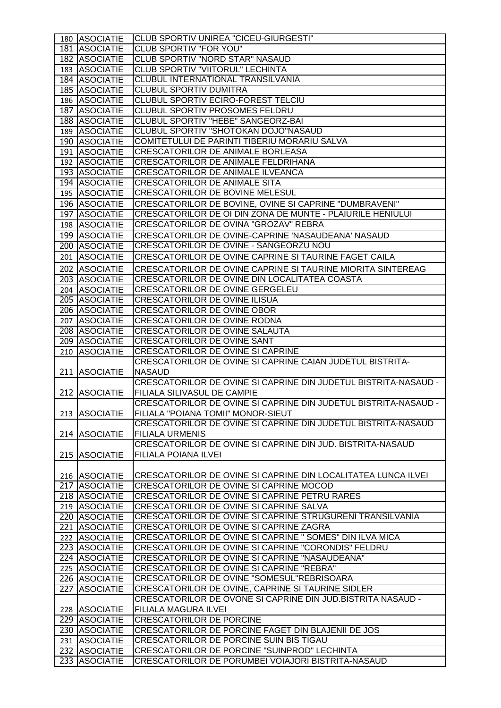| 180 ASOCIATIE                  | CLUB SPORTIV UNIREA "CICEU-GIURGESTI"                                                                 |
|--------------------------------|-------------------------------------------------------------------------------------------------------|
| 181 ASOCIATIE                  | <b>CLUB SPORTIV "FOR YOU"</b>                                                                         |
| 182 ASOCIATIE                  | <b>CLUB SPORTIV "NORD STAR" NASAUD</b>                                                                |
| 183 ASOCIATIE                  | CLUB SPORTIV "VIITORUL" LECHINTA                                                                      |
| 184 ASOCIATIE                  | CLUBUL INTERNATIONAL TRANSILVANIA                                                                     |
| 185 ASOCIATIE                  | <b>CLUBUL SPORTIV DUMITRA</b>                                                                         |
| 186 ASOCIATIE                  | CLUBUL SPORTIV ECIRO-FOREST TELCIU                                                                    |
| 187 ASOCIATIE                  | CLUBUL SPORTIV PROSOMES FELDRU                                                                        |
| 188 ASOCIATIE                  | CLUBUL SPORTIV "HEBE" SANGEORZ-BAI                                                                    |
| 189 ASOCIATIE                  | CLUBUL SPORTIV "SHOTOKAN DOJO"NASAUD                                                                  |
| 190 ASOCIATIE                  | COMITETULUI DE PARINTI TIBERIU MORARIU SALVA                                                          |
| 191 ASOCIATIE                  | <b>CRESCATORILOR DE ANIMALE BORLEASA</b>                                                              |
| 192 ASOCIATIE                  | <b>CRESCATORILOR DE ANIMALE FELDRIHANA</b>                                                            |
| 193 ASOCIATIE                  | <b>CRESCATORILOR DE ANIMALE ILVEANCA</b>                                                              |
| 194 ASOCIATIE                  | <b>CRESCATORILOR DE ANIMALE SITA</b>                                                                  |
|                                | <b>CRESCATORILOR DE BOVINE MELESUL</b>                                                                |
| 195 ASOCIATIE                  |                                                                                                       |
| 196 ASOCIATIE                  | CRESCATORILOR DE BOVINE, OVINE SI CAPRINE "DUMBRAVENI"                                                |
| 197 ASOCIATIE                  | CRESCATORILOR DE OI DIN ZONA DE MUNTE - PLAIURILE HENIULUI                                            |
| 198 ASOCIATIE                  | CRESCATORILOR DE OVINA "GROZAV" REBRA                                                                 |
| 199 ASOCIATIE                  | CRESCATORILOR DE OVINE-CAPRINE 'NASAUDEANA' NASAUD                                                    |
| 200 ASOCIATIE                  | CRESCATORILOR DE OVINE - SANGEORZU NOU                                                                |
| 201 ASOCIATIE                  | CRESCATORILOR DE OVINE CAPRINE SI TAURINE FAGET CAILA                                                 |
| 202 ASOCIATIE                  | CRESCATORILOR DE OVINE CAPRINE SI TAURINE MIORITA SINTEREAG                                           |
| 203 ASOCIATIE                  | CRESCATORILOR DE OVINE DIN LOCALITATEA COASTA                                                         |
| 204 ASOCIATIE                  | CRESCATORILOR DE OVINE GERGELEU                                                                       |
| 205 ASOCIATIE                  | <b>CRESCATORILOR DE OVINE ILISUA</b>                                                                  |
| 206 ASOCIATIE                  | CRESCATORILOR DE OVINE OBOR                                                                           |
| 207 ASOCIATIE                  | CRESCATORILOR DE OVINE RODNA                                                                          |
| 208 ASOCIATIE                  | CRESCATORILOR DE OVINE SALAUTA                                                                        |
| 209 ASOCIATIE                  | CRESCATORILOR DE OVINE SANT                                                                           |
| 210 ASOCIATIE                  | <b>CRESCATORILOR DE OVINE SI CAPRINE</b>                                                              |
|                                | CRESCATORILOR DE OVINE SI CAPRINE CAIAN JUDETUL BISTRITA-                                             |
| 211 ASOCIATIE                  | <b>NASAUD</b>                                                                                         |
|                                |                                                                                                       |
|                                | CRESCATORILOR DE OVINE SI CAPRINE DIN JUDETUL BISTRITA-NASAUD -                                       |
| 212 ASOCIATIE                  | <b>FILIALA SILIVASUL DE CAMPIE</b>                                                                    |
|                                | CRESCATORILOR DE OVINE SI CAPRINE DIN JUDETUL BISTRITA-NASAUD -                                       |
| 213 ASOCIATIE                  | FILIALA "POIANA TOMII" MONOR-SIEUT                                                                    |
|                                | CRESCATORILOR DE OVINE SI CAPRINE DIN JUDETUL BISTRITA-NASAUD                                         |
|                                | <b>FILIALA URMENIS</b>                                                                                |
| 214 ASOCIATIE                  | CRESCATORILOR DE OVINE SI CAPRINE DIN JUD. BISTRITA-NASAUD                                            |
| 215 ASOCIATIE                  | FILIALA POIANA ILVEI                                                                                  |
|                                |                                                                                                       |
|                                | CRESCATORILOR DE OVINE SI CAPRINE DIN LOCALITATEA LUNCA ILVEI                                         |
| 216 ASOCIATIE<br>217 ASOCIATIE |                                                                                                       |
|                                | CRESCATORILOR DE OVINE SI CAPRINE MOCOD                                                               |
| 218 ASOCIATIE                  | CRESCATORILOR DE OVINE SI CAPRINE PETRU RARES                                                         |
| 219 ASOCIATIE                  | CRESCATORILOR DE OVINE SI CAPRINE SALVA                                                               |
| 220 ASOCIATIE                  | CRESCATORILOR DE OVINE SI CAPRINE STRUGURENI TRANSILVANIA                                             |
| 221 ASOCIATIE                  | CRESCATORILOR DE OVINE SI CAPRINE ZAGRA                                                               |
| 222 ASOCIATIE                  | CRESCATORILOR DE OVINE SI CAPRINE " SOMES" DIN ILVA MICA                                              |
| 223 ASOCIATIE                  | CRESCATORILOR DE OVINE SI CAPRINE "CORONDIS" FELDRU<br>CRESCATORILOR DE OVINE SI CAPRINE "NASAUDEANA" |
| 224 ASOCIATIE                  |                                                                                                       |
| 225 ASOCIATIE                  | CRESCATORILOR DE OVINE SI CAPRINE "REBRA"                                                             |
| 226 ASOCIATIE                  | CRESCATORILOR DE OVINE "SOMESUL"REBRISOARA                                                            |
| 227 ASOCIATIE                  | CRESCATORILOR DE OVINE, CAPRINE SI TAURINE SIDLER                                                     |
|                                | CRESCATORILOR DE OVONE SI CAPRINE DIN JUD.BISTRITA NASAUD -                                           |
| 228 ASOCIATIE                  | FILIALA MAGURA ILVEI                                                                                  |
| 229 ASOCIATIE                  | <b>CRESCATORILOR DE PORCINE</b>                                                                       |
| 230 ASOCIATIE                  | CRESCATORILOR DE PORCINE FAGET DIN BLAJENII DE JOS                                                    |
| 231 ASOCIATIE                  | CRESCATORILOR DE PORCINE SUIN BIS TIGAU                                                               |
| 232 ASOCIATIE<br>233 ASOCIATIE | CRESCATORILOR DE PORCINE "SUINPROD" LECHINTA<br>CRESCATORILOR DE PORUMBEI VOIAJORI BISTRITA-NASAUD    |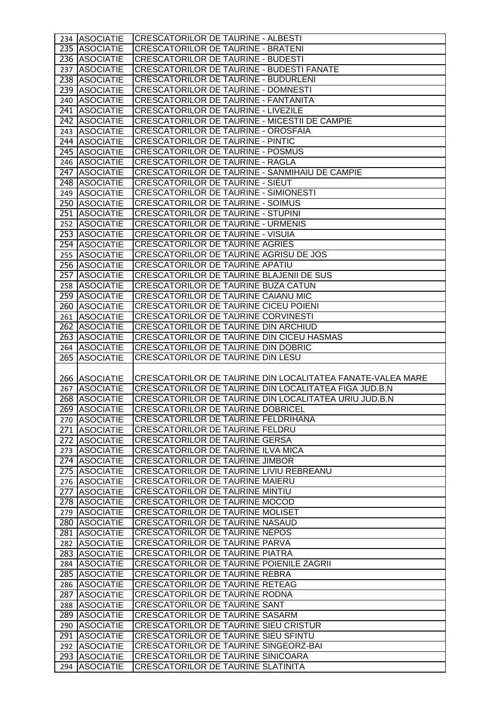| 234 ASOCIATIE                  | <b>CRESCATORILOR DE TAURINE - ALBESTI</b>                                              |
|--------------------------------|----------------------------------------------------------------------------------------|
| 235 ASOCIATIE                  | CRESCATORILOR DE TAURINE - BRATENI                                                     |
| 236 ASOCIATIE                  | <b>CRESCATORILOR DE TAURINE - BUDESTI</b>                                              |
| 237 ASOCIATIE                  | CRESCATORILOR DE TAURINE - BUDESTI FANATE                                              |
| 238 ASOCIATIE                  | CRESCATORILOR DE TAURINE - BUDURLENI                                                   |
| 239 ASOCIATIE                  | <b>CRESCATORILOR DE TAURINE - DOMNESTI</b>                                             |
| 240 ASOCIATIE                  | CRESCATORILOR DE TAURINE - FANTANITA                                                   |
| 241 ASOCIATIE                  | <b>CRESCATORILOR DE TAURINE - LIVEZILE</b>                                             |
| 242 ASOCIATIE                  | CRESCATORILOR DE TAURINE - MICESTII DE CAMPIE                                          |
| 243 ASOCIATIE                  | CRESCATORILOR DE TAURINE - OROSFAIA                                                    |
| 244 ASOCIATIE                  | CRESCATORILOR DE TAURINE - PINTIC                                                      |
| 245 ASOCIATIE                  | <b>CRESCATORILOR DE TAURINE - POSMUS</b>                                               |
| 246 ASOCIATIE                  | <b>CRESCATORILOR DE TAURINE - RAGLA</b>                                                |
| 247 ASOCIATIE                  | CRESCATORILOR DE TAURINE - SANMIHAIU DE CAMPIE                                         |
| 248 ASOCIATIE                  | <b>CRESCATORILOR DE TAURINE - SIEUT</b>                                                |
| 249 ASOCIATIE                  | <b>CRESCATORILOR DE TAURINE - SIMIONESTI</b>                                           |
| 250 ASOCIATIE                  | <b>CRESCATORILOR DE TAURINE - SOIMUS</b>                                               |
| 251 ASOCIATIE                  | <b>CRESCATORILOR DE TAURINE - STUPINI</b>                                              |
| 252 ASOCIATIE                  | <b>CRESCATORILOR DE TAURINE - URMENIS</b>                                              |
| 253 ASOCIATIE                  | <b>CRESCATORILOR DE TAURINE - VISUIA</b>                                               |
| 254 ASOCIATIE                  | <b>CRESCATORILOR DE TAURINE AGRIES</b>                                                 |
| 255 ASOCIATIE                  | CRESCATORILOR DE TAURINE AGRISU DE JOS                                                 |
| 256 ASOCIATIE                  | <b>CRESCATORILOR DE TAURINE APATIU</b>                                                 |
| 257 ASOCIATIE                  | CRESCATORILOR DE TAURINE BLAJENII DE SUS                                               |
| 258 ASOCIATIE                  | CRESCATORILOR DE TAURINE BUZA CATUN                                                    |
| 259 ASOCIATIE                  | CRESCATORILOR DE TAURINE CAIANU MIC                                                    |
| 260 ASOCIATIE                  | CRESCATORILOR DE TAURINE CICEU POIENI                                                  |
| 261 ASOCIATIE                  | CRESCATORILOR DE TAURINE CORVINESTI                                                    |
| 262 ASOCIATIE                  | CRESCATORILOR DE TAURINE DIN ARCHIUD                                                   |
| 263 ASOCIATIE                  | CRESCATORILOR DE TAURINE DIN CICEU HASMAS                                              |
| 264 ASOCIATIE                  | CRESCATORILOR DE TAURINE DIN DOBRIC                                                    |
|                                |                                                                                        |
|                                |                                                                                        |
| 265 ASOCIATIE                  | CRESCATORILOR DE TAURINE DIN LESU                                                      |
|                                |                                                                                        |
| 266 ASOCIATIE                  | CRESCATORILOR DE TAURINE DIN LOCALITATEA FANATE-VALEA MARE                             |
| 267 ASOCIATIE                  | CRESCATORILOR DE TAURINE DIN LOCALITATEA FIGA JUD.B.N                                  |
| 268 ASOCIATIE                  | CRESCATORILOR DE TAURINE DIN LOCALITATEA URIU JUD.B.N                                  |
| 269 ASOCIATIE                  | <b>CRESCATORILOR DE TAURINE DOBRICEL</b>                                               |
| 270 ASOCIATIE                  | CRESCATORILOR DE TAURINE FELDRIHANA                                                    |
| 271 ASOCIATIE                  | CRESCATORILOR DE TAURINE FELDRU                                                        |
| 272 ASOCIATIE                  | <b>CRESCATORILOR DE TAURINE GERSA</b>                                                  |
| 273 ASOCIATIE                  | <b>CRESCATORILOR DE TAURINE ILVA MICA</b>                                              |
| 274 ASOCIATIE                  | CRESCATORILOR DE TAURINE JIMBOR                                                        |
| 275 ASOCIATIE                  | CRESCATORILOR DE TAURINE LIVIU REBREANU                                                |
| 276 ASOCIATIE                  | <b>CRESCATORILOR DE TAURINE MAIERU</b>                                                 |
| 277 ASOCIATIE                  | <b>CRESCATORILOR DE TAURINE MINTIU</b>                                                 |
| 278 ASOCIATIE                  | <b>CRESCATORILOR DE TAURINE MOCOD</b>                                                  |
| 279 ASOCIATIE                  | CRESCATORILOR DE TAURINE MOLISET                                                       |
| 280 ASOCIATIE                  | <b>CRESCATORILOR DE TAURINE NASAUD</b>                                                 |
| 281 ASOCIATIE                  | CRESCATORILOR DE TAURINE NEPOS                                                         |
| 282 ASOCIATIE                  | CRESCATORILOR DE TAURINE PARVA                                                         |
| 283 ASOCIATIE                  | <b>CRESCATORILOR DE TAURINE PIATRA</b>                                                 |
| 284 ASOCIATIE                  | CRESCATORILOR DE TAURINE POIENILE ZAGRII                                               |
| 285 ASOCIATIE                  | <b>CRESCATORILOR DE TAURINE REBRA</b>                                                  |
| 286 ASOCIATIE                  | <b>CRESCATORILOR DE TAURINE RETEAG</b>                                                 |
| 287 ASOCIATIE                  | CRESCATORILOR DE TAURINE RODNA                                                         |
| 288 ASOCIATIE                  | <b>CRESCATORILOR DE TAURINE SANT</b>                                                   |
| 289 ASOCIATIE                  | <b>CRESCATORILOR DE TAURINE SASARM</b>                                                 |
| 290 ASOCIATIE                  | <b>CRESCATORILOR DE TAURINE SIEU CRISTUR</b>                                           |
| 291 ASOCIATIE                  | CRESCATORILOR DE TAURINE SIEU SFINTU                                                   |
| 292 ASOCIATIE                  | CRESCATORILOR DE TAURINE SINGEORZ-BAI                                                  |
| 293 ASOCIATIE<br>294 ASOCIATIE | <b>CRESCATORILOR DE TAURINE SINICOARA</b><br><b>CRESCATORILOR DE TAURINE SLATINITA</b> |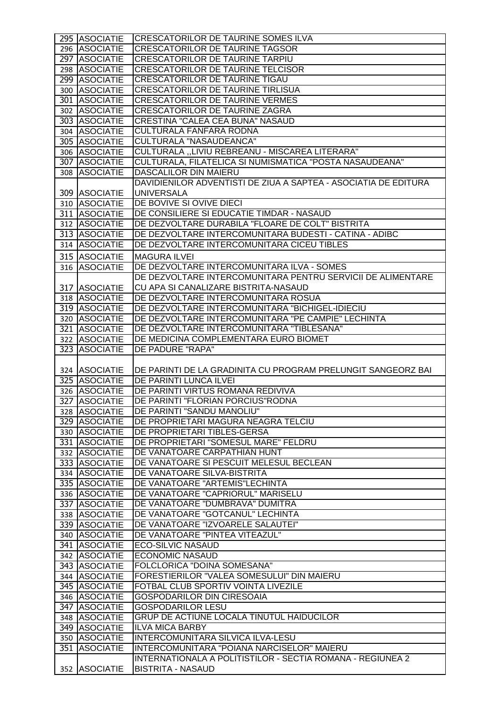| 295 ASOCIATIE                    | <b>CRESCATORILOR DE TAURINE SOMES ILVA</b>                                                               |
|----------------------------------|----------------------------------------------------------------------------------------------------------|
| 296 ASOCIATIE                    | <b>CRESCATORILOR DE TAURINE TAGSOR</b>                                                                   |
| 297 ASOCIATIE                    | <b>CRESCATORILOR DE TAURINE TARPIU</b>                                                                   |
| 298 ASOCIATIE                    | <b>CRESCATORILOR DE TAURINE TELCISOR</b>                                                                 |
| 299 ASOCIATIE                    | CRESCATORILOR DE TAURINE TIGAU                                                                           |
| 300 ASOCIATIE                    | <b>CRESCATORILOR DE TAURINE TIRLISUA</b>                                                                 |
| 301 ASOCIATIE                    | <b>CRESCATORILOR DE TAURINE VERMES</b>                                                                   |
| 302 ASOCIATIE                    | CRESCATORILOR DE TAURINE ZAGRA                                                                           |
| 303 ASOCIATIE                    | <b>CRESTINA "CALEA CEA BUNA" NASAUD</b>                                                                  |
| 304 ASOCIATIE                    | CULTURALA FANFARA RODNA                                                                                  |
| 305 ASOCIATIE                    | <b>CULTURALA "NASAUDEANCA"</b>                                                                           |
| 306 ASOCIATIE                    | CULTURALA "LIVIU REBREANU - MISCAREA LITERARA"                                                           |
| 307 ASOCIATIE                    | CULTURALA, FILATELICA SI NUMISMATICA "POSTA NASAUDEANA"                                                  |
| 308 ASOCIATIE                    | DASCALILOR DIN MAIERU                                                                                    |
|                                  | DAVIDIENILOR ADVENTISTI DE ZIUA A SAPTEA - ASOCIATIA DE EDITURA                                          |
| 309 ASOCIATIE                    | <b>UNIVERSALA</b>                                                                                        |
| 310 ASOCIATIE                    | DE BOVIVE SI OVIVE DIECI                                                                                 |
| 311 ASOCIATIE                    | DE CONSILIERE SI EDUCATIE TIMDAR - NASAUD                                                                |
| 312 ASOCIATIE                    | DE DEZVOLTARE DURABILA "FLOARE DE COLT" BISTRITA                                                         |
| 313 ASOCIATIE                    | DE DEZVOLTARE INTERCOMUNITARA BUDESTI - CATINA - ADIBC                                                   |
| 314 ASOCIATIE                    | DE DEZVOLTARE INTERCOMUNITARA CICEU TIBLES                                                               |
|                                  |                                                                                                          |
| 315 ASOCIATIE                    | <b>MAGURA ILVEI</b>                                                                                      |
| 316 ASOCIATIE                    | DE DEZVOLTARE INTERCOMUNITARA ILVA - SOMES                                                               |
|                                  | DE DEZVOLTARE INTERCOMUNITARA PENTRU SERVICII DE ALIMENTARE                                              |
| 317 ASOCIATIE                    | CU APA SI CANALIZARE BISTRITA-NASAUD                                                                     |
| 318 ASOCIATIE                    | DE DEZVOLTARE INTERCOMUNITARA ROSUA                                                                      |
| 319 ASOCIATIE                    | DE DEZVOLTARE INTERCOMUNITARA "BICHIGEL-IDIECIU                                                          |
| 320 ASOCIATIE                    | DE DEZVOLTARE INTERCOMUNITARA "PE CAMPIE" LECHINTA                                                       |
| 321 ASOCIATIE                    | DE DEZVOLTARE INTERCOMUNITARA "TIBLESANA"                                                                |
| 322 ASOCIATIE                    | DE MEDICINA COMPLEMENTARA EURO BIOMET                                                                    |
| 323 ASOCIATIE                    | <b>DE PADURE "RAPA"</b>                                                                                  |
|                                  |                                                                                                          |
| 324   ASOCIATIE<br>325 ASOCIATIE | DE PARINTI DE LA GRADINITA CU PROGRAM PRELUNGIT SANGEORZ BAI<br>DE PARINTI LUNCA ILVEI                   |
| 326 ASOCIATIE                    | DE PARINTI VIRTUS ROMANA REDIVIVA                                                                        |
| 327 ASOCIATIE                    | DE PARINTI "FLORIAN PORCIUS" RODNA                                                                       |
| 328 ASOCIATIE                    | DE PARINTI "SANDU MANOLIU"                                                                               |
| 329 ASOCIATIE                    | DE PROPRIETARI MAGURA NEAGRA TELCIU                                                                      |
| 330 ASOCIATIE                    | DE PROPRIETARI TIBLES-GERSA                                                                              |
| 331 ASOCIATIE                    | DE PROPRIETARI "SOMESUL MARE" FELDRU                                                                     |
| 332 ASOCIATIE                    | DE VANATOARE CARPATHIAN HUNT                                                                             |
| 333 ASOCIATIE                    | DE VANATOARE SI PESCUIT MELESUL BECLEAN                                                                  |
| 334 ASOCIATIE                    | DE VANATOARE SILVA-BISTRITA                                                                              |
| 335 ASOCIATIE                    | DE VANATOARE "ARTEMIS"LECHINTA                                                                           |
| 336 ASOCIATIE                    | DE VANATOARE "CAPRIORUL" MARISELU                                                                        |
| 337 ASOCIATIE                    | DE VANATOARE "DUMBRAVA" DUMITRA                                                                          |
| 338 ASOCIATIE                    | DE VANATOARE "GOTCANUL" LECHINTA                                                                         |
| 339 ASOCIATIE                    | DE VANATOARE "IZVOARELE SALAUTEI"                                                                        |
| 340 ASOCIATIE                    | DE VANATOARE "PINTEA VITEAZUL"                                                                           |
| 341 ASOCIATIE                    | <b>ECO-SILVIC NASAUD</b>                                                                                 |
| 342 ASOCIATIE                    | <b>ECONOMIC NASAUD</b>                                                                                   |
| 343 ASOCIATIE                    | FOLCLORICA "DOINA SOMESANA"                                                                              |
| 344 ASOCIATIE                    | FORESTIERILOR "VALEA SOMESULUI" DIN MAIERU                                                               |
| 345 ASOCIATIE                    | FOTBAL CLUB SPORTIV VOINTA LIVEZILE                                                                      |
| 346 ASOCIATIE                    | <b>GOSPODARILOR DIN CIRESOAIA</b>                                                                        |
| 347 ASOCIATIE                    | <b>GOSPODARILOR LESU</b>                                                                                 |
| 348 ASOCIATIE                    | <b>GRUP DE ACTIUNE LOCALA TINUTUL HAIDUCILOR</b>                                                         |
| 349 ASOCIATIE                    | <b>ILVA MICA BARBY</b>                                                                                   |
| 350 ASOCIATIE                    | INTERCOMUNITARA SILVICA ILVA-LESU                                                                        |
|                                  |                                                                                                          |
|                                  |                                                                                                          |
| 351 ASOCIATIE                    | INTERCOMUNITARA "POIANA NARCISELOR" MAIERU<br>INTERNATIONALA A POLITISTILOR - SECTIA ROMANA - REGIUNEA 2 |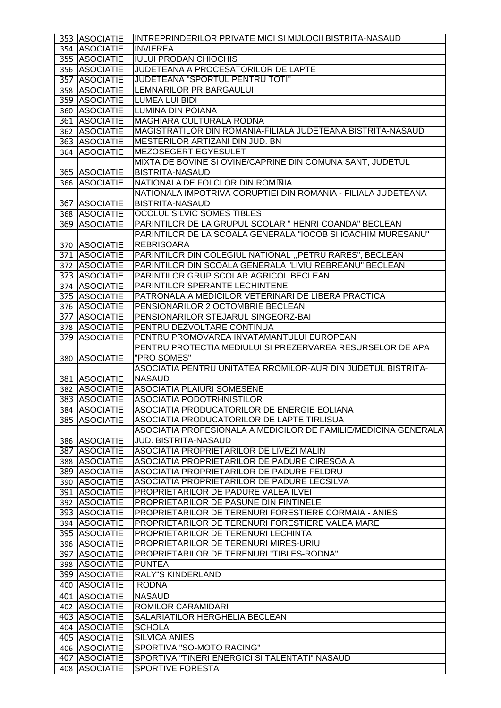| 353 ASOCIATIE                  | INTREPRINDERILOR PRIVATE MICI SI MIJLOCII BISTRITA-NASAUD                 |
|--------------------------------|---------------------------------------------------------------------------|
| 354 ASOCIATIE                  | <b>INVIEREA</b>                                                           |
| 355 ASOCIATIE                  | <b>IULUI PRODAN CHIOCHIS</b>                                              |
| 356 ASOCIATIE                  | JUDETEANA A PROCESATORILOR DE LAPTE                                       |
| 357 ASOCIATIE                  | JUDETEANA "SPORTUL PENTRU TOTI"                                           |
| 358 ASOCIATIE                  | LEMNARILOR PR.BARGAULUI                                                   |
| 359 ASOCIATIE                  | <b>LUMEA LUI BIDI</b>                                                     |
| 360 ASOCIATIE                  | LUMINA DIN POIANA                                                         |
| 361 ASOCIATIE                  | <b>MAGHIARA CULTURALA RODNA</b>                                           |
| 362 ASOCIATIE                  | MAGISTRATILOR DIN ROMANIA-FILIALA JUDETEANA BISTRITA-NASAUD               |
| 363 ASOCIATIE                  | <b>IMESTERILOR ARTIZANI DIN JUD. BN</b>                                   |
| 364 ASOCIATIE                  | <b>MEZOSEGERT EGYESULET</b>                                               |
|                                | MIXTA DE BOVINE SI OVINE/CAPRINE DIN COMUNA SANT, JUDETUL                 |
| 365 ASOCIATIE                  | <b>BISTRITA-NASAUD</b>                                                    |
| 366 ASOCIATIE                  | NATIONALA DE FOLCLOR DIN ROMONIA                                          |
|                                | NATIONALA IMPOTRIVA CORUPTIEI DIN ROMANIA - FILIALA JUDETEANA             |
| 367 ASOCIATIE                  | <b>BISTRITA-NASAUD</b>                                                    |
| 368 ASOCIATIE                  | OCOLUL SILVIC SOMES TIBLES                                                |
| 369 ASOCIATIE                  | PARINTILOR DE LA GRUPUL SCOLAR " HENRI COANDA" BECLEAN                    |
|                                | PARINTILOR DE LA SCOALA GENERALA "IOCOB SI IOACHIM MURESANU"              |
| 370 ASOCIATIE                  | <b>REBRISOARA</b>                                                         |
| 371 ASOCIATIE                  | PARINTILOR DIN COLEGIUL NATIONAL "PETRU RARES", BECLEAN                   |
| 372 ASOCIATIE                  | PARINTILOR DIN SCOALA GENERALA "LIVIU REBREANU" BECLEAN                   |
| 373 ASOCIATIE                  | PARINTILOR GRUP SCOLAR AGRICOL BECLEAN                                    |
| 374 ASOCIATIE                  | PARINTILOR SPERANTE LECHINTENE                                            |
| 375 ASOCIATIE                  | PATRONALA A MEDICILOR VETERINARI DE LIBERA PRACTICA                       |
| 376 ASOCIATIE                  | PENSIONARILOR 2 OCTOMBRIE BECLEAN                                         |
| 377 ASOCIATIE                  | PENSIONARILOR STEJARUL SINGEORZ-BAI                                       |
| 378 ASOCIATIE                  | PENTRU DEZVOLTARE CONTINUA                                                |
| 379 ASOCIATIE                  | PENTRU PROMOVAREA INVATAMANTULUI EUROPEAN                                 |
|                                | PENTRU PROTECTIA MEDIULUI SI PREZERVAREA RESURSELOR DE APA                |
| 380 ASOCIATIE                  | "PRO SOMES"                                                               |
|                                | ASOCIATIA PENTRU UNITATEA RROMILOR-AUR DIN JUDETUL BISTRITA-              |
| 381 ASOCIATIE                  | <b>NASAUD</b>                                                             |
| 382 ASOCIATIE                  | <b>ASOCIATIA PLAIURI SOMESENE</b>                                         |
| 383 ASOCIATIE                  | <b>ASOCIATIA PODOTRHNISTILOR</b>                                          |
| 384 ASOCIATIE                  | ASOCIATIA PRODUCATORILOR DE ENERGIE EOLIANA                               |
| 385 ASOCIATIE                  | ASOCIATIA PRODUCATORILOR DE LAPTE TIRLISUA                                |
|                                | ASOCIATIA PROFESIONALA A MEDICILOR DE FAMILIE/MEDICINA GENERALA           |
| 386 ASOCIATIE                  | <b>JUD. BISTRITA-NASAUD</b>                                               |
| 387 ASOCIATIE                  | ASOCIATIA PROPRIETARILOR DE LIVEZI MALIN                                  |
| 388 ASOCIATIE                  | ASOCIATIA PROPRIETARILOR DE PADURE CIRESOAIA                              |
| 389 ASOCIATIE                  | ASOCIATIA PROPRIETARILOR DE PADURE FELDRU                                 |
| 390 ASOCIATIE                  | ASOCIATIA PROPRIETARILOR DE PADURE LECSILVA                               |
| 391 ASOCIATIE                  | PROPRIETARILOR DE PADURE VALEA ILVEI                                      |
| 392 ASOCIATIE                  | PROPRIETARILOR DE PASUNE DIN FINTINELE                                    |
| 393 ASOCIATIE                  | PROPRIETARILOR DE TERENURI FORESTIERE CORMAIA - ANIES                     |
| 394 ASOCIATIE                  | PROPRIETARILOR DE TERENURI FORESTIERE VALEA MARE                          |
| 395 ASOCIATIE                  | PROPRIETARILOR DE TERENURI LECHINTA                                       |
| 396 ASOCIATIE                  | PROPRIETARILOR DE TERENURI MIRES-URIU                                     |
| 397 ASOCIATIE                  | PROPRIETARILOR DE TERENURI "TIBLES-RODNA"                                 |
| 398 ASOCIATIE                  | <b>PUNTEA</b>                                                             |
| 399 ASOCIATIE                  | <b>RALY"S KINDERLAND</b>                                                  |
| 400 ASOCIATIE                  | <b>RODNA</b>                                                              |
| 401 ASOCIATIE                  | <b>NASAUD</b>                                                             |
| 402 ASOCIATIE                  | ROMILOR CARAMIDARI                                                        |
| 403 ASOCIATIE                  | SALARIATILOR HERGHELIA BECLEAN                                            |
| 404 ASOCIATIE                  | <b>SCHOLA</b>                                                             |
|                                | <b>SILVICA ANIES</b>                                                      |
|                                |                                                                           |
| 405 ASOCIATIE                  |                                                                           |
| 406 ASOCIATIE                  | SPORTIVA "SO-MOTO RACING"                                                 |
| 407 ASOCIATIE<br>408 ASOCIATIE | SPORTIVA "TINERI ENERGICI SI TALENTATI" NASAUD<br><b>SPORTIVE FORESTA</b> |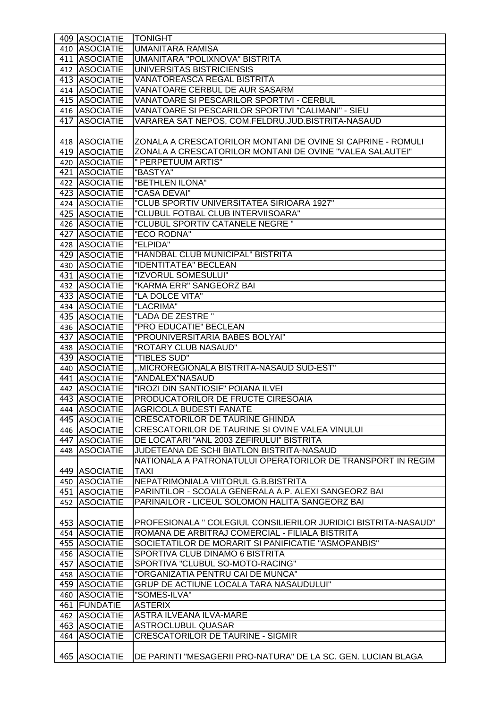| 409 ASOCIATIE   | <b>TONIGHT</b>                                                  |
|-----------------|-----------------------------------------------------------------|
| 410 ASOCIATIE   | <b>UMANITARA RAMISA</b>                                         |
| 411 ASOCIATIE   | UMANITARA "POLIXNOVA" BISTRITA                                  |
| 412 ASOCIATIE   | UNIVERSITAS BISTRICIENSIS                                       |
| 413 ASOCIATIE   | <b>VANATOREASCA REGAL BISTRITA</b>                              |
| 414 ASOCIATIE   | VANATOARE CERBUL DE AUR SASARM                                  |
| 415 ASOCIATIE   | VANATOARE SI PESCARILOR SPORTIVI - CERBUL                       |
| 416 ASOCIATIE   | VANATOARE SI PESCARILOR SPORTIVI "CALIMANI" - SIEU              |
| 417 ASOCIATIE   | VARAREA SAT NEPOS, COM.FELDRU, JUD. BISTRITA-NASAUD             |
|                 |                                                                 |
|                 | ZONALA A CRESCATORILOR MONTANI DE OVINE SI CAPRINE - ROMULI     |
| 418 ASOCIATIE   | ZONALA A CRESCATORILOR MONTANI DE OVINE "VALEA SALAUTEI"        |
| 419 ASOCIATIE   |                                                                 |
| 420 ASOCIATIE   | " PERPETUUM ARTIS"                                              |
| 421 ASOCIATIE   | "BASTYA"                                                        |
| 422 ASOCIATIE   | "BETHLEN ILONA"                                                 |
| 423 ASOCIATIE   | "CASA DEVAI"                                                    |
| 424 ASOCIATIE   | "CLUB SPORTIV UNIVERSITATEA SIRIOARA 1927"                      |
| 425 ASOCIATIE   | "CLUBUL FOTBAL CLUB INTERVIISOARA"                              |
| 426 ASOCIATIE   | "CLUBUL SPORTIV CATANELE NEGRE"                                 |
| 427 ASOCIATIE   | "ECO RODNA"                                                     |
| 428 ASOCIATIE   | "ELPIDA"                                                        |
| 429 ASOCIATIE   | "HANDBAL CLUB MUNICIPAL" BISTRITA                               |
| 430 ASOCIATIE   | "IDENTITATEA" BECLEAN                                           |
| 431 ASOCIATIE   | "IZVORUL SOMESULUI"                                             |
| 432 ASOCIATIE   | "KARMA ERR" SANGEORZ BAI                                        |
| 433 ASOCIATIE   | "LA DOLCE VITA"                                                 |
| 434 ASOCIATIE   | "LACRIMA"                                                       |
| 435 ASOCIATIE   | "LADA DE ZESTRE"                                                |
| 436 ASOCIATIE   | "PRO EDUCATIE" BECLEAN                                          |
| 437 ASOCIATIE   | "PROUNIVERSITARIA BABES BOLYAI"                                 |
| 438 ASOCIATIE   | "ROTARY CLUB NASAUD"                                            |
| 439 ASOCIATIE   | "TIBLES SUD"                                                    |
| 440 ASOCIATIE   | "MICROREGIONALA BISTRITA-NASAUD SUD-EST"                        |
| 441 ASOCIATIE   | "ANDALEX"NASAUD                                                 |
| 442 ASOCIATIE   | "IROZI DIN SANTIOSIF" POIANA ILVEI                              |
| 443 ASOCIATIE   | PRODUCATORILOR DE FRUCTE CIRESOAIA                              |
| 444 ASOCIATIE   | <b>AGRICOLA BUDESTI FANATE</b>                                  |
| 445 ASOCIATIE   | CRESCATORILOR DE TAURINE GHINDA                                 |
| 446 ASOCIATIE   | CRESCATORILOR DE TAURINE SI OVINE VALEA VINULUI                 |
| 447 ASOCIATIE   | DE LOCATARI "ANL 2003 ZEFIRULUI" BISTRITA                       |
| 448 ASOCIATIE   | JUDETEANA DE SCHI BIATLON BISTRITA-NASAUD                       |
|                 | NATIONALA A PATRONATULUI OPERATORILOR DE TRANSPORT IN REGIM     |
| 449 ASOCIATIE   | <b>TAXI</b>                                                     |
| 450 ASOCIATIE   | NEPATRIMONIALA VIITORUL G.B.BISTRITA                            |
| 451 ASOCIATIE   | PARINTILOR - SCOALA GENERALA A.P. ALEXI SANGEORZ BAI            |
| 452 ASOCIATIE   | PARINAILOR - LICEUL SOLOMON HALITA SANGEORZ BAI                 |
|                 |                                                                 |
| 453 ASOCIATIE   | PROFESIONALA " COLEGIUL CONSILIERILOR JURIDICI BISTRITA-NASAUD" |
| 454   ASOCIATIE | ROMANA DE ARBITRAJ COMERCIAL - FILIALA BISTRITA                 |
| 455 ASOCIATIE   | SOCIETATILOR DE MORARIT SI PANIFICATIE "ASMOPANBIS"             |
| 456 ASOCIATIE   | SPORTIVA CLUB DINAMO 6 BISTRITA                                 |
| 457 ASOCIATIE   | SPORTIVA "CLUBUL SO-MOTO-RACING"                                |
| 458 ASOCIATIE   | "ORGANIZATIA PENTRU CAI DE MUNCA"                               |
| 459 ASOCIATIE   | <b>GRUP DE ACTIUNE LOCALA TARA NASAUDULUI"</b>                  |
| 460 ASOCIATIE   | "SOMES-ILVA"                                                    |
| 461 FUNDATIE    | <b>ASTERIX</b>                                                  |
| 462 ASOCIATIE   | <b>ASTRA ILVEANA ILVA-MARE</b>                                  |
| 463 ASOCIATIE   | ASTROCLUBUL QUASAR                                              |
| 464 ASOCIATIE   | <b>CRESCATORILOR DE TAURINE - SIGMIR</b>                        |
|                 |                                                                 |
|                 |                                                                 |
| 465 ASOCIATIE   | DE PARINTI "MESAGERII PRO-NATURA" DE LA SC. GEN. LUCIAN BLAGA   |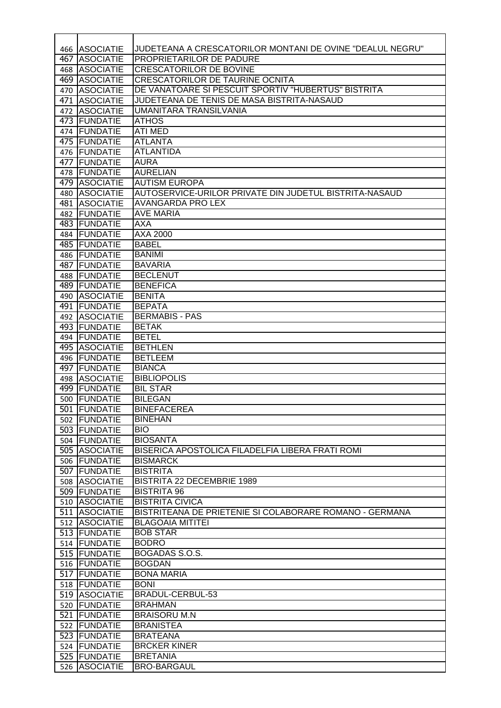|     | 466 ASOCIATIE                 | JUDETEANA A CRESCATORILOR MONTANI DE OVINE "DEALUL NEGRU" |
|-----|-------------------------------|-----------------------------------------------------------|
| 467 | <b>ASOCIATIE</b>              | PROPRIETARILOR DE PADURE                                  |
| 468 | <b>ASOCIATIE</b>              | <b>CRESCATORILOR DE BOVINE</b>                            |
|     | 469 ASOCIATIE                 | <b>CRESCATORILOR DE TAURINE OCNITA</b>                    |
| 470 | <b>ASOCIATIE</b>              | DE VANATOARE SI PESCUIT SPORTIV "HUBERTUS" BISTRITA       |
| 471 | <b>ASOCIATIE</b>              | JUDETEANA DE TENIS DE MASA BISTRITA-NASAUD                |
|     | 472 ASOCIATIE                 | UMANITARA TRANSILVANIA                                    |
|     | 473 FUNDATIE                  | <b>ATHOS</b>                                              |
|     | 474 FUNDATIE                  | <b>ATI MED</b>                                            |
|     | 475 FUNDATIE                  | <b>ATLANTA</b>                                            |
|     | 476 FUNDATIE                  | <b>ATLANTIDA</b>                                          |
|     | 477   FUNDATIE                | <b>AURA</b>                                               |
|     | 478   FUNDATIE                | <b>AURELIAN</b>                                           |
|     | 479 ASOCIATIE                 | <b>AUTISM EUROPA</b>                                      |
| 480 | <b>ASOCIATIE</b>              | AUTOSERVICE-URILOR PRIVATE DIN JUDETUL BISTRITA-NASAUD    |
|     | 481 ASOCIATIE                 | <b>AVANGARDA PRO LEX</b>                                  |
|     | 482 FUNDATIE                  | <b>AVE MARIA</b>                                          |
|     | 483 FUNDATIE                  | AXA                                                       |
|     | 484 FUNDATIE                  | AXA 2000<br><b>BABEL</b>                                  |
|     | 485 FUNDATIE<br>486 FUNDATIE  |                                                           |
|     | 487 FUNDATIE                  | <b>BANIMI</b><br><b>BAVARIA</b>                           |
|     | 488 FUNDATIE                  | <b>BECLENUT</b>                                           |
|     | 489 FUNDATIE                  | <b>BENEFICA</b>                                           |
| 490 | <b>ASOCIATIE</b>              | <b>BENITA</b>                                             |
| 491 | FUNDATIE                      | <b>BEPATA</b>                                             |
|     | 492 ASOCIATIE                 | <b>BERMABIS - PAS</b>                                     |
|     | 493 FUNDATIE                  | <b>BETAK</b>                                              |
|     | 494   FUNDATIE                | <b>BETEL</b>                                              |
|     | 495 ASOCIATIE                 | <b>BETHLEN</b>                                            |
|     | 496   FUNDATIE                | <b>BETLEEM</b>                                            |
|     | 497 FUNDATIE                  | <b>BIANCA</b>                                             |
|     | 498 ASOCIATIE                 | <b>BIBLIOPOLIS</b>                                        |
|     | 499 FUNDATIE                  | <b>BIL STAR</b>                                           |
| 500 | FUNDATIE                      | <b>BILEGAN</b>                                            |
|     | 501 FUNDATIE                  | <b>BINEFACEREA</b>                                        |
|     | 502 FUNDATIE                  | <b>BINEHAN</b>                                            |
|     | 503 FUNDATIE                  | <b>BIO</b>                                                |
|     | 504 FUNDATIE                  | <b>BIOSANTA</b>                                           |
|     | 505 ASOCIATIE                 | BISERICA APOSTOLICA FILADELFIA LIBERA FRATI ROMI          |
|     | 506 FUNDATIE                  | <b>BISMARCK</b>                                           |
|     | 507 FUNDATIE                  | <b>BISTRITA</b>                                           |
|     | 508 ASOCIATIE                 | <b>BISTRITA 22 DECEMBRIE 1989</b>                         |
|     | 509 FUNDATIE<br>510 ASOCIATIE | <b>BISTRITA 96</b><br><b>BISTRITA CIVICA</b>              |
|     | 511 ASOCIATIE                 | BISTRITEANA DE PRIETENIE SI COLABORARE ROMANO - GERMANA   |
|     | 512 ASOCIATIE                 | <b>BLAGOAIA MITITEI</b>                                   |
|     | 513 FUNDATIE                  | <b>BOB STAR</b>                                           |
|     | 514 FUNDATIE                  | <b>BODRO</b>                                              |
|     | 515 FUNDATIE                  | BOGADAS S.O.S.                                            |
|     | 516 FUNDATIE                  | <b>BOGDAN</b>                                             |
|     | 517 FUNDATIE                  | <b>BONA MARIA</b>                                         |
|     | 518 FUNDATIE                  | <b>BONI</b>                                               |
|     | 519 ASOCIATIE                 | BRADUL-CERBUL-53                                          |
|     | 520 FUNDATIE                  | <b>BRAHMAN</b>                                            |
|     | 521 FUNDATIE                  | <b>BRAISORU M.N</b>                                       |
|     | 522 FUNDATIE                  | <b>BRANISTEA</b>                                          |
|     | 523 FUNDATIE                  | <b>BRATEANA</b>                                           |
|     | 524 FUNDATIE                  | <b>BRCKER KINER</b>                                       |
|     | 525 FUNDATIE                  | <b>BRETANIA</b>                                           |
|     | 526 ASOCIATIE                 | <b>BRO-BARGAUL</b>                                        |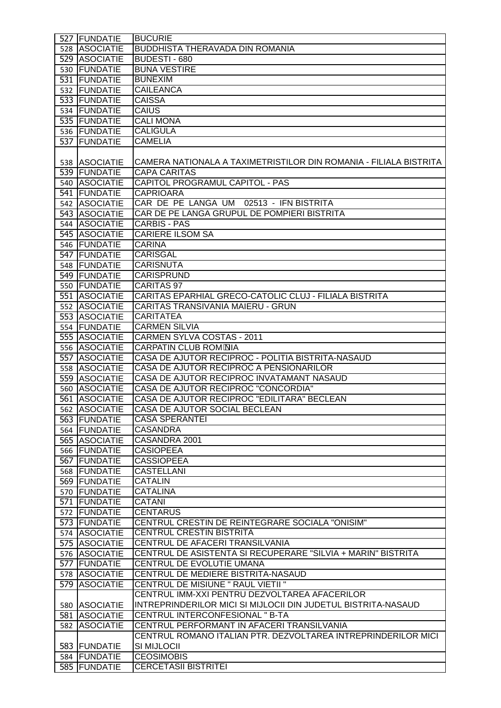|     | 527 FUNDATIE     | <b>BUCURIE</b>                                                    |
|-----|------------------|-------------------------------------------------------------------|
|     | 528 ASOCIATIE    | <b>BUDDHISTA THERAVADA DIN ROMANIA</b>                            |
|     | 529 ASOCIATIE    | BUDESTI - 680                                                     |
|     | 530 FUNDATIE     | <b>BUNA VESTIRE</b>                                               |
|     | 531 FUNDATIE     | <b>BUNEXIM</b>                                                    |
|     | 532 FUNDATIE     | <b>CAILEANCA</b>                                                  |
|     | 533 FUNDATIE     | <b>CAISSA</b>                                                     |
|     | 534 FUNDATIE     | <b>CAIUS</b>                                                      |
|     | 535 FUNDATIE     | <b>CALI MONA</b>                                                  |
|     | 536 FUNDATIE     | <b>CALIGULA</b>                                                   |
|     | 537 FUNDATIE     | <b>CAMELIA</b>                                                    |
|     |                  |                                                                   |
|     | 538 ASOCIATIE    | CAMERA NATIONALA A TAXIMETRISTILOR DIN ROMANIA - FILIALA BISTRITA |
|     | 539 FUNDATIE     | <b>CAPA CARITAS</b>                                               |
|     | 540 ASOCIATIE    | CAPITOL PROGRAMUL CAPITOL - PAS                                   |
|     | 541 FUNDATIE     | <b>CAPRIOARA</b>                                                  |
|     |                  | CAR DE PE LANGA UM 02513 - IFN BISTRITA                           |
|     | 542 ASOCIATIE    |                                                                   |
|     | 543 ASOCIATIE    | CAR DE PE LANGA GRUPUL DE POMPIERI BISTRITA                       |
|     | 544 ASOCIATIE    | <b>CARBIS - PAS</b>                                               |
|     | 545 ASOCIATIE    | <b>CARIERE ILSOM SA</b>                                           |
|     | 546 FUNDATIE     | <b>CARINA</b>                                                     |
|     | 547 FUNDATIE     | <b>CARISGAL</b>                                                   |
|     | 548 FUNDATIE     | <b>CARISNUTA</b>                                                  |
|     | 549 FUNDATIE     | <b>CARISPRUND</b>                                                 |
|     | 550 FUNDATIE     | CARITAS 97                                                        |
|     | 551 ASOCIATIE    | CARITAS EPARHIAL GRECO-CATOLIC CLUJ - FILIALA BISTRITA            |
|     | 552 ASOCIATIE    | CARITAS TRANSIVANIA MAIERU - GRUN                                 |
|     | 553 ASOCIATIE    | <b>CARITATEA</b>                                                  |
|     | 554 FUNDATIE     | <b>CARMEN SILVIA</b>                                              |
|     | 555 ASOCIATIE    | CARMEN SYLVA COSTAS - 2011                                        |
|     | 556 ASOCIATIE    | <b>CARPATIN CLUB ROM*NIA</b>                                      |
|     | 557 ASOCIATIE    | CASA DE AJUTOR RECIPROC - POLITIA BISTRITA-NASAUD                 |
|     | 558 ASOCIATIE    | CASA DE AJUTOR RECIPROC A PENSIONARILOR                           |
|     | 559 ASOCIATIE    | CASA DE AJUTOR RECIPROC INVATAMANT NASAUD                         |
|     | 560 ASOCIATIE    | <b>CASA DE AJUTOR RECIPROC "CONCORDIA"</b>                        |
|     | 561 ASOCIATIE    | CASA DE AJUTOR RECIPROC "EDILITARA" BECLEAN                       |
|     | 562 ASOCIATIE    | CASA DE AJUTOR SOCIAL BECLEAN                                     |
|     | 563 FUNDATIE     | <b>CASA SPERANTEI</b>                                             |
|     | 564 FUNDATIE     | <b>CASANDRA</b>                                                   |
|     | 565 ASOCIATIE    | CASANDRA 2001                                                     |
|     | 566 FUNDATIE     | <b>CASIOPEEA</b>                                                  |
|     | 567 FUNDATIE     | <b>CASSIOPEEA</b>                                                 |
|     | 568 FUNDATIE     | <b>CASTELLANI</b>                                                 |
|     | 569 FUNDATIE     | <b>CATALIN</b>                                                    |
|     | 570 FUNDATIE     | <b>CATALINA</b>                                                   |
|     | 571 FUNDATIE     | <b>CATANI</b>                                                     |
|     | 572 FUNDATIE     | <b>CENTARUS</b>                                                   |
|     | 573 FUNDATIE     | CENTRUL CRESTIN DE REINTEGRARE SOCIALA "ONISIM"                   |
|     | 574 ASOCIATIE    | CENTRUL CRESTIN BISTRITA                                          |
|     | 575 ASOCIATIE    | CENTRUL DE AFACERI TRANSILVANIA                                   |
|     | 576 ASOCIATIE    | CENTRUL DE ASISTENTA SI RECUPERARE "SILVIA + MARIN" BISTRITA      |
|     | 577 FUNDATIE     | CENTRUL DE EVOLUTIE UMANA                                         |
|     | 578 ASOCIATIE    | CENTRUL DE MEDIERE BISTRITA-NASAUD                                |
|     | 579 ASOCIATIE    | CENTRUL DE MISIUNE " RAUL VIETII "                                |
|     |                  | CENTRUL IMM-XXI PENTRU DEZVOLTAREA AFACERILOR                     |
|     | 580 ASOCIATIE    | INTREPRINDERILOR MICI SI MIJLOCII DIN JUDETUL BISTRITA-NASAUD     |
|     | 581 ASOCIATIE    | CENTRUL INTERCONFESIONAL " B-TA                                   |
| 582 | <b>ASOCIATIE</b> | CENTRUL PERFORMANT IN AFACERI TRANSILVANIA                        |
|     |                  | CENTRUL ROMANO ITALIAN PTR. DEZVOLTAREA INTREPRINDERILOR MICI     |
|     | 583 FUNDATIE     | SI MIJLOCII                                                       |
|     | 584 FUNDATIE     | <b>CEOSIMOBIS</b>                                                 |
|     | 585 FUNDATIE     | <b>CERCETASII BISTRITEI</b>                                       |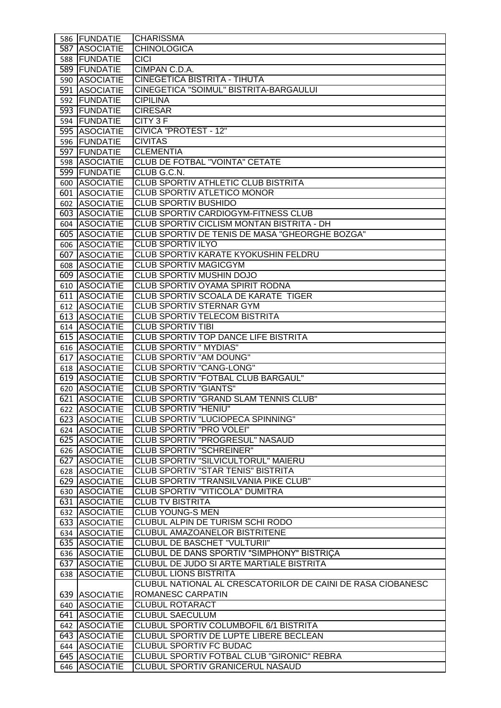| 586 FUNDATIE  | <b>CHARISSMA</b>                                            |
|---------------|-------------------------------------------------------------|
| 587 ASOCIATIE | <b>CHINOLOGICA</b>                                          |
| 588 FUNDATIE  | <b>CICI</b>                                                 |
| 589 FUNDATIE  | CIMPAN C.D.A.                                               |
| 590 ASOCIATIE | CINEGETICA BISTRITA - TIHUTA                                |
| 591 ASOCIATIE | CINEGETICA "SOIMUL" BISTRITA-BARGAULUI                      |
| 592 FUNDATIE  | <b>CIPILINA</b>                                             |
| 593 FUNDATIE  | <b>CIRESAR</b>                                              |
| 594 FUNDATIE  | CITY 3 F                                                    |
| 595 ASOCIATIE | <b>CIVICA "PROTEST - 12"</b>                                |
| 596 FUNDATIE  | <b>CIVITAS</b>                                              |
| 597 FUNDATIE  | <b>CLEMENTIA</b>                                            |
| 598 ASOCIATIE | <b>CLUB DE FOTBAL "VOINTA" CETATE</b>                       |
| 599 FUNDATIE  | CLUB G.C.N.                                                 |
| 600 ASOCIATIE | CLUB SPORTIV ATHLETIC CLUB BISTRITA                         |
| 601 ASOCIATIE | <b>CLUB SPORTIV ATLETICO MONOR</b>                          |
| 602 ASOCIATIE | <b>CLUB SPORTIV BUSHIDO</b>                                 |
| 603 ASOCIATIE | <b>CLUB SPORTIV CARDIOGYM-FITNESS CLUB</b>                  |
| 604 ASOCIATIE | CLUB SPORTIV CICLISM MONTAN BISTRITA - DH                   |
| 605 ASOCIATIE | CLUB SPORTIV DE TENIS DE MASA "GHEORGHE BOZGA"              |
| 606 ASOCIATIE | <b>CLUB SPORTIV ILYO</b>                                    |
| 607 ASOCIATIE | CLUB SPORTIV KARATE KYOKUSHIN FELDRU                        |
| 608 ASOCIATIE | <b>CLUB SPORTIV MAGICGYM</b>                                |
| 609 ASOCIATIE | <b>CLUB SPORTIV MUSHIN DOJO</b>                             |
| 610 ASOCIATIE | CLUB SPORTIV OYAMA SPIRIT RODNA                             |
| 611 ASOCIATIE | CLUB SPORTIV SCOALA DE KARATE TIGER                         |
| 612 ASOCIATIE | CLUB SPORTIV STERNAR GYM                                    |
| 613 ASOCIATIE | <b>CLUB SPORTIV TELECOM BISTRITA</b>                        |
| 614 ASOCIATIE | <b>CLUB SPORTIV TIBI</b>                                    |
| 615 ASOCIATIE | CLUB SPORTIV TOP DANCE LIFE BISTRITA                        |
| 616 ASOCIATIE | <b>CLUB SPORTIV " MYDIAS"</b>                               |
| 617 ASOCIATIE | <b>CLUB SPORTIV "AM DOUNG"</b>                              |
| 618 ASOCIATIE | <b>CLUB SPORTIV "CANG-LONG"</b>                             |
| 619 ASOCIATIE | CLUB SPORTIV "FOTBAL CLUB BARGAUL"                          |
| 620 ASOCIATIE | <b>CLUB SPORTIV "GIANTS"</b>                                |
| 621 ASOCIATIE | CLUB SPORTIV "GRAND SLAM TENNIS CLUB"                       |
| 622 ASOCIATIE | CLUB SPORTIV "HENIU"                                        |
| 623 ASOCIATIE | CLUB SPORTIV "LUCIOPECA SPINNING"                           |
| 624 ASOCIATIE | <b>CLUB SPORTIV "PRO VOLEI"</b>                             |
| 625 ASOCIATIE | <b>CLUB SPORTIV "PROGRESUL" NASAUD</b>                      |
| 626 ASOCIATIE | <b>CLUB SPORTIV "SCHREINER"</b>                             |
| 627 ASOCIATIE | CLUB SPORTIV "SILVICULTORUL" MAIERU                         |
| 628 ASOCIATIE | <b>CLUB SPORTIV "STAR TENIS" BISTRITA</b>                   |
| 629 ASOCIATIE | CLUB SPORTIV "TRANSILVANIA PIKE CLUB"                       |
| 630 ASOCIATIE | CLUB SPORTIV "VITICOLA" DUMITRA                             |
| 631 ASOCIATIE | <b>CLUB TV BISTRITA</b>                                     |
| 632 ASOCIATIE | <b>CLUB YOUNG-S MEN</b>                                     |
| 633 ASOCIATIE | CLUBUL ALPIN DE TURISM SCHI RODO                            |
| 634 ASOCIATIE | CLUBUL AMAZOANELOR BISTRITENE                               |
| 635 ASOCIATIE | CLUBUL DE BASCHET "VULTURII"                                |
| 636 ASOCIATIE | CLUBUL DE DANS SPORTIV "SIMPHONY" BISTRIÇA                  |
| 637 ASOCIATIE | CLUBUL DE JUDO SI ARTE MARTIALE BISTRITA                    |
| 638 ASOCIATIE | <b>CLUBUL LIONS BISTRITA</b>                                |
|               | CLUBUL NATIONAL AL CRESCATORILOR DE CAINI DE RASA CIOBANESC |
| 639 ASOCIATIE | ROMANESC CARPATIN                                           |
| 640 ASOCIATIE | <b>CLUBUL ROTARACT</b>                                      |
| 641 ASOCIATIE | <b>CLUBUL SAECULUM</b>                                      |
| 642 ASOCIATIE | <b>CLUBUL SPORTIV COLUMBOFIL 6/1 BISTRITA</b>               |
| 643 ASOCIATIE | CLUBUL SPORTIV DE LUPTE LIBERE BECLEAN                      |
| 644 ASOCIATIE | <b>CLUBUL SPORTIV FC BUDAC</b>                              |
| 645 ASOCIATIE | CLUBUL SPORTIV FOTBAL CLUB "GIRONIC" REBRA                  |
| 646 ASOCIATIE | CLUBUL SPORTIV GRANICERUL NASAUD                            |
|               |                                                             |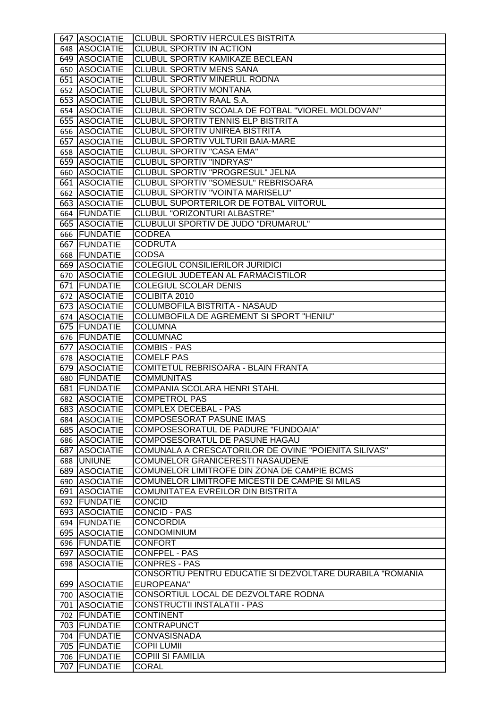| 647 ASOCIATIE                | <b>CLUBUL SPORTIV HERCULES BISTRITA</b>                   |
|------------------------------|-----------------------------------------------------------|
| 648 ASOCIATIE                | CLUBUL SPORTIV IN ACTION                                  |
| 649 ASOCIATIE                | <b>CLUBUL SPORTIV KAMIKAZE BECLEAN</b>                    |
| 650 ASOCIATIE                | CLUBUL SPORTIV MENS SANA                                  |
| 651 ASOCIATIE                | CLUBUL SPORTIV MINERUL RODNA                              |
| 652 ASOCIATIE                | <b>CLUBUL SPORTIV MONTANA</b>                             |
| 653 ASOCIATIE                | CLUBUL SPORTIV RAAL S.A.                                  |
| 654 ASOCIATIE                | CLUBUL SPORTIV SCOALA DE FOTBAL "VIOREL MOLDOVAN"         |
| 655 ASOCIATIE                | <b>CLUBUL SPORTIV TENNIS ELP BISTRITA</b>                 |
| 656 ASOCIATIE                | CLUBUL SPORTIV UNIREA BISTRITA                            |
| 657 ASOCIATIE                | CLUBUL SPORTIV VULTURII BAIA-MARE                         |
| 658 ASOCIATIE                | <b>CLUBUL SPORTIV "CASA EMA"</b>                          |
| 659 ASOCIATIE                | <b>CLUBUL SPORTIV "INDRYAS"</b>                           |
| 660 ASOCIATIE                | CLUBUL SPORTIV "PROGRESUL" JELNA                          |
| 661 ASOCIATIE                | CLUBUL SPORTIV "SOMESUL" REBRISOARA                       |
| 662 ASOCIATIE                | CLUBUL SPORTIV "VOINTA MARISELU"                          |
| 663 ASOCIATIE                | CLUBUL SUPORTERILOR DE FOTBAL VIITORUL                    |
| 664 FUNDATIE                 | CLUBUL "ORIZONTURI ALBASTRE"                              |
| 665 ASOCIATIE                | CLUBULUI SPORTIV DE JUDO "DRUMARUL"                       |
| 666 FUNDATIE                 | <b>CODREA</b>                                             |
| 667 FUNDATIE                 | <b>CODRUTA</b>                                            |
| 668 FUNDATIE                 | <b>CODSA</b>                                              |
| 669 ASOCIATIE                | COLEGIUL CONSILIERILOR JURIDICI                           |
| 670 ASOCIATIE                | COLEGIUL JUDETEAN AL FARMACISTILOR                        |
| 671 FUNDATIE                 | <b>COLEGIUL SCOLAR DENIS</b>                              |
| 672 ASOCIATIE                | COLIBITA 2010                                             |
| 673 ASOCIATIE                | COLUMBOFILA BISTRITA - NASAUD                             |
| 674 ASOCIATIE                | COLUMBOFILA DE AGREMENT SI SPORT "HENIU"                  |
| 675 FUNDATIE                 | <b>COLUMNA</b>                                            |
| 676 FUNDATIE                 | <b>COLUMNAC</b>                                           |
| 677 ASOCIATIE                | <b>COMBIS - PAS</b>                                       |
| 678 ASOCIATIE                | <b>COMELF PAS</b>                                         |
| 679 ASOCIATIE                | COMITETUL REBRISOARA - BLAIN FRANTA                       |
|                              |                                                           |
| 680 FUNDATIE                 | <b>COMMUNITAS</b>                                         |
| 681 FUNDATIE                 | COMPANIA SCOLARA HENRI STAHL                              |
| 682 ASOCIATIE                | <b>COMPETROL PAS</b>                                      |
| 683 ASOCIATIE                | COMPLEX DECEBAL - PAS                                     |
| 684 ASOCIATIE                | <b>COMPOSESORAT PASUNE IMAS</b>                           |
| 685 ASOCIATIE                | COMPOSESORATUL DE PADURE "FUNDOAIA"                       |
| 686 ASOCIATIE                | COMPOSESORATUL DE PASUNE HAGAU                            |
| 687 ASOCIATIE                | COMUNALA A CRESCATORILOR DE OVINE "POIENITA SILIVAS"      |
| 688 UNIUNE                   | <b>COMUNELOR GRANICERESTI NASAUDENE</b>                   |
| 689 ASOCIATIE                | COMUNELOR LIMITROFE DIN ZONA DE CAMPIE BCMS               |
| 690 ASOCIATIE                | COMUNELOR LIMITROFE MICESTII DE CAMPIE SI MILAS           |
| 691 ASOCIATIE                | COMUNITATEA EVREILOR DIN BISTRITA                         |
| 692 FUNDATIE                 | <b>CONCID</b>                                             |
| 693 ASOCIATIE                | <b>CONCID - PAS</b>                                       |
| 694 FUNDATIE                 | <b>CONCORDIA</b>                                          |
| 695 ASOCIATIE                | <b>CONDOMINIUM</b>                                        |
| 696 FUNDATIE                 | <b>CONFORT</b>                                            |
| 697 ASOCIATIE                | CONFPEL - PAS                                             |
| 698 ASOCIATIE                | <b>CONPRES - PAS</b>                                      |
|                              | CONSORTIU PENTRU EDUCATIE SI DEZVOLTARE DURABILA "ROMANIA |
| 699 ASOCIATIE                | EUROPEANA"                                                |
| 700 ASOCIATIE                | CONSORTIUL LOCAL DE DEZVOLTARE RODNA                      |
| 701 ASOCIATIE                | CONSTRUCTII INSTALATII - PAS                              |
| 702 FUNDATIE                 | <b>CONTINENT</b>                                          |
| 703 FUNDATIE                 | <b>CONTRAPUNCT</b>                                        |
| 704 FUNDATIE                 | <b>CONVASISNADA</b>                                       |
| 705 FUNDATIE                 | <b>COPII LUMII</b>                                        |
| 706 FUNDATIE<br>707 FUNDATIE | <b>COPIII SI FAMILIA</b><br><b>CORAL</b>                  |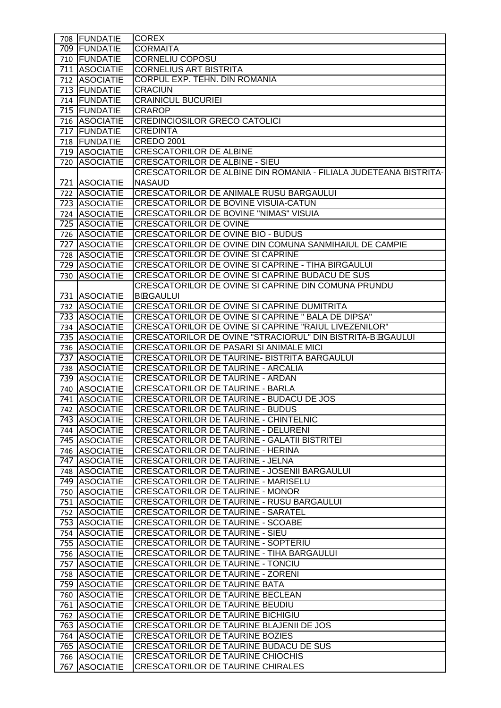| 708 FUNDATIE                   | <b>COREX</b>                                                                       |
|--------------------------------|------------------------------------------------------------------------------------|
| 709 FUNDATIE                   | <b>CORMAITA</b>                                                                    |
| 710   FUNDATIE                 | <b>CORNELIU COPOSU</b>                                                             |
| 711 ASOCIATIE                  | <b>CORNELIUS ART BISTRITA</b>                                                      |
| 712 ASOCIATIE                  | CORPUL EXP. TEHN. DIN ROMANIA                                                      |
| 713 FUNDATIE                   | <b>CRACIUN</b>                                                                     |
| 714 FUNDATIE                   | <b>CRAINICUL BUCURIEI</b>                                                          |
| 715 FUNDATIE                   | <b>CRAROP</b>                                                                      |
| 716 ASOCIATIE                  | <b>CREDINCIOSILOR GRECO CATOLICI</b>                                               |
| 717 FUNDATIE                   | <b>CREDINTA</b>                                                                    |
| 718 FUNDATIE                   | <b>CREDO 2001</b>                                                                  |
| 719 ASOCIATIE                  | <b>CRESCATORILOR DE ALBINE</b>                                                     |
| 720 ASOCIATIE                  | CRESCATORILOR DE ALBINE - SIEU                                                     |
|                                | CRESCATORILOR DE ALBINE DIN ROMANIA - FILIALA JUDETEANA BISTRITA-                  |
| 721 ASOCIATIE                  | <b>NASAUD</b>                                                                      |
| 722 ASOCIATIE                  | CRESCATORILOR DE ANIMALE RUSU BARGAULUI                                            |
| 723 ASOCIATIE                  | CRESCATORILOR DE BOVINE VISUIA-CATUN                                               |
| 724 ASOCIATIE                  | <b>CRESCATORILOR DE BOVINE "NIMAS" VISUIA</b>                                      |
| 725 ASOCIATIE                  | <b>CRESCATORILOR DE OVINE</b>                                                      |
| 726 ASOCIATIE                  | <b>CRESCATORILOR DE OVINE BIO - BUDUS</b>                                          |
| 727 ASOCIATIE                  | CRESCATORILOR DE OVINE DIN COMUNA SANMIHAIUL DE CAMPIE                             |
| 728 ASOCIATIE                  | CRESCATORILOR DE OVINE SI CAPRINE                                                  |
| 729 ASOCIATIE                  | CRESCATORILOR DE OVINE SI CAPRINE - TIHA BIRGAULUI                                 |
| 730 ASOCIATIE                  | CRESCATORILOR DE OVINE SI CAPRINE BUDACU DE SUS                                    |
|                                | CRESCATORILOR DE OVINE SI CAPRINE DIN COMUNA PRUNDU                                |
| 731 ASOCIATIE                  | <b>B</b> -RGAULUI                                                                  |
| 732 ASOCIATIE                  | CRESCATORILOR DE OVINE SI CAPRINE DUMITRITA                                        |
| 733 ASOCIATIE                  | CRESCATORILOR DE OVINE SI CAPRINE " BALA DE DIPSA"                                 |
| 734 ASOCIATIE                  | CRESCATORILOR DE OVINE SI CAPRINE "RAIUL LIVEZENILOR"                              |
| 735 ASOCIATIE                  | CRESCATORILOR DE OVINE "STRACIORUL" DIN BISTRITA-BORGAULUI                         |
| 736 ASOCIATIE                  | CRESCATORILOR DE PASARI SI ANIMALE MICI                                            |
| 737 ASOCIATIE                  | CRESCATORILOR DE TAURINE- BISTRITA BARGAULUI                                       |
| 738 ASOCIATIE                  | CRESCATORILOR DE TAURINE - ARCALIA                                                 |
| 739 ASOCIATIE<br>740 ASOCIATIE | <b>CRESCATORILOR DE TAURINE - ARDAN</b><br><b>CRESCATORILOR DE TAURINE - BARLA</b> |
| 741 ASOCIATIE                  | CRESCATORILOR DE TAURINE - BUDACU DE JOS                                           |
| 742 ASOCIATIE                  | <b>CRESCATORILOR DE TAURINE - BUDUS</b>                                            |
| 743 ASOCIATIE                  | <b>CRESCATORILOR DE TAURINE - CHINTELNIC</b>                                       |
| 744 ASOCIATIE                  | <b>CRESCATORILOR DE TAURINE - DELURENI</b>                                         |
| 745 ASOCIATIE                  | CRESCATORILOR DE TAURINE - GALATII BISTRITEI                                       |
| 746 ASOCIATIE                  | <b>CRESCATORILOR DE TAURINE - HERINA</b>                                           |
| 747 ASOCIATIE                  | CRESCATORILOR DE TAURINE - JELNA                                                   |
| 748 ASOCIATIE                  | CRESCATORILOR DE TAURINE - JOSENII BARGAULUI                                       |
| 749 ASOCIATIE                  | CRESCATORILOR DE TAURINE - MARISELU                                                |
| 750 ASOCIATIE                  | <b>CRESCATORILOR DE TAURINE - MONOR</b>                                            |
| 751 ASOCIATIE                  | CRESCATORILOR DE TAURINE - RUSU BARGAULUI                                          |
| 752 ASOCIATIE                  | CRESCATORILOR DE TAURINE - SARATEL                                                 |
| 753 ASOCIATIE                  | CRESCATORILOR DE TAURINE - SCOABE                                                  |
| 754 ASOCIATIE                  | CRESCATORILOR DE TAURINE - SIEU                                                    |
| 755 ASOCIATIE                  | CRESCATORILOR DE TAURINE - SOPTERIU                                                |
| 756 ASOCIATIE                  | CRESCATORILOR DE TAURINE - TIHA BARGAULUI                                          |
| 757 ASOCIATIE                  | CRESCATORILOR DE TAURINE - TONCIU                                                  |
| 758 ASOCIATIE                  | <b>CRESCATORILOR DE TAURINE - ZORENI</b>                                           |
| 759 ASOCIATIE                  | CRESCATORILOR DE TAURINE BATA                                                      |
| 760 ASOCIATIE                  | CRESCATORILOR DE TAURINE BECLEAN                                                   |
| 761 ASOCIATIE                  | <b>CRESCATORILOR DE TAURINE BEUDIU</b><br>CRESCATORILOR DE TAURINE BICHIGIU        |
| 762 ASOCIATIE<br>763 ASOCIATIE | CRESCATORILOR DE TAURINE BLAJENII DE JOS                                           |
| 764 ASOCIATIE                  | <b>CRESCATORILOR DE TAURINE BOZIES</b>                                             |
| 765 ASOCIATIE                  | CRESCATORILOR DE TAURINE BUDACU DE SUS                                             |
| 766 ASOCIATIE                  | <b>CRESCATORILOR DE TAURINE CHIOCHIS</b>                                           |
| 767 ASOCIATIE                  | <b>CRESCATORILOR DE TAURINE CHIRALES</b>                                           |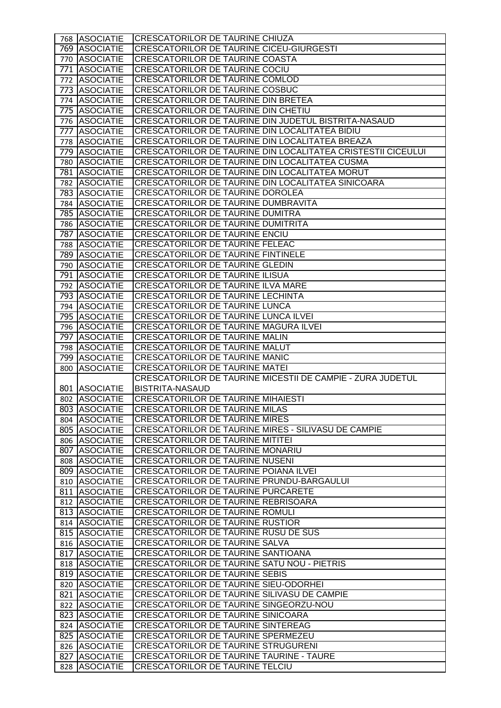| 768 ASOCIATIE                  | <b>CRESCATORILOR DE TAURINE CHIUZA</b>                                                    |
|--------------------------------|-------------------------------------------------------------------------------------------|
| 769 ASOCIATIE                  | <b>CRESCATORILOR DE TAURINE CICEU-GIURGESTI</b>                                           |
| 770 ASOCIATIE                  | <b>CRESCATORILOR DE TAURINE COASTA</b>                                                    |
| 771 ASOCIATIE                  | CRESCATORILOR DE TAURINE COCIU                                                            |
| 772 ASOCIATIE                  | CRESCATORILOR DE TAURINE COMLOD                                                           |
| 773 ASOCIATIE                  | <b>CRESCATORILOR DE TAURINE COSBUC</b>                                                    |
| 774 ASOCIATIE                  | CRESCATORILOR DE TAURINE DIN BRETEA                                                       |
| 775 ASOCIATIE                  | CRESCATORILOR DE TAURINE DIN CHETIU                                                       |
| 776 ASOCIATIE                  | CRESCATORILOR DE TAURINE DIN JUDETUL BISTRITA-NASAUD                                      |
| 777 ASOCIATIE                  | CRESCATORILOR DE TAURINE DIN LOCALITATEA BIDIU                                            |
| 778 ASOCIATIE                  | CRESCATORILOR DE TAURINE DIN LOCALITATEA BREAZA                                           |
| 779 ASOCIATIE                  | CRESCATORILOR DE TAURINE DIN LOCALITATEA CRISTESTII CICEULUI                              |
| 780 ASOCIATIE                  | CRESCATORILOR DE TAURINE DIN LOCALITATEA CUSMA                                            |
| 781 ASOCIATIE                  | CRESCATORILOR DE TAURINE DIN LOCALITATEA MORUT                                            |
| 782 ASOCIATIE                  | CRESCATORILOR DE TAURINE DIN LOCALITATEA SINICOARA                                        |
| 783 ASOCIATIE                  | CRESCATORILOR DE TAURINE DOROLEA                                                          |
| 784 ASOCIATIE                  | CRESCATORILOR DE TAURINE DUMBRAVITA                                                       |
| 785 ASOCIATIE                  | CRESCATORILOR DE TAURINE DUMITRA                                                          |
| 786 ASOCIATIE                  | CRESCATORILOR DE TAURINE DUMITRITA                                                        |
| 787 ASOCIATIE                  | CRESCATORILOR DE TAURINE ENCIU                                                            |
| 788 ASOCIATIE                  | CRESCATORILOR DE TAURINE FELEAC                                                           |
| 789 ASOCIATIE                  | CRESCATORILOR DE TAURINE FINTINELE                                                        |
| 790 ASOCIATIE                  | <b>CRESCATORILOR DE TAURINE GLEDIN</b>                                                    |
| 791 ASOCIATIE                  | <b>CRESCATORILOR DE TAURINE ILISUA</b>                                                    |
| 792 ASOCIATIE                  | CRESCATORILOR DE TAURINE ILVA MARE                                                        |
| 793 ASOCIATIE                  | <b>CRESCATORILOR DE TAURINE LECHINTA</b>                                                  |
| 794 ASOCIATIE                  | CRESCATORILOR DE TAURINE LUNCA                                                            |
| 795 ASOCIATIE                  | CRESCATORILOR DE TAURINE LUNCA ILVEI                                                      |
| 796 ASOCIATIE                  | CRESCATORILOR DE TAURINE MAGURA ILVEI                                                     |
| 797 ASOCIATIE                  | <b>CRESCATORILOR DE TAURINE MALIN</b>                                                     |
| 798 ASOCIATIE                  | CRESCATORILOR DE TAURINE MALUT                                                            |
|                                |                                                                                           |
|                                | <b>CRESCATORILOR DE TAURINE MANIC</b>                                                     |
| 799 ASOCIATIE                  | <b>CRESCATORILOR DE TAURINE MATEI</b>                                                     |
| 800 ASOCIATIE                  | CRESCATORILOR DE TAURINE MICESTII DE CAMPIE - ZURA JUDETUL                                |
| 801 ASOCIATIE                  | BISTRITA-NASAUD                                                                           |
| 802 ASOCIATIE                  | <b>CRESCATORILOR DE TAURINE MIHAIESTI</b>                                                 |
|                                | <b>CRESCATORILOR DE TAURINE MILAS</b>                                                     |
| 803 ASOCIATIE<br>804 ASOCIATIE | <b>CRESCATORILOR DE TAURINE MIRES</b>                                                     |
| 805 ASOCIATIE                  | CRESCATORILOR DE TAURINE MIRES - SILIVASU DE CAMPIE                                       |
| 806 ASOCIATIE                  | <b>CRESCATORILOR DE TAURINE MITITEI</b>                                                   |
| 807 ASOCIATIE                  | <b>CRESCATORILOR DE TAURINE MONARIU</b>                                                   |
| 808 ASOCIATIE                  | <b>CRESCATORILOR DE TAURINE NUSENI</b>                                                    |
| 809 ASOCIATIE                  | CRESCATORILOR DE TAURINE POIANA ILVEI                                                     |
| 810 ASOCIATIE                  | CRESCATORILOR DE TAURINE PRUNDU-BARGAULUI                                                 |
| 811 ASOCIATIE                  | CRESCATORILOR DE TAURINE PURCARETE                                                        |
| 812 ASOCIATIE                  | CRESCATORILOR DE TAURINE REBRISOARA                                                       |
| 813 ASOCIATIE                  | <b>CRESCATORILOR DE TAURINE ROMULI</b>                                                    |
| 814 ASOCIATIE                  | CRESCATORILOR DE TAURINE RUSTIOR                                                          |
| 815 ASOCIATIE                  | CRESCATORILOR DE TAURINE RUSU DE SUS                                                      |
| 816 ASOCIATIE                  | <b>CRESCATORILOR DE TAURINE SALVA</b>                                                     |
| 817 ASOCIATIE                  | CRESCATORILOR DE TAURINE SANTIOANA                                                        |
| 818 ASOCIATIE                  | CRESCATORILOR DE TAURINE SATU NOU - PIETRIS                                               |
| 819 ASOCIATIE                  | CRESCATORILOR DE TAURINE SEBIS                                                            |
| 820 ASOCIATIE                  | CRESCATORILOR DE TAURINE SIEU-ODORHEI                                                     |
| 821 ASOCIATIE                  | CRESCATORILOR DE TAURINE SILIVASU DE CAMPIE                                               |
| 822 ASOCIATIE                  | CRESCATORILOR DE TAURINE SINGEORZU-NOU                                                    |
| 823 ASOCIATIE                  | CRESCATORILOR DE TAURINE SINICOARA                                                        |
| 824 ASOCIATIE                  | <b>CRESCATORILOR DE TAURINE SINTEREAG</b>                                                 |
| 825 ASOCIATIE                  | CRESCATORILOR DE TAURINE SPERMEZEU                                                        |
| 826 ASOCIATIE                  | CRESCATORILOR DE TAURINE STRUGURENI                                                       |
| 827 ASOCIATIE<br>828 ASOCIATIE | <b>CRESCATORILOR DE TAURINE TAURINE - TAURE</b><br><b>CRESCATORILOR DE TAURINE TELCIU</b> |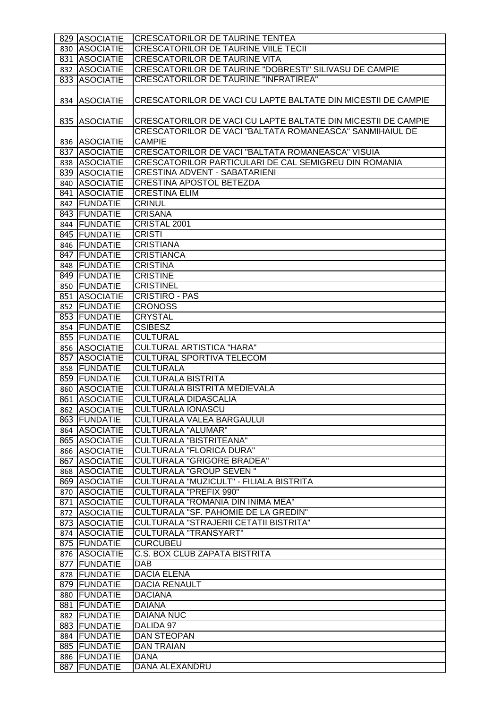| 829 ASOCIATIE                | <b>CRESCATORILOR DE TAURINE TENTEA</b>                        |
|------------------------------|---------------------------------------------------------------|
| 830 ASOCIATIE                | <b>CRESCATORILOR DE TAURINE VIILE TECII</b>                   |
| 831 ASOCIATIE                | <b>CRESCATORILOR DE TAURINE VITA</b>                          |
| 832 ASOCIATIE                | CRESCATORILOR DE TAURINE "DOBRESTI" SILIVASU DE CAMPIE        |
| 833 ASOCIATIE                | <b>CRESCATORILOR DE TAURINE "INFRATIREA"</b>                  |
|                              |                                                               |
| 834 ASOCIATIE                | CRESCATORILOR DE VACI CU LAPTE BALTATE DIN MICESTII DE CAMPIE |
| 835 ASOCIATIE                | CRESCATORILOR DE VACI CU LAPTE BALTATE DIN MICESTII DE CAMPIE |
|                              | CRESCATORILOR DE VACI "BALTATA ROMANEASCA" SANMIHAIUL DE      |
| 836 ASOCIATIE                | <b>CAMPIE</b>                                                 |
| 837 ASOCIATIE                | CRESCATORILOR DE VACI "BALTATA ROMANEASCA" VISUIA             |
| 838 ASOCIATIE                | CRESCATORILOR PARTICULARI DE CAL SEMIGREU DIN ROMANIA         |
| 839 ASOCIATIE                | <b>CRESTINA ADVENT - SABATARIENI</b>                          |
| 840 ASOCIATIE                | <b>CRESTINA APOSTOL BETEZDA</b>                               |
| 841 ASOCIATIE                | <b>CRESTINA ELIM</b>                                          |
| 842 FUNDATIE                 | <b>CRINUL</b>                                                 |
| 843 FUNDATIE                 | <b>CRISANA</b>                                                |
| 844 FUNDATIE                 | CRISTAL 2001                                                  |
| 845 FUNDATIE                 | <b>CRISTI</b>                                                 |
| 846 FUNDATIE                 | <b>CRISTIANA</b>                                              |
| 847 FUNDATIE                 | <b>CRISTIANCA</b>                                             |
| 848 FUNDATIE                 | <b>CRISTINA</b>                                               |
| 849 FUNDATIE                 | <b>CRISTINE</b>                                               |
| 850 FUNDATIE                 | <b>CRISTINEL</b>                                              |
| 851 ASOCIATIE                | <b>CRISTIRO - PAS</b>                                         |
| 852 FUNDATIE                 | <b>CRONOSS</b>                                                |
| 853 FUNDATIE                 | <b>CRYSTAL</b>                                                |
| 854 FUNDATIE                 | <b>CSIBESZ</b>                                                |
| 855 FUNDATIE                 | <b>CULTURAL</b>                                               |
| 856 ASOCIATIE                | CULTURAL ARTISTICA "HARA"                                     |
| 857 ASOCIATIE                | <b>CULTURAL SPORTIVA TELECOM</b>                              |
| 858 FUNDATIE                 | <b>CULTURALA</b>                                              |
| 859 FUNDATIE                 | <b>CULTURALA BISTRITA</b>                                     |
| 860 ASOCIATIE                | CULTURALA BISTRITA MEDIEVALA                                  |
| 861 ASOCIATIE                | <b>CULTURALA DIDASCALIA</b>                                   |
| 862 ASOCIATIE                | <b>CULTURALA IONASCU</b>                                      |
| 863 FUNDATIE                 | CULTURALA VALEA BARGAULUI                                     |
| 864 ASOCIATIE                | <b>CULTURALA "ALUMAR"</b>                                     |
| 865 ASOCIATIE                | <b>CULTURALA "BISTRITEANA"</b>                                |
| 866 ASOCIATIE                | <b>CULTURALA "FLORICA DURA"</b>                               |
| 867 ASOCIATIE                | <b>CULTURALA "GRIGORE BRADEA"</b>                             |
| 868 ASOCIATIE                | <b>CULTURALA "GROUP SEVEN"</b>                                |
| 869 ASOCIATIE                | CULTURALA "MUZICULT" - FILIALA BISTRITA                       |
| 870 ASOCIATIE                | <b>CULTURALA "PREFIX 990"</b>                                 |
| 871 ASOCIATIE                | CULTURALA "ROMANIA DIN INIMA MEA"                             |
| 872 ASOCIATIE                | CULTURALA "SF. PAHOMIE DE LA GREDIN"                          |
| 873 ASOCIATIE                | CULTURALA "STRAJERII CETATII BISTRITA"                        |
| 874 ASOCIATIE                | CULTURALA "TRANSYART"                                         |
| 875 FUNDATIE                 | <b>CURCUBEU</b>                                               |
| 876 ASOCIATIE                | <b>C.S. BOX CLUB ZAPATA BISTRITA</b>                          |
| 877 FUNDATIE                 | <b>DAB</b>                                                    |
| 878 FUNDATIE                 | <b>DACIA ELENA</b>                                            |
| 879 FUNDATIE                 | <b>DACIA RENAULT</b>                                          |
| 880 FUNDATIE                 | <b>DACIANA</b>                                                |
| 881 FUNDATIE                 | <b>DAIANA</b>                                                 |
| 882 FUNDATIE                 | <b>DAIANA NUC</b>                                             |
| 883 FUNDATIE                 | DALIDA 97                                                     |
| 884 FUNDATIE<br>885 FUNDATIE | <b>DAN STEOPAN</b><br><b>DAN TRAIAN</b>                       |
| 886 FUNDATIE                 | <b>DANA</b>                                                   |
| 887 FUNDATIE                 | DANA ALEXANDRU                                                |
|                              |                                                               |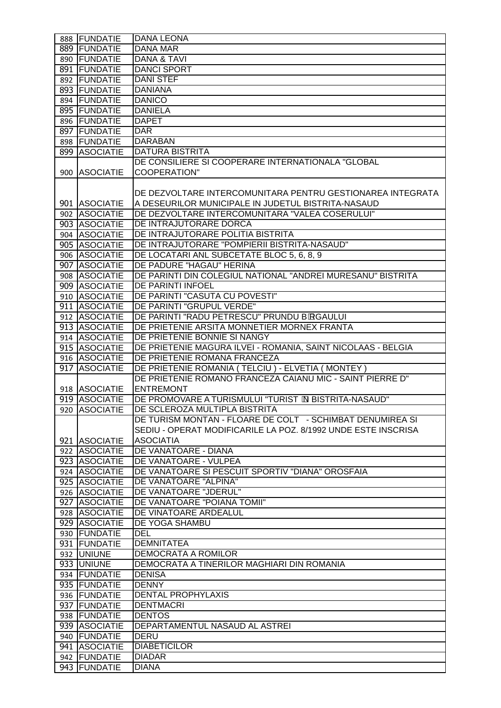| 888 FUNDATIE  | <b>DANA LEONA</b>                                               |
|---------------|-----------------------------------------------------------------|
| 889 FUNDATIE  | <b>DANA MAR</b>                                                 |
| 890 FUNDATIE  | <b>DANA &amp; TAVI</b>                                          |
| 891 FUNDATIE  | <b>DANCI SPORT</b>                                              |
| 892 FUNDATIE  | <b>DANI STEF</b>                                                |
| 893 FUNDATIE  | <b>DANIANA</b>                                                  |
| 894 FUNDATIE  | <b>DANICO</b>                                                   |
| 895 FUNDATIE  | <b>DANIELA</b>                                                  |
| 896 FUNDATIE  | <b>DAPET</b>                                                    |
| 897 FUNDATIE  | <b>DAR</b>                                                      |
| 898 FUNDATIE  | <b>DARABAN</b>                                                  |
| 899 ASOCIATIE | <b>DATURA BISTRITA</b>                                          |
|               | DE CONSILIERE SI COOPERARE INTERNATIONALA "GLOBAL               |
| 900 ASOCIATIE | <b>COOPERATION"</b>                                             |
|               |                                                                 |
|               | DE DEZVOLTARE INTERCOMUNITARA PENTRU GESTIONAREA INTEGRATA      |
| 901 ASOCIATIE | A DESEURILOR MUNICIPALE IN JUDETUL BISTRITA-NASAUD              |
| 902 ASOCIATIE | DE DEZVOLTARE INTERCOMUNITARA "VALEA COSERULUI"                 |
| 903 ASOCIATIE | DE INTRAJUTORARE DORCA                                          |
| 904 ASOCIATIE | DE INTRAJUTORARE POLITIA BISTRITA                               |
| 905 ASOCIATIE | DE INTRAJUTORARE "POMPIERII BISTRITA-NASAUD"                    |
| 906 ASOCIATIE | DE LOCATARI ANL SUBCETATE BLOC 5, 6, 8, 9                       |
| 907 ASOCIATIE | DE PADURE "HAGAU" HERINA                                        |
| 908 ASOCIATIE | DE PARINTI DIN COLEGIUL NATIONAL "ANDREI MURESANU" BISTRITA     |
|               |                                                                 |
| 909 ASOCIATIE | DE PARINTI INFOEL                                               |
| 910 ASOCIATIE | DE PARINTI "CASUTA CU POVESTI"                                  |
| 911 ASOCIATIE | DE PARINTI "GRUPUL VERDE"                                       |
| 912 ASOCIATIE | DE PARINTI "RADU PETRESCU" PRUNDU BORGAULUI                     |
| 913 ASOCIATIE | DE PRIETENIE ARSITA MONNETIER MORNEX FRANTA                     |
| 914 ASOCIATIE | DE PRIETENIE BONNIE SI NANGY                                    |
| 915 ASOCIATIE | DE PRIETENIE MAGURA ILVEI - ROMANIA, SAINT NICOLAAS - BELGIA    |
| 916 ASOCIATIE | DE PRIETENIE ROMANA FRANCEZA                                    |
| 917 ASOCIATIE | DE PRIETENIE ROMANIA (TELCIU) - ELVETIA (MONTEY)                |
|               | DE PRIETENIE ROMANO FRANCEZA CAIANU MIC - SAINT PIERRE D"       |
| 918 ASOCIATIE | <b>ENTREMONT</b>                                                |
| 919 ASOCIATIE | DE PROMOVARE A TURISMULUI "TURIST <sup>N</sup> BISTRITA-NASAUD" |
| 920 ASOCIATIE | DE SCLEROZA MULTIPLA BISTRITA                                   |
|               | DE TURISM MONTAN - FLOARE DE COLT - SCHIMBAT DENUMIREA SI       |
|               | SEDIU - OPERAT MODIFICARILE LA POZ. 8/1992 UNDE ESTE INSCRISA   |
| 921 ASOCIATIE | <b>ASOCIATIA</b>                                                |
| 922 ASOCIATIE | DE VANATOARE - DIANA                                            |
| 923 ASOCIATIE | DE VANATOARE - VULPEA                                           |
| 924 ASOCIATIE | DE VANATOARE SI PESCUIT SPORTIV "DIANA" OROSFAIA                |
| 925 ASOCIATIE | DE VANATOARE "ALPINA"                                           |
| 926 ASOCIATIE | DE VANATOARE "JDERUL"                                           |
| 927 ASOCIATIE | DE VANATOARE "POIANA TOMII"                                     |
| 928 ASOCIATIE | DE VINATOARE ARDEALUL                                           |
| 929 ASOCIATIE | DE YOGA SHAMBU                                                  |
| 930 FUNDATIE  | <b>DEL</b>                                                      |
| 931 FUNDATIE  | <b>DEMNITATEA</b>                                               |
| 932 UNIUNE    | DEMOCRATA A ROMILOR                                             |
| 933 UNIUNE    | DEMOCRATA A TINERILOR MAGHIARI DIN ROMANIA                      |
| 934 FUNDATIE  | <b>DENISA</b>                                                   |
| 935 FUNDATIE  | <b>DENNY</b>                                                    |
| 936 FUNDATIE  | <b>DENTAL PROPHYLAXIS</b>                                       |
| 937 FUNDATIE  | <b>DENTMACRI</b>                                                |
| 938 FUNDATIE  | <b>DENTOS</b>                                                   |
| 939 ASOCIATIE | DEPARTAMENTUL NASAUD AL ASTREI                                  |
| 940 FUNDATIE  | <b>DERU</b>                                                     |
| 941 ASOCIATIE | <b>DIABETICILOR</b>                                             |
|               | <b>DIADAR</b>                                                   |
| 942 FUNDATIE  |                                                                 |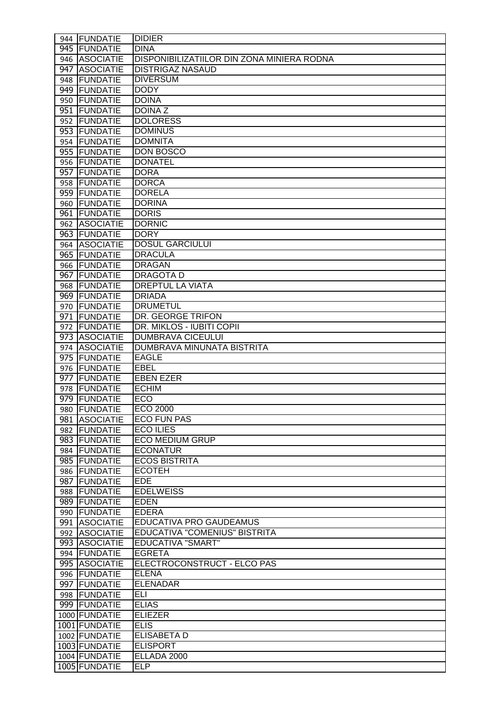|     | 944 FUNDATIE    | <b>DIDIER</b>                                     |
|-----|-----------------|---------------------------------------------------|
|     | 945 FUNDATIE    | <b>DINA</b>                                       |
|     | 946 ASOCIATIE   | <b>DISPONIBILIZATIILOR DIN ZONA MINIERA RODNA</b> |
|     | 947 ASOCIATIE   | <b>DISTRIGAZ NASAUD</b>                           |
|     | 948 FUNDATIE    | <b>DIVERSUM</b>                                   |
|     | 949 FUNDATIE    | <b>DODY</b>                                       |
|     | 950 FUNDATIE    | <b>DOINA</b>                                      |
|     | 951 FUNDATIE    | <b>DOINAZ</b>                                     |
|     | 952 FUNDATIE    | <b>DOLORESS</b>                                   |
|     | 953 FUNDATIE    | <b>DOMINUS</b>                                    |
|     | 954 FUNDATIE    | <b>DOMNITA</b>                                    |
|     | 955 FUNDATIE    | <b>DON BOSCO</b>                                  |
|     | 956 FUNDATIE    | <b>DONATEL</b>                                    |
|     | 957 FUNDATIE    | <b>DORA</b>                                       |
|     | 958 FUNDATIE    | <b>DORCA</b>                                      |
|     | 959 FUNDATIE    | <b>DORELA</b>                                     |
|     | 960 FUNDATIE    | <b>DORINA</b>                                     |
|     | 961 FUNDATIE    | <b>DORIS</b>                                      |
|     | 962 ASOCIATIE   | <b>DORNIC</b>                                     |
|     | 963 FUNDATIE    | <b>DORY</b>                                       |
|     | 964 ASOCIATIE   | <b>DOSUL GARCIULUI</b>                            |
|     | 965 FUNDATIE    | <b>DRACULA</b>                                    |
|     | 966 FUNDATIE    | <b>DRAGAN</b>                                     |
|     | 967 FUNDATIE    | <b>DRAGOTAD</b>                                   |
| 968 | <b>FUNDATIE</b> | <b>DREPTUL LA VIATA</b>                           |
|     | 969 FUNDATIE    | <b>DRIADA</b>                                     |
|     | 970 FUNDATIE    | <b>DRUMETUL</b>                                   |
|     | 971 FUNDATIE    | DR. GEORGE TRIFON                                 |
|     | 972   FUNDATIE  | DR. MIKLOS - IUBITI COPII                         |
|     | 973 ASOCIATIE   | <b>DUMBRAVA CICEULUI</b>                          |
|     | 974 ASOCIATIE   | DUMBRAVA MINUNATA BISTRITA                        |
|     | 975 FUNDATIE    | <b>EAGLE</b>                                      |
|     | 976 FUNDATIE    | <b>EBEL</b>                                       |
|     | 977 FUNDATIE    | <b>EBEN EZER</b>                                  |
|     | 978 FUNDATIE    | <b>ECHIM</b>                                      |
|     | 979 FUNDATIE    | <b>ECO</b>                                        |
|     | 980 FUNDATIE    | <b>ECO 2000</b>                                   |
|     | 981 ASOCIATIE   | <b>ECO FUN PAS</b>                                |
|     | 982 FUNDATIE    | <b>ECO ILIES</b>                                  |
|     | 983 FUNDATIE    | <b>ECO MEDIUM GRUP</b>                            |
|     | 984 FUNDATIE    | <b>ECONATUR</b>                                   |
|     | 985 FUNDATIE    | <b>ECOS BISTRITA</b>                              |
|     | 986 FUNDATIE    | <b>ECOTEH</b>                                     |
|     | 987 FUNDATIE    | <b>EDE</b>                                        |
|     | 988 FUNDATIE    | <b>EDELWEISS</b>                                  |
|     | 989 FUNDATIE    | <b>EDEN</b>                                       |
|     | 990 FUNDATIE    | <b>EDERA</b>                                      |
|     | 991 ASOCIATIE   | <b>EDUCATIVA PRO GAUDEAMUS</b>                    |
|     | 992 ASOCIATIE   | EDUCATIVA "COMENIUS" BISTRITA                     |
|     | 993 ASOCIATIE   | <b>EDUCATIVA "SMART"</b>                          |
|     | 994 FUNDATIE    | <b>EGRETA</b>                                     |
|     | 995 ASOCIATIE   | ELECTROCONSTRUCT - ELCO PAS                       |
|     | 996 FUNDATIE    | <b>ELENA</b>                                      |
|     | 997 FUNDATIE    | <b>ELENADAR</b>                                   |
|     | 998 FUNDATIE    | ELI                                               |
|     | 999 FUNDATIE    | <b>ELIAS</b>                                      |
|     | 1000 FUNDATIE   | <b>ELIEZER</b>                                    |
|     | 1001 FUNDATIE   | <b>ELIS</b>                                       |
|     | 1002 FUNDATIE   | <b>ELISABETA D</b>                                |
|     | 1003 FUNDATIE   | <b>ELISPORT</b>                                   |
|     | 1004 FUNDATIE   | ELLADA 2000                                       |
|     | 1005 FUNDATIE   | <b>ELP</b>                                        |
|     |                 |                                                   |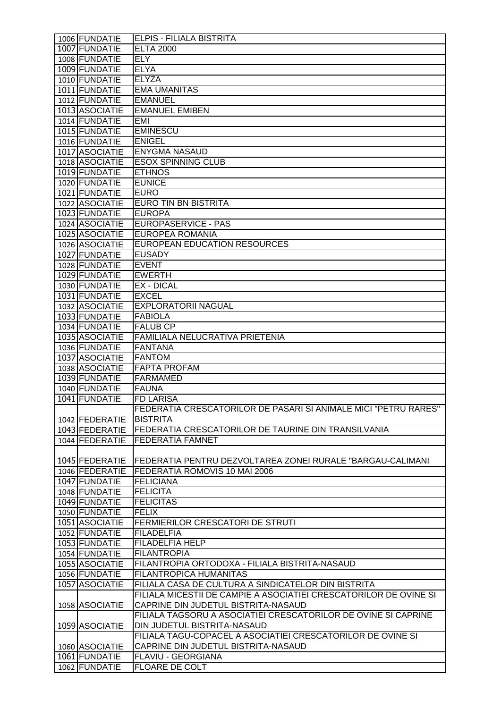| 1006 FUNDATIE  | <b>ELPIS - FILIALA BISTRITA</b>                                   |
|----------------|-------------------------------------------------------------------|
| 1007 FUNDATIE  | <b>ELTA 2000</b>                                                  |
| 1008 FUNDATIE  | <b>ELY</b>                                                        |
| 1009 FUNDATIE  | <b>ELYA</b>                                                       |
| 1010 FUNDATIE  | <b>ELYZA</b>                                                      |
| 1011 FUNDATIE  | <b>EMA UMANITAS</b>                                               |
| 1012 FUNDATIE  | <b>EMANUEL</b>                                                    |
| 1013 ASOCIATIE | <b>EMANUEL EMIBEN</b>                                             |
| 1014 FUNDATIE  | EMI                                                               |
| 1015 FUNDATIE  | <b>EMINESCU</b>                                                   |
| 1016 FUNDATIE  | <b>ENIGEL</b>                                                     |
| 1017 ASOCIATIE | <b>ENYGMA NASAUD</b>                                              |
| 1018 ASOCIATIE | <b>ESOX SPINNING CLUB</b>                                         |
| 1019 FUNDATIE  | <b>ETHNOS</b>                                                     |
|                | <b>EUNICE</b>                                                     |
| 1020 FUNDATIE  |                                                                   |
| 1021 FUNDATIE  | <b>EURO</b>                                                       |
| 1022 ASOCIATIE | <b>EURO TIN BN BISTRITA</b>                                       |
| 1023 FUNDATIE  | <b>EUROPA</b>                                                     |
| 1024 ASOCIATIE | <b>EUROPASERVICE - PAS</b>                                        |
| 1025 ASOCIATIE | EUROPEA ROMANIA                                                   |
| 1026 ASOCIATIE | EUROPEAN EDUCATION RESOURCES                                      |
| 1027 FUNDATIE  | <b>EUSADY</b>                                                     |
| 1028 FUNDATIE  | <b>EVENT</b>                                                      |
| 1029 FUNDATIE  | <b>EWERTH</b>                                                     |
| 1030 FUNDATIE  | EX - DICAL                                                        |
| 1031 FUNDATIE  | <b>EXCEL</b>                                                      |
| 1032 ASOCIATIE | <b>EXPLORATORII NAGUAL</b>                                        |
| 1033 FUNDATIE  | <b>FABIOLA</b>                                                    |
| 1034 FUNDATIE  | <b>FALUB CP</b>                                                   |
| 1035 ASOCIATIE | FAMILIALA NELUCRATIVA PRIETENIA                                   |
| 1036 FUNDATIE  | <b>FANTANA</b>                                                    |
| 1037 ASOCIATIE | <b>FANTOM</b>                                                     |
| 1038 ASOCIATIE | <b>FAPTA PROFAM</b>                                               |
| 1039 FUNDATIE  | <b>FARMAMED</b>                                                   |
| 1040 FUNDATIE  | <b>FAUNA</b>                                                      |
| 1041 FUNDATIE  | <b>FD LARISA</b>                                                  |
|                | FEDERATIA CRESCATORILOR DE PASARI SI ANIMALE MICI "PETRU RARES"   |
| 1042 FEDERATIE | <b>BISTRITA</b>                                                   |
| 1043 FEDERATIE | FEDERATIA CRESCATORILOR DE TAURINE DIN TRANSILVANIA               |
| 1044 FEDERATIE | <b>FEDERATIA FAMNET</b>                                           |
|                |                                                                   |
| 1045 FEDERATIE | FEDERATIA PENTRU DEZVOLTAREA ZONEI RURALE "BARGAU-CALIMANI        |
| 1046 FEDERATIE | FEDERATIA ROMOVIS 10 MAI 2006                                     |
| 1047 FUNDATIE  | <b>FELICIANA</b>                                                  |
| 1048 FUNDATIE  | <b>FELICITA</b>                                                   |
| 1049 FUNDATIE  | <b>FELICITAS</b>                                                  |
| 1050 FUNDATIE  | <b>FELIX</b>                                                      |
| 1051 ASOCIATIE | FERMIERILOR CRESCATORI DE STRUTI                                  |
| 1052 FUNDATIE  | <b>FILADELFIA</b>                                                 |
| 1053 FUNDATIE  | FILADELFIA HELP                                                   |
| 1054 FUNDATIE  | <b>FILANTROPIA</b>                                                |
| 1055 ASOCIATIE | FILANTROPIA ORTODOXA - FILIALA BISTRITA-NASAUD                    |
| 1056 FUNDATIE  | FILANTROPICA HUMANITAS                                            |
| 1057 ASOCIATIE | FILIALA CASA DE CULTURA A SINDICATELOR DIN BISTRITA               |
|                | FILIALA MICESTII DE CAMPIE A ASOCIATIEI CRESCATORILOR DE OVINE SI |
| 1058 ASOCIATIE | CAPRINE DIN JUDETUL BISTRITA-NASAUD                               |
|                | FILIALA TAGSORU A ASOCIATIEI CRESCATORILOR DE OVINE SI CAPRINE    |
| 1059 ASOCIATIE | DIN JUDETUL BISTRITA-NASAUD                                       |
|                | FILIALA TAGU-COPACEL A ASOCIATIEI CRESCATORILOR DE OVINE SI       |
| 1060 ASOCIATIE | CAPRINE DIN JUDETUL BISTRITA-NASAUD                               |
| 1061 FUNDATIE  | FLAVIU - GEORGIANA                                                |
| 1062 FUNDATIE  | <b>FLOARE DE COLT</b>                                             |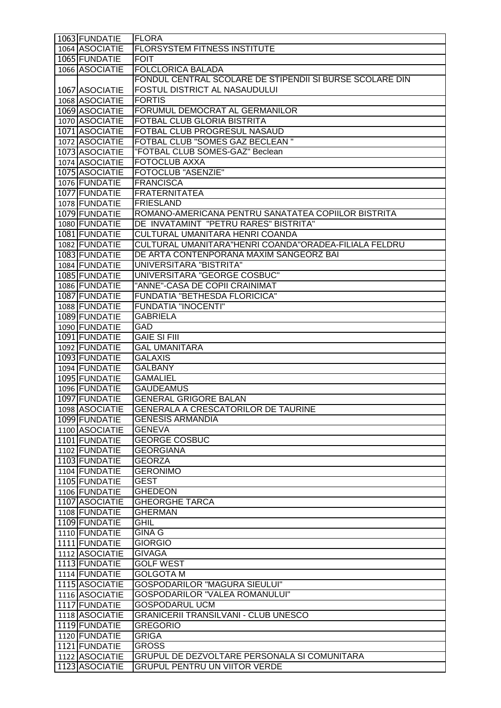| 1063 FUNDATIE                    | <b>FLORA</b>                                                                         |
|----------------------------------|--------------------------------------------------------------------------------------|
| 1064 ASOCIATIE                   | FLORSYSTEM FITNESS INSTITUTE                                                         |
| 1065 FUNDATIE                    | <b>FOIT</b>                                                                          |
| 1066 ASOCIATIE                   | <b>FOLCLORICA BALADA</b>                                                             |
|                                  | FONDUL CENTRAL SCOLARE DE STIPENDII SI BURSE SCOLARE DIN                             |
| 1067 ASOCIATIE                   | FOSTUL DISTRICT AL NASAUDULUI                                                        |
| 1068 ASOCIATIE                   | <b>FORTIS</b>                                                                        |
| 1069 ASOCIATIE                   | FORUMUL DEMOCRAT AL GERMANILOR                                                       |
| 1070 ASOCIATIE                   | FOTBAL CLUB GLORIA BISTRITA                                                          |
| 1071 ASOCIATIE                   | FOTBAL CLUB PROGRESUL NASAUD                                                         |
| 1072 ASOCIATIE                   | <b>FOTBAL CLUB "SOMES GAZ BECLEAN "</b>                                              |
| 1073 ASOCIATIE                   | "FOTBAL CLUB SOMES-GAZ" Beclean                                                      |
| 1074 ASOCIATIE                   | <b>FOTOCLUB AXXA</b>                                                                 |
|                                  | <b>FOTOCLUB "ASENZIE"</b>                                                            |
| 1075 ASOCIATIE                   |                                                                                      |
| 1076 FUNDATIE                    | <b>FRANCISCA</b>                                                                     |
| 1077 FUNDATIE                    | <b>FRATERNITATEA</b>                                                                 |
| 1078 FUNDATIE                    | <b>FRIESLAND</b>                                                                     |
| 1079 FUNDATIE                    | ROMANO-AMERICANA PENTRU SANATATEA COPIILOR BISTRITA                                  |
| 1080 FUNDATIE                    | DE INVATAMINT "PETRU RARES" BISTRITA"                                                |
| 1081 FUNDATIE                    | CULTURAL UMANITARA HENRI COANDA                                                      |
| 1082 FUNDATIE                    | CULTURAL UMANITARA"HENRI COANDA"ORADEA-FILIALA FELDRU                                |
| 1083 FUNDATIE                    | DE ARTA CONTENPORANA MAXIM SANGEORZ BAI                                              |
| 1084 FUNDATIE                    | <b>UNIVERSITARA "BISTRITA"</b>                                                       |
| 1085 FUNDATIE                    | UNIVERSITARA "GEORGE COSBUC"                                                         |
| 1086 FUNDATIE                    | "ANNE"-CASA DE COPII CRAINIMAT                                                       |
| 1087 FUNDATIE                    | FUNDATIA "BETHESDA FLORICICA"                                                        |
| 1088 FUNDATIE                    | <b>FUNDATIA "INOCENTI"</b>                                                           |
| 1089 FUNDATIE                    | <b>GABRIELA</b>                                                                      |
| 1090 FUNDATIE                    | GAD                                                                                  |
| 1091 FUNDATIE                    | <b>GAIE SI FIII</b>                                                                  |
| 1092 FUNDATIE                    | <b>GAL UMANITARA</b>                                                                 |
| 1093 FUNDATIE                    | <b>GALAXIS</b>                                                                       |
| 1094 FUNDATIE                    | <b>GALBANY</b>                                                                       |
| 1095 FUNDATIE                    | <b>GAMALIEL</b>                                                                      |
| 1096 FUNDATIE                    | <b>GAUDEAMUS</b>                                                                     |
| 1097 FUNDATIE                    | <b>GENERAL GRIGORE BALAN</b>                                                         |
| 1098 ASOCIATIE                   | <b>GENERALA A CRESCATORILOR DE TAURINE</b>                                           |
| 1099 FUNDATIE                    | <b>GENESIS ARMANDIA</b>                                                              |
| 1100 ASOCIATIE                   | <b>GENEVA</b>                                                                        |
| 1101 FUNDATIE                    | <b>GEORGE COSBUC</b>                                                                 |
| 1102 FUNDATIE                    | <b>GEORGIANA</b>                                                                     |
| 1103 FUNDATIE                    | <b>GEORZA</b>                                                                        |
| 1104 FUNDATIE                    | <b>GERONIMO</b>                                                                      |
| 1105 FUNDATIE                    | <b>GEST</b>                                                                          |
| 1106 FUNDATIE                    | <b>GHEDEON</b>                                                                       |
| 1107 ASOCIATIE                   |                                                                                      |
| 1108 FUNDATIE                    |                                                                                      |
|                                  | <b>GHEORGHE TARCA</b>                                                                |
|                                  | <b>GHERMAN</b>                                                                       |
| 1109 FUNDATIE                    | <b>GHIL</b>                                                                          |
| 1110 FUNDATIE                    | <b>GINA G</b>                                                                        |
| 1111 FUNDATIE                    | <b>GIORGIO</b>                                                                       |
| 1112 ASOCIATIE                   | <b>GIVAGA</b>                                                                        |
| 1113 FUNDATIE                    | <b>GOLF WEST</b>                                                                     |
| 1114 FUNDATIE                    | <b>GOLGOTA M</b>                                                                     |
| 1115 ASOCIATIE                   | <b>GOSPODARILOR "MAGURA SIEULUI"</b>                                                 |
| 1116 ASOCIATIE                   | <b>GOSPODARILOR "VALEA ROMANULUI"</b>                                                |
| 1117 FUNDATIE                    | <b>GOSPODARUL UCM</b>                                                                |
| 1118 ASOCIATIE                   | <b>GRANICERII TRANSILVANI - CLUB UNESCO</b>                                          |
| 1119 FUNDATIE                    | <b>GREGORIO</b>                                                                      |
| 1120 FUNDATIE                    | <b>GRIGA</b>                                                                         |
| 1121 FUNDATIE                    | <b>GROSS</b>                                                                         |
| 1122 ASOCIATIE<br>1123 ASOCIATIE | GRUPUL DE DEZVOLTARE PERSONALA SI COMUNITARA<br><b>GRUPUL PENTRU UN VIITOR VERDE</b> |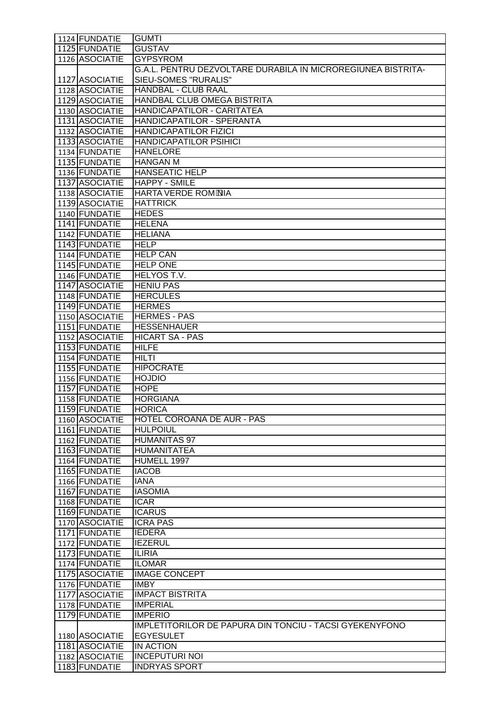| 1124 FUNDATIE  | <b>GUMTI</b>                                                   |
|----------------|----------------------------------------------------------------|
| 1125 FUNDATIE  | <b>GUSTAV</b>                                                  |
| 1126 ASOCIATIE | <b>GYPSYROM</b>                                                |
|                | G.A.L. PENTRU DEZVOLTARE DURABILA IN MICROREGIUNEA BISTRITA-   |
| 1127 ASOCIATIE | <b>SIEU-SOMES "RURALIS"</b>                                    |
| 1128 ASOCIATIE | <b>HANDBAL - CLUB RAAL</b>                                     |
| 1129 ASOCIATIE | HANDBAL CLUB OMEGA BISTRITA                                    |
| 1130 ASOCIATIE | HANDICAPATILOR - CARITATEA                                     |
| 1131 ASOCIATIE | HANDICAPATILOR - SPERANTA                                      |
| 1132 ASOCIATIE | <b>HANDICAPATILOR FIZICI</b>                                   |
| 1133 ASOCIATIE | <b>HANDICAPATILOR PSIHICI</b>                                  |
| 1134 FUNDATIE  | <b>HANELORE</b>                                                |
| 1135 FUNDATIE  | <b>HANGAN M</b>                                                |
| 1136 FUNDATIE  | <b>HANSEATIC HELP</b>                                          |
| 1137 ASOCIATIE | <b>HAPPY - SMILE</b>                                           |
| 1138 ASOCIATIE | <b>HARTA VERDE ROM*NIA</b>                                     |
| 1139 ASOCIATIE | <b>HATTRICK</b>                                                |
| 1140 FUNDATIE  | <b>HEDES</b>                                                   |
| 1141 FUNDATIE  | <b>HELENA</b>                                                  |
| 1142 FUNDATIE  | <b>HELIANA</b>                                                 |
| 1143 FUNDATIE  | <b>HELP</b>                                                    |
| 1144 FUNDATIE  | <b>HELP CAN</b>                                                |
| 1145 FUNDATIE  | <b>HELP ONE</b>                                                |
| 1146 FUNDATIE  | <b>HELYOS T.V.</b>                                             |
| 1147 ASOCIATIE | <b>HENIU PAS</b>                                               |
| 1148 FUNDATIE  | <b>HERCULES</b>                                                |
| 1149 FUNDATIE  | <b>HERMES</b>                                                  |
| 1150 ASOCIATIE | <b>HERMES - PAS</b>                                            |
| 1151 FUNDATIE  | <b>HESSENHAUER</b>                                             |
| 1152 ASOCIATIE | <b>HICART SA - PAS</b>                                         |
| 1153 FUNDATIE  | <b>HILFE</b>                                                   |
| 1154 FUNDATIE  | <b>HILTI</b>                                                   |
| 1155 FUNDATIE  | <b>HIPOCRATE</b>                                               |
| 1156 FUNDATIE  | <b>HOJDIO</b>                                                  |
| 1157 FUNDATIE  | <b>HOPE</b>                                                    |
| 1158 FUNDATIE  | <b>HORGIANA</b>                                                |
| 1159 FUNDATIE  | <b>HORICA</b>                                                  |
| 1160 ASOCIATIE | HOTEL COROANA DE AUR - PAS                                     |
| 1161 FUNDATIE  | <b>HULPOIUL</b>                                                |
| 1162 FUNDATIE  | <b>HUMANITAS 97</b>                                            |
| 1163 FUNDATIE  | <b>HUMANITATEA</b>                                             |
| 1164 FUNDATIE  | HUMELL 1997                                                    |
| 1165 FUNDATIE  | <b>IACOB</b>                                                   |
| 1166 FUNDATIE  | <b>IANA</b>                                                    |
| 1167 FUNDATIE  | <b>IASOMIA</b>                                                 |
| 1168 FUNDATIE  | <b>ICAR</b>                                                    |
| 1169 FUNDATIE  | <b>ICARUS</b>                                                  |
| 1170 ASOCIATIE | <b>ICRA PAS</b>                                                |
| 1171 FUNDATIE  | <b>IEDERA</b>                                                  |
| 1172 FUNDATIE  | <b>IEZERUL</b>                                                 |
| 1173 FUNDATIE  | <b>ILIRIA</b>                                                  |
| 1174 FUNDATIE  | <b>ILOMAR</b>                                                  |
| 1175 ASOCIATIE | <b>IMAGE CONCEPT</b>                                           |
| 1176 FUNDATIE  | <b>IMBY</b>                                                    |
| 1177 ASOCIATIE | <b>IMPACT BISTRITA</b>                                         |
| 1178 FUNDATIE  | <b>IMPERIAL</b>                                                |
| 1179 FUNDATIE  | <b>IMPERIO</b>                                                 |
|                | <b>IMPLETITORILOR DE PAPURA DIN TONCIU - TACSI GYEKENYFONO</b> |
| 1180 ASOCIATIE | <b>EGYESULET</b>                                               |
| 1181 ASOCIATIE | <b>IN ACTION</b>                                               |
| 1182 ASOCIATIE | <b>INCEPUTURI NOI</b>                                          |
| 1183 FUNDATIE  | <b>INDRYAS SPORT</b>                                           |
|                |                                                                |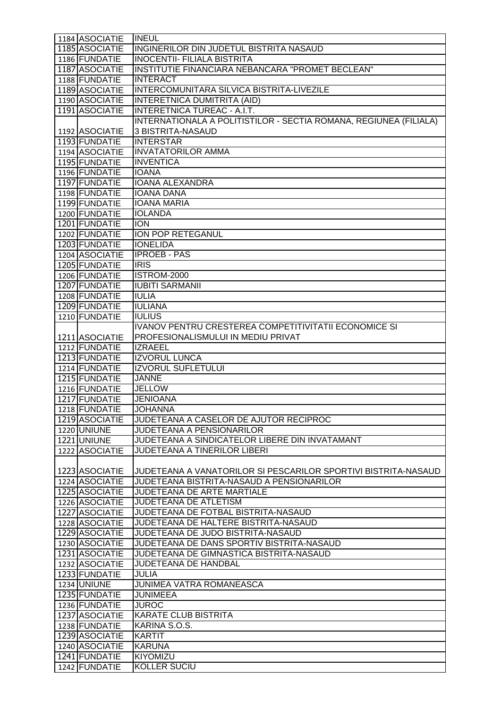| 1184 ASOCIATIE                 | <b>INEUL</b>                                                      |
|--------------------------------|-------------------------------------------------------------------|
| 1185 ASOCIATIE                 | INGINERILOR DIN JUDETUL BISTRITA NASAUD                           |
| 1186 FUNDATIE                  | <b>INOCENTII- FILIALA BISTRITA</b>                                |
| 1187 ASOCIATIE                 | INSTITUTIE FINANCIARA NEBANCARA "PROMET BECLEAN"                  |
| 1188 FUNDATIE                  | <b>INTERACT</b>                                                   |
| 1189 ASOCIATIE                 | INTERCOMUNITARA SILVICA BISTRITA-LIVEZILE                         |
| 1190 ASOCIATIE                 | INTERETNICA DUMITRITA (AID)                                       |
| 1191 ASOCIATIE                 | <b>INTERETNICA TUREAC - A.I.T.</b>                                |
|                                | INTERNATIONALA A POLITISTILOR - SECTIA ROMANA, REGIUNEA (FILIALA) |
| 1192 ASOCIATIE                 | 3 BISTRITA-NASAUD                                                 |
| 1193 FUNDATIE                  | <b>INTERSTAR</b>                                                  |
| 1194 ASOCIATIE                 | <b>INVATATORILOR AMMA</b>                                         |
| 1195 FUNDATIE                  | <b>INVENTICA</b>                                                  |
| 1196 FUNDATIE                  | <b>IOANA</b>                                                      |
| 1197 FUNDATIE                  | <b>IOANA ALEXANDRA</b>                                            |
| 1198 FUNDATIE                  | <b>IOANA DANA</b>                                                 |
| 1199 FUNDATIE                  | <b>IOANA MARIA</b>                                                |
| 1200 FUNDATIE                  | <b>IOLANDA</b>                                                    |
| 1201 FUNDATIE                  | <b>ION</b>                                                        |
| 1202 FUNDATIE                  | ION POP RETEGANUL                                                 |
| 1203 FUNDATIE                  | <b>IONELIDA</b>                                                   |
| 1204 ASOCIATIE                 | <b>IPROEB - PAS</b>                                               |
| 1205 FUNDATIE                  | IRIS                                                              |
| 1206 FUNDATIE                  | <b>ISTROM-2000</b>                                                |
| 1207 FUNDATIE                  | <b>IUBITI SARMANII</b>                                            |
| 1208 FUNDATIE                  | <b>IULIA</b>                                                      |
| 1209 FUNDATIE                  | <b>IULIANA</b>                                                    |
| 1210 FUNDATIE                  | <b>IULIUS</b>                                                     |
|                                | IVANOV PENTRU CRESTEREA COMPETITIVITATII ECONOMICE SI             |
| 1211 ASOCIATIE                 | PROFESIONALISMULUI IN MEDIU PRIVAT                                |
| 1212 FUNDATIE                  | <b>IZRAEEL</b>                                                    |
| 1213 FUNDATIE                  | <b>IZVORUL LUNCA</b>                                              |
| 1214 FUNDATIE                  | <b>IZVORUL SUFLETULUI</b>                                         |
|                                |                                                                   |
| 1215 FUNDATIE                  | <b>JANNE</b>                                                      |
| 1216 FUNDATIE                  | <b>JELLOW</b>                                                     |
| 1217 FUNDATIE                  | <b>JENIOANA</b>                                                   |
| 1218 FUNDATIE                  | <b>JOHANNA</b>                                                    |
| 1219 ASOCIATIE                 | JUDETEANA A CASELOR DE AJUTOR RECIPROC                            |
| 1220 UNIUNE                    | JUDETEANA A PENSIONARILOR                                         |
| 1221 UNIUNE                    | JUDETEANA A SINDICATELOR LIBERE DIN INVATAMANT                    |
| 1222 ASOCIATIE                 | JUDETEANA A TINERILOR LIBERI                                      |
|                                |                                                                   |
| 1223 ASOCIATIE                 | JUDETEANA A VANATORILOR SI PESCARILOR SPORTIVI BISTRITA-NASAUD    |
| 1224 ASOCIATIE                 | JUDETEANA BISTRITA-NASAUD A PENSIONARILOR                         |
| 1225 ASOCIATIE                 | <b>JUDETEANA DE ARTE MARTIALE</b>                                 |
| 1226 ASOCIATIE                 | JUDETEANA DE ATLETISM                                             |
| 1227 ASOCIATIE                 | JUDETEANA DE FOTBAL BISTRITA-NASAUD                               |
| 1228 ASOCIATIE                 | JUDETEANA DE HALTERE BISTRITA-NASAUD                              |
| 1229 ASOCIATIE                 | JUDETEANA DE JUDO BISTRITA-NASAUD                                 |
| 1230 ASOCIATIE                 | JUDETEANA DE DANS SPORTIV BISTRITA-NASAUD                         |
| 1231 ASOCIATIE                 | JUDETEANA DE GIMNASTICA BISTRITA-NASAUD                           |
| 1232 ASOCIATIE                 | JUDETEANA DE HANDBAL                                              |
| 1233 FUNDATIE                  | <b>JULIA</b>                                                      |
| 1234 UNIUNE                    | JUNIMEA VATRA ROMANEASCA                                          |
| 1235 FUNDATIE                  | <b>JUNIMEEA</b>                                                   |
| 1236 FUNDATIE                  | <b>JUROC</b>                                                      |
| 1237 ASOCIATIE                 | <b>KARATE CLUB BISTRITA</b>                                       |
| 1238 FUNDATIE                  | KARINA S.O.S.                                                     |
| 1239 ASOCIATIE                 | <b>KARTIT</b>                                                     |
| 1240 ASOCIATIE                 | <b>KARUNA</b>                                                     |
| 1241 FUNDATIE<br>1242 FUNDATIE | <b>KIYOMIZU</b><br><b>KOLLER SUCIU</b>                            |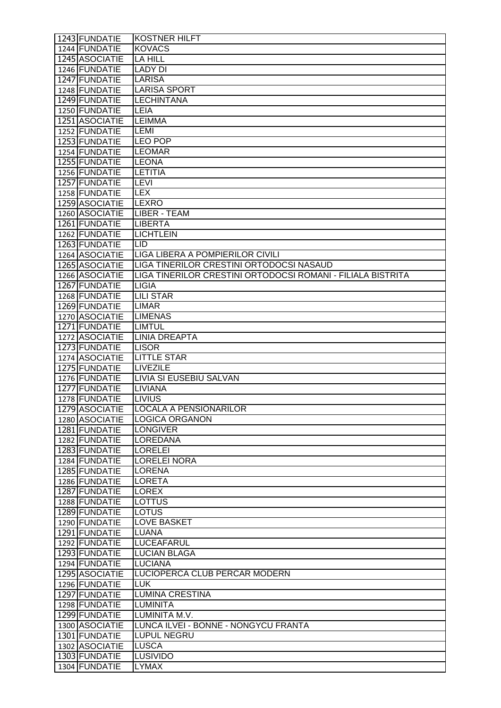| 1243 FUNDATIE  | <b>KOSTNER HILFT</b>                                        |
|----------------|-------------------------------------------------------------|
| 1244 FUNDATIE  | <b>KOVACS</b>                                               |
| 1245 ASOCIATIE | <b>LA HILL</b>                                              |
| 1246 FUNDATIE  | <b>LADY DI</b>                                              |
| 1247 FUNDATIE  | <b>LARISA</b>                                               |
| 1248 FUNDATIE  | <b>LARISA SPORT</b>                                         |
| 1249 FUNDATIE  | <b>LECHINTANA</b>                                           |
| 1250 FUNDATIE  | LEIA                                                        |
| 1251 ASOCIATIE | <b>LEIMMA</b>                                               |
| 1252 FUNDATIE  | <b>LEMI</b>                                                 |
| 1253 FUNDATIE  | <b>LEO POP</b>                                              |
| 1254 FUNDATIE  | <b>LEOMAR</b>                                               |
| 1255 FUNDATIE  | <b>LEONA</b>                                                |
| 1256 FUNDATIE  | <b>LETITIA</b>                                              |
| 1257 FUNDATIE  | <b>LEVI</b>                                                 |
| 1258 FUNDATIE  | <b>LEX</b>                                                  |
| 1259 ASOCIATIE | LEXRO                                                       |
| 1260 ASOCIATIE | <b>LIBER - TEAM</b>                                         |
| 1261 FUNDATIE  | <b>LIBERTA</b>                                              |
| 1262 FUNDATIE  | <b>LICHTLEIN</b>                                            |
| 1263 FUNDATIE  | <b>LID</b>                                                  |
| 1264 ASOCIATIE | LIGA LIBERA A POMPIERILOR CIVILI                            |
| 1265 ASOCIATIE | LIGA TINERILOR CRESTINI ORTODOCSI NASAUD                    |
| 1266 ASOCIATIE | LIGA TINERILOR CRESTINI ORTODOCSI ROMANI - FILIALA BISTRITA |
| 1267 FUNDATIE  | <b>LIGIA</b>                                                |
| 1268 FUNDATIE  | <b>LILI STAR</b>                                            |
| 1269 FUNDATIE  | <b>LIMAR</b>                                                |
| 1270 ASOCIATIE | <b>LIMENAS</b>                                              |
| 1271 FUNDATIE  | <b>LIMTUL</b>                                               |
| 1272 ASOCIATIE | <b>LINIA DREAPTA</b>                                        |
| 1273 FUNDATIE  | <b>LISOR</b>                                                |
| 1274 ASOCIATIE | <b>LITTLE STAR</b>                                          |
| 1275 FUNDATIE  | <b>LIVEZILE</b>                                             |
| 1276 FUNDATIE  | LIVIA SI EUSEBIU SALVAN                                     |
| 1277 FUNDATIE  | <b>LIVIANA</b>                                              |
| 1278 FUNDATIE  | <b>LIVIUS</b>                                               |
| 1279 ASOCIATIE | LOCALA A PENSIONARILOR                                      |
| 1280 ASOCIATIE | <b>LOGICA ORGANON</b>                                       |
| 1281 FUNDATIE  | <b>LONGIVER</b>                                             |
| 1282 FUNDATIE  | <b>LOREDANA</b>                                             |
| 1283 FUNDATIE  | <b>LORELEI</b>                                              |
| 1284 FUNDATIE  | <b>LORELEI NORA</b>                                         |
| 1285 FUNDATIE  | <b>LORENA</b>                                               |
| 1286 FUNDATIE  | <b>LORETA</b>                                               |
| 1287 FUNDATIE  | <b>LOREX</b>                                                |
| 1288 FUNDATIE  | LOTTUS                                                      |
| 1289 FUNDATIE  | <b>LOTUS</b>                                                |
| 1290 FUNDATIE  | <b>LOVE BASKET</b>                                          |
| 1291 FUNDATIE  | <b>LUANA</b>                                                |
| 1292 FUNDATIE  | <b>LUCEAFARUL</b>                                           |
| 1293 FUNDATIE  | <b>LUCIAN BLAGA</b>                                         |
| 1294 FUNDATIE  | <b>LUCIANA</b>                                              |
| 1295 ASOCIATIE | LUCIOPERCA CLUB PERCAR MODERN                               |
| 1296 FUNDATIE  | <b>LUK</b>                                                  |
| 1297 FUNDATIE  | <b>LUMINA CRESTINA</b>                                      |
| 1298 FUNDATIE  | <b>LUMINITA</b>                                             |
| 1299 FUNDATIE  | LUMINITA M.V.                                               |
| 1300 ASOCIATIE | LUNCA ILVEI - BONNE - NONGYCU FRANTA                        |
| 1301 FUNDATIE  | <b>LUPUL NEGRU</b>                                          |
| 1302 ASOCIATIE | <b>LUSCA</b>                                                |
| 1303 FUNDATIE  | <b>LUSIVIDO</b>                                             |
| 1304 FUNDATIE  | <b>LYMAX</b>                                                |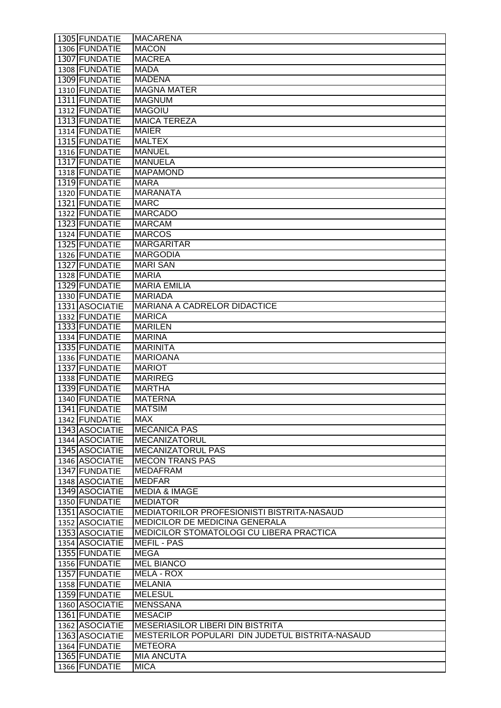| 1305 FUNDATIE  | <b>MACARENA</b>                                 |
|----------------|-------------------------------------------------|
| 1306 FUNDATIE  | <b>MACON</b>                                    |
| 1307 FUNDATIE  | <b>MACREA</b>                                   |
| 1308 FUNDATIE  | <b>MADA</b>                                     |
| 1309 FUNDATIE  | <b>MADENA</b>                                   |
| 1310 FUNDATIE  | <b>MAGNA MATER</b>                              |
| 1311 FUNDATIE  | <b>MAGNUM</b>                                   |
| 1312 FUNDATIE  | <b>MAGOIU</b>                                   |
| 1313 FUNDATIE  | <b>MAICA TEREZA</b>                             |
| 1314 FUNDATIE  | <b>MAIER</b>                                    |
| 1315 FUNDATIE  | <b>MALTEX</b>                                   |
| 1316 FUNDATIE  | <b>MANUEL</b>                                   |
| 1317 FUNDATIE  | <b>MANUELA</b>                                  |
| 1318 FUNDATIE  | <b>MAPAMOND</b>                                 |
| 1319 FUNDATIE  | <b>MARA</b>                                     |
| 1320 FUNDATIE  | <b>MARANATA</b>                                 |
| 1321 FUNDATIE  | <b>MARC</b>                                     |
| 1322 FUNDATIE  | <b>MARCADO</b>                                  |
| 1323 FUNDATIE  | <b>MARCAM</b>                                   |
| 1324 FUNDATIE  | <b>MARCOS</b>                                   |
| 1325 FUNDATIE  | <b>MARGARITAR</b>                               |
| 1326 FUNDATIE  | <b>MARGODIA</b>                                 |
| 1327 FUNDATIE  | <b>MARI SAN</b>                                 |
| 1328 FUNDATIE  | <b>MARIA</b>                                    |
| 1329 FUNDATIE  | <b>MARIA EMILIA</b>                             |
| 1330 FUNDATIE  | <b>MARIADA</b>                                  |
| 1331 ASOCIATIE | MARIANA A CADRELOR DIDACTICE                    |
| 1332 FUNDATIE  | <b>MARICA</b>                                   |
| 1333 FUNDATIE  | <b>MARILEN</b>                                  |
| 1334 FUNDATIE  | <b>MARINA</b>                                   |
| 1335 FUNDATIE  | <b>MARINITA</b>                                 |
| 1336 FUNDATIE  | <b>MARIOANA</b>                                 |
| 1337 FUNDATIE  | <b>MARIOT</b>                                   |
| 1338 FUNDATIE  | <b>MARIREG</b>                                  |
| 1339 FUNDATIE  | <b>MARTHA</b>                                   |
| 1340 FUNDATIE  | <b>MATERNA</b>                                  |
| 1341 FUNDATIE  | <b>MATSIM</b>                                   |
| 1342 FUNDATIE  | <b>MAX</b>                                      |
| 1343 ASOCIATIE | <b>MECANICA PAS</b>                             |
| 1344 ASOCIATIE | <b>MECANIZATORUL</b>                            |
| 1345 ASOCIATIE | <b>MECANIZATORUL PAS</b>                        |
| 1346 ASOCIATIE | <b>MECON TRANS PAS</b>                          |
| 1347 FUNDATIE  | <b>MEDAFRAM</b>                                 |
| 1348 ASOCIATIE | <b>MEDFAR</b>                                   |
| 1349 ASOCIATIE | <b>MEDIA &amp; IMAGE</b>                        |
| 1350 FUNDATIE  | <b>MEDIATOR</b>                                 |
| 1351 ASOCIATIE | MEDIATORILOR PROFESIONISTI BISTRITA-NASAUD      |
| 1352 ASOCIATIE | MEDICILOR DE MEDICINA GENERALA                  |
| 1353 ASOCIATIE | MEDICILOR STOMATOLOGI CU LIBERA PRACTICA        |
| 1354 ASOCIATIE | <b>MEFIL - PAS</b>                              |
| 1355 FUNDATIE  | <b>MEGA</b>                                     |
| 1356 FUNDATIE  | <b>MEL BIANCO</b>                               |
| 1357 FUNDATIE  | MELA - ROX                                      |
| 1358 FUNDATIE  | <b>MELANIA</b>                                  |
| 1359 FUNDATIE  | <b>MELESUL</b>                                  |
| 1360 ASOCIATIE | <b>MENSSANA</b>                                 |
| 1361 FUNDATIE  | <b>MESACIP</b>                                  |
| 1362 ASOCIATIE | <b>MESERIASILOR LIBERI DIN BISTRITA</b>         |
|                |                                                 |
| 1363 ASOCIATIE | MESTERILOR POPULARI DIN JUDETUL BISTRITA-NASAUD |
| 1364 FUNDATIE  | <b>METEORA</b>                                  |
| 1365 FUNDATIE  | <b>MIA ANCUTA</b>                               |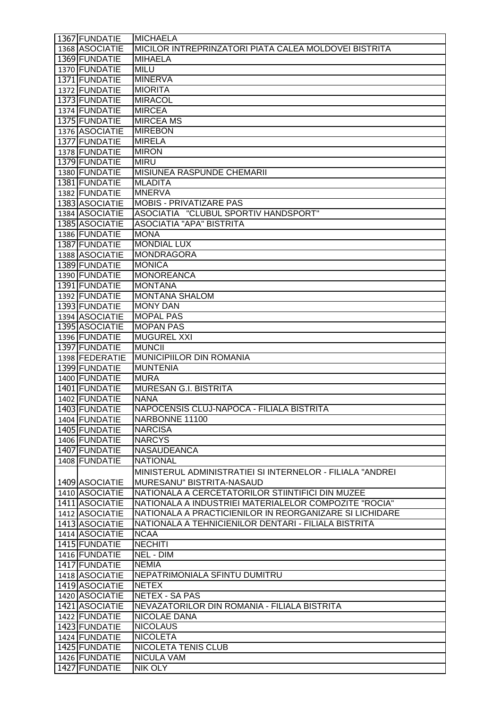| 1367 FUNDATIE  | <b>MICHAELA</b>                                           |
|----------------|-----------------------------------------------------------|
| 1368 ASOCIATIE | MICILOR INTREPRINZATORI PIATA CALEA MOLDOVEI BISTRITA     |
| 1369 FUNDATIE  | <b>MIHAELA</b>                                            |
| 1370 FUNDATIE  | <b>MILU</b>                                               |
| 1371 FUNDATIE  | <b>MINERVA</b>                                            |
| 1372 FUNDATIE  | <b>MIORITA</b>                                            |
| 1373 FUNDATIE  | <b>MIRACOL</b>                                            |
| 1374 FUNDATIE  | <b>MIRCEA</b>                                             |
| 1375 FUNDATIE  | <b>MIRCEA MS</b>                                          |
| 1376 ASOCIATIE | <b>MIREBON</b>                                            |
| 1377 FUNDATIE  | <b>MIRELA</b>                                             |
| 1378 FUNDATIE  | <b>MIRON</b>                                              |
| 1379 FUNDATIE  | <b>MIRU</b>                                               |
| 1380 FUNDATIE  | <b>MISIUNEA RASPUNDE CHEMARII</b>                         |
| 1381 FUNDATIE  | <b>MLADITA</b>                                            |
| 1382 FUNDATIE  | <b>MNERVA</b>                                             |
| 1383 ASOCIATIE | <b>MOBIS - PRIVATIZARE PAS</b>                            |
| 1384 ASOCIATIE | ASOCIATIA "CLUBUL SPORTIV HANDSPORT"                      |
| 1385 ASOCIATIE | <b>ASOCIATIA "APA" BISTRITA</b>                           |
| 1386 FUNDATIE  | <b>MONA</b>                                               |
| 1387 FUNDATIE  | <b>MONDIAL LUX</b>                                        |
| 1388 ASOCIATIE | <b>MONDRAGORA</b>                                         |
| 1389 FUNDATIE  | <b>MONICA</b>                                             |
| 1390 FUNDATIE  | <b>MONOREANCA</b>                                         |
| 1391 FUNDATIE  | <b>MONTANA</b>                                            |
| 1392 FUNDATIE  | <b>MONTANA SHALOM</b>                                     |
| 1393 FUNDATIE  | <b>MONY DAN</b>                                           |
| 1394 ASOCIATIE | <b>MOPAL PAS</b>                                          |
| 1395 ASOCIATIE | <b>MOPAN PAS</b>                                          |
| 1396 FUNDATIE  | <b>MUGUREL XXI</b>                                        |
| 1397 FUNDATIE  | <b>MUNCII</b>                                             |
| 1398 FEDERATIE | MUNICIPIILOR DIN ROMANIA                                  |
| 1399 FUNDATIE  | <b>MUNTENIA</b>                                           |
| 1400 FUNDATIE  | <b>MURA</b>                                               |
| 1401 FUNDATIE  | <b>MURESAN G.I. BISTRITA</b>                              |
| 1402 FUNDATIE  | <b>NANA</b>                                               |
| 1403 FUNDATIE  | NAPOCENSIS CLUJ-NAPOCA - FILIALA BISTRITA                 |
| 1404 FUNDATIE  | NARBONNE 11100                                            |
| 1405 FUNDATIE  | <b>NARCISA</b>                                            |
| 1406 FUNDATIE  | <b>NARCYS</b>                                             |
| 1407 FUNDATIE  | <b>NASAUDEANCA</b>                                        |
| 1408 FUNDATIE  | <b>NATIONAL</b>                                           |
|                | MINISTERUL ADMINISTRATIEI SI INTERNELOR - FILIALA "ANDREI |
| 1409 ASOCIATIE | MURESANU" BISTRITA-NASAUD                                 |
| 1410 ASOCIATIE | NATIONALA A CERCETATORILOR STIINTIFICI DIN MUZEE          |
| 1411 ASOCIATIE | NATIONALA A INDUSTRIEI MATERIALELOR COMPOZITE "ROCIA"     |
| 1412 ASOCIATIE | NATIONALA A PRACTICIENILOR IN REORGANIZARE SI LICHIDARE   |
| 1413 ASOCIATIE | NATIONALA A TEHNICIENILOR DENTARI - FILIALA BISTRITA      |
| 1414 ASOCIATIE | <b>NCAA</b>                                               |
| 1415 FUNDATIE  | <b>NECHITI</b>                                            |
| 1416 FUNDATIE  | NEL - DIM                                                 |
| 1417 FUNDATIE  | <b>NEMIA</b>                                              |
| 1418 ASOCIATIE | NEPATRIMONIALA SFINTU DUMITRU                             |
| 1419 ASOCIATIE | <b>NETEX</b>                                              |
| 1420 ASOCIATIE | <b>NETEX - SA PAS</b>                                     |
| 1421 ASOCIATIE | NEVAZATORILOR DIN ROMANIA - FILIALA BISTRITA              |
| 1422 FUNDATIE  | NICOLAE DANA                                              |
| 1423 FUNDATIE  | <b>NICOLAUS</b>                                           |
| 1424 FUNDATIE  | <b>NICOLETA</b>                                           |
| 1425 FUNDATIE  | <b>NICOLETA TENIS CLUB</b>                                |
| 1426 FUNDATIE  | <b>NICULA VAM</b>                                         |
| 1427 FUNDATIE  | <b>NIK OLY</b>                                            |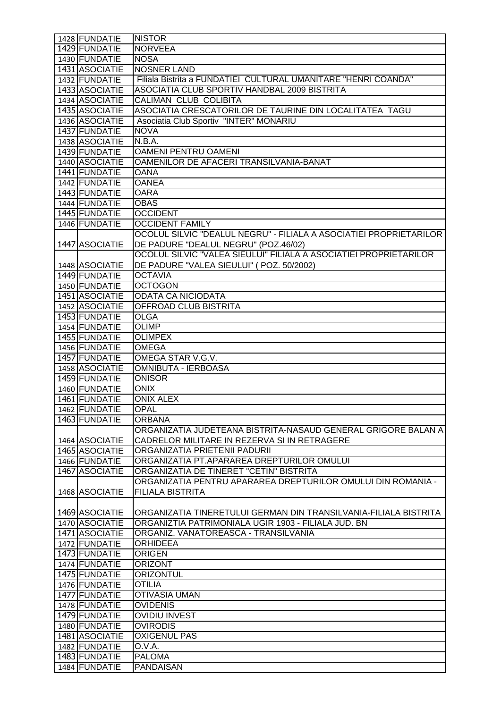| 1428 FUNDATIE  | <b>NISTOR</b>                                                      |
|----------------|--------------------------------------------------------------------|
| 1429 FUNDATIE  | <b>NORVEEA</b>                                                     |
| 1430 FUNDATIE  | <b>NOSA</b>                                                        |
| 1431 ASOCIATIE | <b>NOSNER LAND</b>                                                 |
| 1432 FUNDATIE  | Filiala Bistrita a FUNDATIEI CULTURAL UMANITARE "HENRI COANDA"     |
| 1433 ASOCIATIE | ASOCIATIA CLUB SPORTIV HANDBAL 2009 BISTRITA                       |
| 1434 ASOCIATIE | <b>CALIMAN CLUB COLIBITA</b>                                       |
| 1435 ASOCIATIE | ASOCIATIA CRESCATORILOR DE TAURINE DIN LOCALITATEA TAGU            |
| 1436 ASOCIATIE | Asociatia Club Sportiv "INTER" MONARIU                             |
| 1437 FUNDATIE  | <b>NOVA</b>                                                        |
| 1438 ASOCIATIE | N.B.A.                                                             |
| 1439 FUNDATIE  | <b>OAMENI PENTRU OAMENI</b>                                        |
| 1440 ASOCIATIE | OAMENILOR DE AFACERI TRANSILVANIA-BANAT                            |
| 1441 FUNDATIE  | <b>OANA</b>                                                        |
| 1442 FUNDATIE  | <b>OANEA</b>                                                       |
| 1443 FUNDATIE  | <b>OARA</b>                                                        |
| 1444 FUNDATIE  | <b>OBAS</b>                                                        |
| 1445 FUNDATIE  | <b>OCCIDENT</b>                                                    |
| 1446 FUNDATIE  | <b>OCCIDENT FAMILY</b>                                             |
|                | OCOLUL SILVIC "DEALUL NEGRU" - FILIALA A ASOCIATIEI PROPRIETARILOR |
|                |                                                                    |
| 1447 ASOCIATIE | DE PADURE "DEALUL NEGRU" (POZ.46/02)                               |
|                | OCOLUL SILVIC "VALEA SIEULUI" FILIALA A ASOCIATIEI PROPRIETARILOR  |
| 1448 ASOCIATIE | DE PADURE "VALEA SIEULUI" (POZ. 50/2002)                           |
| 1449 FUNDATIE  | <b>OCTAVIA</b>                                                     |
| 1450 FUNDATIE  | <b>OCTOGON</b>                                                     |
| 1451 ASOCIATIE | <b>ODATA CA NICIODATA</b>                                          |
| 1452 ASOCIATIE | OFFROAD CLUB BISTRITA                                              |
| 1453 FUNDATIE  | <b>OLGA</b>                                                        |
| 1454 FUNDATIE  | <b>OLIMP</b>                                                       |
| 1455 FUNDATIE  | <b>OLIMPEX</b>                                                     |
| 1456 FUNDATIE  | <b>OMEGA</b>                                                       |
| 1457 FUNDATIE  | OMEGA STAR V.G.V.                                                  |
| 1458 ASOCIATIE | <b>OMNIBUTA - IERBOASA</b>                                         |
| 1459 FUNDATIE  | <b>ONISOR</b>                                                      |
| 1460 FUNDATIE  | <b>ONIX</b>                                                        |
| 1461 FUNDATIE  | <b>ONIX ALEX</b>                                                   |
| 1462 FUNDATIE  | <b>OPAL</b>                                                        |
| 1463 FUNDATIE  | <b>ORBANA</b>                                                      |
|                | ORGANIZATIA JUDETEANA BISTRITA-NASAUD GENERAL GRIGORE BALAN A      |
| 1464 ASOCIATIE | CADRELOR MILITARE IN REZERVA SI IN RETRAGERE                       |
| 1465 ASOCIATIE | ORGANIZATIA PRIETENII PADURII                                      |
| 1466 FUNDATIE  | ORGANIZATIA PT.APARAREA DREPTURILOR OMULUI                         |
| 1467 ASOCIATIE | ORGANIZATIA DE TINERET "CETIN" BISTRITA                            |
|                | ORGANIZATIA PENTRU APARAREA DREPTURILOR OMULUI DIN ROMANIA -       |
| 1468 ASOCIATIE | <b>FILIALA BISTRITA</b>                                            |
|                |                                                                    |
| 1469 ASOCIATIE | ORGANIZATIA TINERETULUI GERMAN DIN TRANSILVANIA-FILIALA BISTRITA   |
| 1470 ASOCIATIE | ORGANIZTIA PATRIMONIALA UGIR 1903 - FILIALA JUD. BN                |
| 1471 ASOCIATIE | ORGANIZ. VANATOREASCA - TRANSILVANIA                               |
| 1472 FUNDATIE  |                                                                    |
| 1473 FUNDATIE  | <b>ORHIDEEA</b>                                                    |
|                | <b>ORIGEN</b>                                                      |
| 1474 FUNDATIE  | <b>ORIZONT</b>                                                     |
| 1475 FUNDATIE  | <b>ORIZONTUL</b>                                                   |
| 1476 FUNDATIE  | <b>OTILIA</b>                                                      |
| 1477 FUNDATIE  | <b>OTIVASIA UMAN</b>                                               |
| 1478 FUNDATIE  | <b>OVIDENIS</b>                                                    |
| 1479 FUNDATIE  | <b>OVIDIU INVEST</b>                                               |
| 1480 FUNDATIE  | <b>OVIRODIS</b>                                                    |
| 1481 ASOCIATIE | <b>OXIGENUL PAS</b>                                                |
| 1482 FUNDATIE  | O.V.A.                                                             |
| 1483 FUNDATIE  | <b>PALOMA</b>                                                      |
| 1484 FUNDATIE  | PANDAISAN                                                          |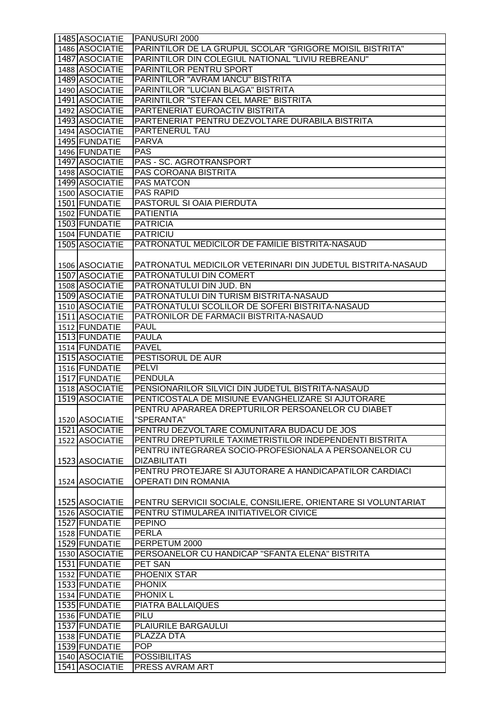| 1485 ASOCIATIE | PANUSURI 2000                                                 |
|----------------|---------------------------------------------------------------|
| 1486 ASOCIATIE | PARINTILOR DE LA GRUPUL SCOLAR "GRIGORE MOISIL BISTRITA"      |
| 1487 ASOCIATIE | PARINTILOR DIN COLEGIUL NATIONAL "LIVIU REBREANU"             |
| 1488 ASOCIATIE | PARINTILOR PENTRU SPORT                                       |
| 1489 ASOCIATIE | PARINTILOR "AVRAM IANCU" BISTRITA                             |
| 1490 ASOCIATIE | PARINTILOR "LUCIAN BLAGA" BISTRITA                            |
| 1491 ASOCIATIE | PARINTILOR "STEFAN CEL MARE" BISTRITA                         |
| 1492 ASOCIATIE | PARTENERIAT EUROACTIV BISTRITA                                |
| 1493 ASOCIATIE | PARTENERIAT PENTRU DEZVOLTARE DURABILA BISTRITA               |
| 1494 ASOCIATIE | PARTENERUL TAU                                                |
| 1495 FUNDATIE  | <b>PARVA</b>                                                  |
| 1496 FUNDATIE  | <b>PAS</b>                                                    |
| 1497 ASOCIATIE | PAS - SC. AGROTRANSPORT                                       |
| 1498 ASOCIATIE | PAS COROANA BISTRITA                                          |
| 1499 ASOCIATIE | <b>PAS MATCON</b>                                             |
| 1500 ASOCIATIE | <b>PAS RAPID</b>                                              |
| 1501 FUNDATIE  | PASTORUL SI OAIA PIERDUTA                                     |
| 1502 FUNDATIE  | <b>PATIENTIA</b>                                              |
| 1503 FUNDATIE  | <b>PATRICIA</b>                                               |
| 1504 FUNDATIE  | <b>PATRICIU</b>                                               |
| 1505 ASOCIATIE | PATRONATUL MEDICILOR DE FAMILIE BISTRITA-NASAUD               |
|                |                                                               |
| 1506 ASOCIATIE | PATRONATUL MEDICILOR VETERINARI DIN JUDETUL BISTRITA-NASAUD   |
| 1507 ASOCIATIE | PATRONATULUI DIN COMERT                                       |
| 1508 ASOCIATIE | PATRONATULUI DIN JUD. BN                                      |
| 1509 ASOCIATIE | PATRONATULUI DIN TURISM BISTRITA-NASAUD                       |
| 1510 ASOCIATIE | PATRONATULUI SCOLILOR DE SOFERI BISTRITA-NASAUD               |
| 1511 ASOCIATIE | PATRONILOR DE FARMACII BISTRITA-NASAUD                        |
| 1512 FUNDATIE  | <b>PAUL</b>                                                   |
| 1513 FUNDATIE  | <b>PAULA</b>                                                  |
| 1514 FUNDATIE  | <b>PAVEL</b>                                                  |
|                |                                                               |
| 1515 ASOCIATIE | <b>PESTISORUL DE AUR</b>                                      |
| 1516 FUNDATIE  | <b>PELVI</b>                                                  |
| 1517 FUNDATIE  | <b>PENDULA</b>                                                |
| 1518 ASOCIATIE | PENSIONARILOR SILVICI DIN JUDETUL BISTRITA-NASAUD             |
| 1519 ASOCIATIE | PENTICOSTALA DE MISIUNE EVANGHELIZARE SI AJUTORARE            |
|                | PENTRU APARAREA DREPTURILOR PERSOANELOR CU DIABET             |
| 1520 ASOCIATIE | "SPERANTA"                                                    |
| 1521 ASOCIATIE | PENTRU DEZVOLTARE COMUNITARA BUDACU DE JOS                    |
| 1522 ASOCIATIE | PENTRU DREPTURILE TAXIMETRISTILOR INDEPENDENTI BISTRITA       |
|                | PENTRU INTEGRAREA SOCIO-PROFESIONALA A PERSOANELOR CU         |
| 1523 ASOCIATIE | <b>DIZABILITATI</b>                                           |
|                | PENTRU PROTEJARE SI AJUTORARE A HANDICAPATILOR CARDIACI       |
| 1524 ASOCIATIE | OPERATI DIN ROMANIA                                           |
|                |                                                               |
| 1525 ASOCIATIE | PENTRU SERVICII SOCIALE, CONSILIERE, ORIENTARE SI VOLUNTARIAT |
| 1526 ASOCIATIE | PENTRU STIMULAREA INITIATIVELOR CIVICE                        |
| 1527 FUNDATIE  | <b>PEPINO</b>                                                 |
| 1528 FUNDATIE  | <b>PERLA</b>                                                  |
| 1529 FUNDATIE  | PERPETUM 2000                                                 |
| 1530 ASOCIATIE | PERSOANELOR CU HANDICAP "SFANTA ELENA" BISTRITA               |
| 1531 FUNDATIE  | PET SAN                                                       |
| 1532 FUNDATIE  | <b>PHOENIX STAR</b>                                           |
| 1533 FUNDATIE  | <b>PHONIX</b>                                                 |
| 1534 FUNDATIE  | <b>PHONIX L</b>                                               |
| 1535 FUNDATIE  | <b>PIATRA BALLAIQUES</b>                                      |
| 1536 FUNDATIE  | PILU                                                          |
| 1537 FUNDATIE  | PLAIURILE BARGAULUI                                           |
| 1538 FUNDATIE  | <b>PLAZZA DTA</b>                                             |
| 1539 FUNDATIE  | <b>POP</b>                                                    |
| 1540 ASOCIATIE | <b>POSSIBILITAS</b>                                           |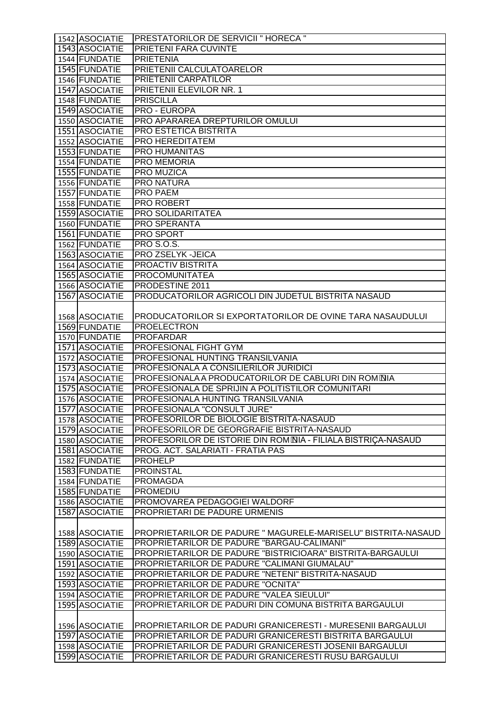| 1542 ASOCIATIE                   | PRESTATORILOR DE SERVICII " HORECA "                                                                            |
|----------------------------------|-----------------------------------------------------------------------------------------------------------------|
| 1543 ASOCIATIE                   | PRIETENI FARA CUVINTE                                                                                           |
| 1544 FUNDATIE                    | <b>PRIETENIA</b>                                                                                                |
| 1545 FUNDATIE                    | PRIETENII CALCULATOARELOR                                                                                       |
| 1546 FUNDATIE                    | PRIETENII CARPATILOR                                                                                            |
| 1547 ASOCIATIE                   | <b>PRIETENII ELEVILOR NR. 1</b>                                                                                 |
| 1548 FUNDATIE                    | <b>PRISCILLA</b>                                                                                                |
| 1549 ASOCIATIE                   | <b>PRO - EUROPA</b>                                                                                             |
|                                  | PRO APARAREA DREPTURILOR OMULUI                                                                                 |
| 1550 ASOCIATIE                   | <b>PRO ESTETICA BISTRITA</b>                                                                                    |
| 1551 ASOCIATIE                   |                                                                                                                 |
| 1552 ASOCIATIE                   | PRO HEREDITATEM                                                                                                 |
| 1553 FUNDATIE                    | <b>PRO HUMANITAS</b>                                                                                            |
| 1554 FUNDATIE                    | PRO MEMORIA                                                                                                     |
| 1555 FUNDATIE                    | PRO MUZICA                                                                                                      |
| 1556 FUNDATIE                    | <b>PRO NATURA</b>                                                                                               |
| 1557 FUNDATIE                    | <b>PRO PAEM</b>                                                                                                 |
| 1558 FUNDATIE                    | <b>PRO ROBERT</b>                                                                                               |
| 1559 ASOCIATIE                   | <b>PRO SOLIDARITATEA</b>                                                                                        |
| 1560 FUNDATIE                    | PRO SPERANTA                                                                                                    |
| 1561 FUNDATIE                    | PRO SPORT                                                                                                       |
| 1562 FUNDATIE                    | <b>PRO S.O.S.</b>                                                                                               |
| 1563 ASOCIATIE                   | PRO ZSELYK-JEICA                                                                                                |
| 1564 ASOCIATIE                   | <b>PROACTIV BISTRITA</b>                                                                                        |
| 1565 ASOCIATIE                   | <b>PROCOMUNITATEA</b>                                                                                           |
| 1566 ASOCIATIE                   | PRODESTINE 2011                                                                                                 |
| 1567 ASOCIATIE                   | PRODUCATORILOR AGRICOLI DIN JUDETUL BISTRITA NASAUD                                                             |
|                                  |                                                                                                                 |
| 1568 ASOCIATIE                   | PRODUCATORILOR SI EXPORTATORILOR DE OVINE TARA NASAUDULUI                                                       |
| 1569 FUNDATIE                    | <b>PROELECTRON</b>                                                                                              |
| 1570 FUNDATIE                    | <b>PROFARDAR</b>                                                                                                |
| 1571 ASOCIATIE                   | PROFESIONAL FIGHT GYM                                                                                           |
| 1572 ASOCIATIE                   | PROFESIONAL HUNTING TRANSILVANIA                                                                                |
| 1573 ASOCIATIE                   | PROFESIONALA A CONSILIERILOR JURIDICI                                                                           |
| 1574 ASOCIATIE                   | PROFESIONALA A PRODUCATORILOR DE CABLURI DIN ROMONIA                                                            |
| 1575 ASOCIATIE                   |                                                                                                                 |
|                                  | PROFESIONALA DE SPRIJIN A POLITISTILOR COMUNITARI                                                               |
| 1576 ASOCIATIE                   | PROFESIONALA HUNTING TRANSILVANIA                                                                               |
| 1577 ASOCIATIE                   | PROFESIONALA "CONSULT JURE"                                                                                     |
| 1578 ASOCIATIE                   | PROFESORILOR DE BIOLOGIE BISTRITA-NASAUD                                                                        |
| 1579 ASOCIATIE                   | PROFESORILOR DE GEORGRAFIE BISTRITA-NASAUD                                                                      |
| 1580 ASOCIATIE                   | PROFESORILOR DE ISTORIE DIN ROM <sup>NIA</sup> - FILIALA BISTRIÇA-NASAUD                                        |
| 1581 ASOCIATIE                   | PROG. ACT. SALARIATI - FRATIA PAS                                                                               |
| 1582 FUNDATIE                    | <b>PROHELP</b>                                                                                                  |
| 1583 FUNDATIE                    | <b>PROINSTAL</b>                                                                                                |
| 1584 FUNDATIE                    | <b>PROMAGDA</b>                                                                                                 |
| 1585 FUNDATIE                    | <b>PROMEDIU</b>                                                                                                 |
| 1586 ASOCIATIE                   | PROMOVAREA PEDAGOGIEI WALDORF                                                                                   |
| 1587 ASOCIATIE                   | PROPRIETARI DE PADURE URMENIS                                                                                   |
|                                  |                                                                                                                 |
| 1588 ASOCIATIE                   | PROPRIETARILOR DE PADURE " MAGURELE-MARISELU" BISTRITA-NASAUD                                                   |
| 1589 ASOCIATIE                   | PROPRIETARILOR DE PADURE "BARGAU-CALIMANI"                                                                      |
| 1590 ASOCIATIE                   | PROPRIETARILOR DE PADURE "BISTRICIOARA" BISTRITA-BARGAULUI                                                      |
| 1591 ASOCIATIE                   | PROPRIETARILOR DE PADURE "CALIMANI GIUMALAU"                                                                    |
| 1592 ASOCIATIE                   | PROPRIETARILOR DE PADURE "NETENI" BISTRITA-NASAUD                                                               |
| 1593 ASOCIATIE                   | PROPRIETARILOR DE PADURE "OCNITA"                                                                               |
| 1594 ASOCIATIE                   | PROPRIETARILOR DE PADURE "VALEA SIEULUI"                                                                        |
| 1595 ASOCIATIE                   | PROPRIETARILOR DE PADURI DIN COMUNA BISTRITA BARGAULUI                                                          |
|                                  |                                                                                                                 |
|                                  |                                                                                                                 |
| 1596 ASOCIATIE                   |                                                                                                                 |
|                                  | PROPRIETARILOR DE PADURI GRANICERESTI - MURESENII BARGAULUI                                                     |
| 1597 ASOCIATIE                   | PROPRIETARILOR DE PADURI GRANICERESTI BISTRITA BARGAULUI                                                        |
| 1598 ASOCIATIE<br>1599 ASOCIATIE | PROPRIETARILOR DE PADURI GRANICERESTI JOSENII BARGAULUI<br>PROPRIETARILOR DE PADURI GRANICERESTI RUSU BARGAULUI |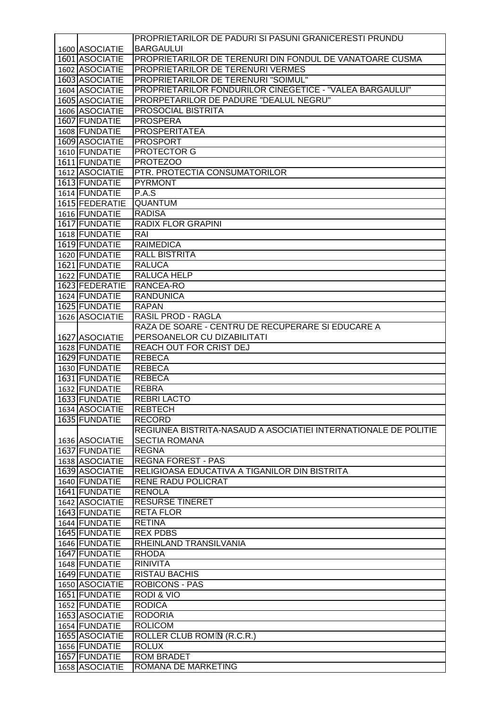|                | PROPRIETARILOR DE PADURI SI PASUNI GRANICERESTI PRUNDU          |
|----------------|-----------------------------------------------------------------|
| 1600 ASOCIATIE | <b>BARGAULUI</b>                                                |
| 1601 ASOCIATIE | PROPRIETARILOR DE TERENURI DIN FONDUL DE VANATOARE CUSMA        |
| 1602 ASOCIATIE | PROPRIETARILOR DE TERENURI VERMES                               |
| 1603 ASOCIATIE | PROPRIETARILOR DE TERENURI "SOIMUL"                             |
| 1604 ASOCIATIE | PROPRIETARILOR FONDURILOR CINEGETICE - "VALEA BARGAULUI"        |
| 1605 ASOCIATIE | PRORPETARILOR DE PADURE "DEALUL NEGRU"                          |
| 1606 ASOCIATIE | PROSOCIAL BISTRITA                                              |
| 1607 FUNDATIE  | <b>PROSPERA</b>                                                 |
| 1608 FUNDATIE  | <b>PROSPERITATEA</b>                                            |
| 1609 ASOCIATIE | <b>PROSPORT</b>                                                 |
| 1610 FUNDATIE  | <b>PROTECTOR G</b>                                              |
| 1611 FUNDATIE  | <b>PROTEZOO</b>                                                 |
| 1612 ASOCIATIE | PTR. PROTECTIA CONSUMATORILOR                                   |
| 1613 FUNDATIE  | <b>PYRMONT</b>                                                  |
| 1614 FUNDATIE  | P.A.S                                                           |
| 1615 FEDERATIE | QUANTUM                                                         |
| 1616 FUNDATIE  | <b>RADISA</b>                                                   |
| 1617 FUNDATIE  | <b>RADIX FLOR GRAPINI</b>                                       |
| 1618 FUNDATIE  | RAI                                                             |
| 1619 FUNDATIE  | <b>RAIMEDICA</b>                                                |
| 1620 FUNDATIE  | <b>RALL BISTRITA</b>                                            |
| 1621 FUNDATIE  | <b>RALUCA</b>                                                   |
| 1622 FUNDATIE  | <b>RALUCA HELP</b>                                              |
| 1623 FEDERATIE | RANCEA-RO                                                       |
| 1624 FUNDATIE  | <b>RANDUNICA</b>                                                |
| 1625 FUNDATIE  | <b>RAPAN</b>                                                    |
| 1626 ASOCIATIE | <b>RASIL PROD - RAGLA</b>                                       |
|                | RAZA DE SOARE - CENTRU DE RECUPERARE SI EDUCARE A               |
| 1627 ASOCIATIE | PERSOANELOR CU DIZABILITATI                                     |
| 1628 FUNDATIE  | REACH OUT FOR CRIST DEJ                                         |
| 1629 FUNDATIE  | <b>REBECA</b>                                                   |
| 1630 FUNDATIE  | <b>REBECA</b>                                                   |
| 1631 FUNDATIE  | <b>REBECA</b>                                                   |
| 1632 FUNDATIE  | <b>REBRA</b>                                                    |
| 1633 FUNDATIE  | <b>REBRI LACTO</b>                                              |
| 1634 ASOCIATIE | <b>REBTECH</b>                                                  |
| 1635 FUNDATIE  | RECORD                                                          |
|                | REGIUNEA BISTRITA-NASAUD A ASOCIATIEI INTERNATIONALE DE POLITIE |
| 1636 ASOCIATIE | <b>SECTIA ROMANA</b>                                            |
| 1637 FUNDATIE  | <b>REGNA</b>                                                    |
| 1638 ASOCIATIE | <b>REGNA FOREST - PAS</b>                                       |
| 1639 ASOCIATIE | RELIGIOASA EDUCATIVA A TIGANILOR DIN BISTRITA                   |
| 1640 FUNDATIE  | <b>RENE RADU POLICRAT</b>                                       |
|                |                                                                 |
| 1641 FUNDATIE  | <b>RENOLA</b>                                                   |
| 1642 ASOCIATIE | <b>RESURSE TINERET</b>                                          |
| 1643 FUNDATIE  | <b>RETA FLOR</b>                                                |
| 1644 FUNDATIE  | <b>RETINA</b>                                                   |
| 1645 FUNDATIE  | <b>REX PDBS</b>                                                 |
| 1646 FUNDATIE  | RHEINLAND TRANSILVANIA                                          |
| 1647 FUNDATIE  | <b>RHODA</b>                                                    |
| 1648 FUNDATIE  | <b>RINIVITA</b>                                                 |
| 1649 FUNDATIE  | RISTAU BACHIS                                                   |
| 1650 ASOCIATIE | <b>ROBICONS - PAS</b>                                           |
| 1651 FUNDATIE  | <b>RODI &amp; VIO</b>                                           |
| 1652 FUNDATIE  | <b>RODICA</b>                                                   |
| 1653 ASOCIATIE | <b>RODORIA</b>                                                  |
| 1654 FUNDATIE  | <b>ROLICOM</b>                                                  |
| 1655 ASOCIATIE | ROLLER CLUB ROM <sup>o</sup> N (R.C.R.)                         |
| 1656 FUNDATIE  | <b>ROLUX</b>                                                    |
| 1657 FUNDATIE  | <b>ROM BRADET</b>                                               |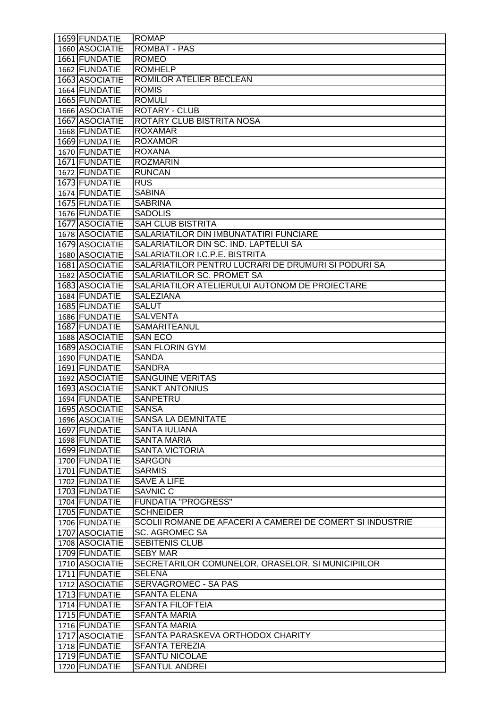| 1659 FUNDATIE                    | <b>ROMAP</b>                                                         |
|----------------------------------|----------------------------------------------------------------------|
| 1660 ASOCIATIE                   | <b>ROMBAT - PAS</b>                                                  |
| 1661 FUNDATIE                    | <b>ROMEO</b>                                                         |
| 1662 FUNDATIE                    | <b>ROMHELP</b>                                                       |
| 1663 ASOCIATIE                   | ROMILOR ATELIER BECLEAN                                              |
| 1664 FUNDATIE                    | <b>ROMIS</b>                                                         |
| 1665 FUNDATIE                    | <b>ROMULI</b>                                                        |
| 1666 ASOCIATIE                   | <b>ROTARY - CLUB</b>                                                 |
| 1667 ASOCIATIE                   | ROTARY CLUB BISTRITA NOSA                                            |
| 1668 FUNDATIE                    | <b>ROXAMAR</b>                                                       |
| 1669 FUNDATIE                    | <b>ROXAMOR</b>                                                       |
| 1670 FUNDATIE                    | <b>ROXANA</b>                                                        |
| 1671 FUNDATIE                    | <b>ROZMARIN</b>                                                      |
| 1672 FUNDATIE                    | <b>RUNCAN</b>                                                        |
| 1673 FUNDATIE                    | <b>RUS</b>                                                           |
| 1674 FUNDATIE                    | <b>SABINA</b>                                                        |
| 1675 FUNDATIE                    | <b>SABRINA</b>                                                       |
| 1676 FUNDATIE                    | <b>SADOLIS</b>                                                       |
| 1677 ASOCIATIE                   | <b>SAH CLUB BISTRITA</b>                                             |
| 1678 ASOCIATIE                   | SALARIATILOR DIN IMBUNATATIRI FUNCIARE                               |
| 1679 ASOCIATIE                   | SALARIATILOR DIN SC. IND. LAPTELUI SA                                |
| 1680 ASOCIATIE                   | SALARIATILOR I.C.P.E. BISTRITA                                       |
| 1681 ASOCIATIE                   | SALARIATILOR PENTRU LUCRARI DE DRUMURI SI PODURI SA                  |
| 1682 ASOCIATIE                   | SALARIATILOR SC. PROMET SA                                           |
| 1683 ASOCIATIE                   | SALARIATILOR ATELIERULUI AUTONOM DE PROIECTARE                       |
| 1684 FUNDATIE                    | <b>SALEZIANA</b>                                                     |
| 1685 FUNDATIE                    | <b>SALUT</b>                                                         |
| 1686 FUNDATIE                    | <b>SALVENTA</b>                                                      |
| 1687 FUNDATIE                    | SAMARITEANUL                                                         |
| 1688 ASOCIATIE                   | <b>SAN ECO</b>                                                       |
| 1689 ASOCIATIE                   | <b>SAN FLORIN GYM</b>                                                |
| 1690 FUNDATIE                    | <b>SANDA</b>                                                         |
| 1691 FUNDATIE                    | <b>SANDRA</b>                                                        |
| 1692 ASOCIATIE                   | <b>SANGUINE VERITAS</b>                                              |
| 1693 ASOCIATIE                   | <b>SANKT ANTONIUS</b>                                                |
| 1694 FUNDATIE                    | <b>SANPETRU</b>                                                      |
| 1695 ASOCIATIE                   | <b>SANSA</b>                                                         |
| 1696 ASOCIATIE                   | <b>SANSA LA DEMNITATE</b>                                            |
| 1697 FUNDATIE                    | <b>SANTA IULIANA</b>                                                 |
| 1698 FUNDATIE                    | <b>SANTA MARIA</b>                                                   |
| 1699 FUNDATIE                    | <b>SANTA VICTORIA</b>                                                |
| 1700 FUNDATIE                    | <b>SARGON</b>                                                        |
| 1701 FUNDATIE                    | <b>SARMIS</b>                                                        |
| 1702 FUNDATIE                    | <b>SAVE A LIFE</b>                                                   |
| 1703 FUNDATIE                    | <b>SAVNIC C</b>                                                      |
| 1704 FUNDATIE                    | <b>FUNDATIA "PROGRESS"</b>                                           |
| 1705 FUNDATIE                    | <b>SCHNEIDER</b>                                                     |
| 1706 FUNDATIE                    | SCOLII ROMANE DE AFACERI A CAMEREI DE COMERT SI INDUSTRIE            |
| 1707 ASOCIATIE<br>1708 ASOCIATIE | <b>SC. AGROMEC SA</b><br>SEBITENIS CLUB                              |
|                                  |                                                                      |
| 1709 FUNDATIE<br>1710 ASOCIATIE  | <b>SEBY MAR</b><br>SECRETARILOR COMUNELOR, ORASELOR, SI MUNICIPIILOR |
| 1711 FUNDATIE                    | <b>SELENA</b>                                                        |
| 1712 ASOCIATIE                   | SERVAGROMEC - SA PAS                                                 |
| 1713 FUNDATIE                    | <b>SFANTA ELENA</b>                                                  |
| 1714 FUNDATIE                    | <b>SFANTA FILOFTEIA</b>                                              |
| 1715 FUNDATIE                    | <b>SFANTA MARIA</b>                                                  |
| 1716 FUNDATIE                    | <b>SFANTA MARIA</b>                                                  |
| 1717 ASOCIATIE                   | SFANTA PARASKEVA ORTHODOX CHARITY                                    |
| 1718 FUNDATIE                    | <b>SFANTA TEREZIA</b>                                                |
| 1719 FUNDATIE                    | <b>SFANTU NICOLAE</b>                                                |
| 1720 FUNDATIE                    | <b>SFANTUL ANDREI</b>                                                |
|                                  |                                                                      |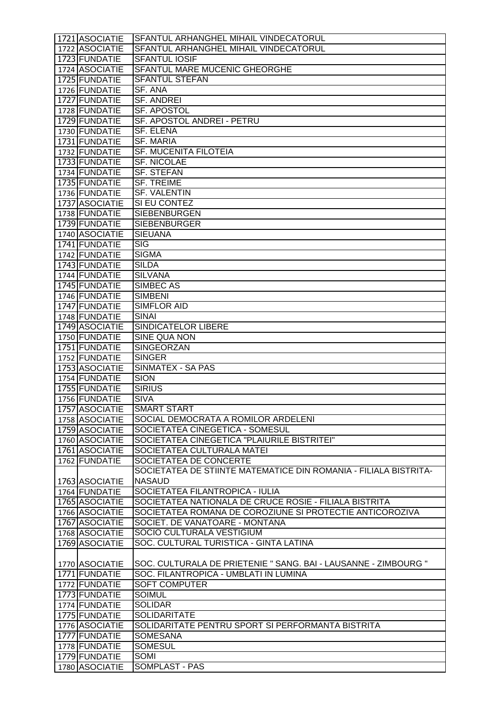| 1721 ASOCIATIE                  | SFANTUL ARHANGHEL MIHAIL VINDECATORUL                            |
|---------------------------------|------------------------------------------------------------------|
| 1722 ASOCIATIE                  | SFANTUL ARHANGHEL MIHAIL VINDECATORUL                            |
| 1723 FUNDATIE                   | <b>SFANTUL IOSIF</b>                                             |
| 1724 ASOCIATIE                  | SFANTUL MARE MUCENIC GHEORGHE                                    |
| 1725 FUNDATIE                   | <b>SFANTUL STEFAN</b>                                            |
| 1726 FUNDATIE                   | <b>SF. ANA</b>                                                   |
| 1727 FUNDATIE                   | <b>SF. ANDREI</b>                                                |
| 1728 FUNDATIE                   | SF. APOSTOL                                                      |
| 1729 FUNDATIE                   | SF. APOSTOL ANDREI - PETRU                                       |
| 1730 FUNDATIE                   | <b>SF. ELENA</b>                                                 |
| 1731 FUNDATIE                   | <b>SF. MARIA</b>                                                 |
| 1732 FUNDATIE                   | <b>SF. MUCENITA FILOTEIA</b>                                     |
| 1733 FUNDATIE                   | <b>SF. NICOLAE</b>                                               |
| 1734 FUNDATIE                   | <b>SF. STEFAN</b>                                                |
| 1735 FUNDATIE                   | <b>SF. TREIME</b>                                                |
|                                 | <b>SF. VALENTIN</b>                                              |
| 1736 FUNDATIE<br>1737 ASOCIATIE | SI EU CONTEZ                                                     |
|                                 | <b>SIEBENBURGEN</b>                                              |
| 1738 FUNDATIE                   |                                                                  |
| 1739 FUNDATIE                   | <b>SIEBENBURGER</b>                                              |
| 1740 ASOCIATIE                  | <b>SIEUANA</b>                                                   |
| 1741 FUNDATIE                   | <b>SIG</b>                                                       |
| 1742 FUNDATIE                   | <b>SIGMA</b>                                                     |
| 1743 FUNDATIE                   | <b>SILDA</b>                                                     |
| 1744 FUNDATIE                   | <b>SILVANA</b>                                                   |
| 1745 FUNDATIE                   | SIMBEC AS                                                        |
| 1746 FUNDATIE                   | <b>SIMBENI</b>                                                   |
| 1747 FUNDATIE                   | <b>SIMFLOR AID</b>                                               |
| 1748 FUNDATIE                   | <b>SINAI</b>                                                     |
| 1749 ASOCIATIE                  | <b>SINDICATELOR LIBERE</b>                                       |
| 1750 FUNDATIE                   | SINE QUA NON                                                     |
| 1751 FUNDATIE                   | SINGEORZAN                                                       |
| 1752 FUNDATIE                   | <b>SINGER</b>                                                    |
| 1753 ASOCIATIE                  | SINMATEX - SA PAS                                                |
| 1754 FUNDATIE                   | <b>SION</b>                                                      |
| 1755 FUNDATIE                   | <b>SIRIUS</b>                                                    |
| 1756 FUNDATIE                   | <b>SIVA</b>                                                      |
| 1757 ASOCIATIE                  | <b>SMART START</b>                                               |
| 1758 ASOCIATIE                  | SOCIAL DEMOCRATA A ROMILOR ARDELENI                              |
| 1759 ASOCIATIE                  | SOCIETATEA CINEGETICA - SOMESUL                                  |
| 1760 ASOCIATIE                  | SOCIETATEA CINEGETICA "PLAIURILE BISTRITEI"                      |
| 1761 ASOCIATIE                  | SOCIETATEA CULTURALA MATEI                                       |
| 1762 FUNDATIE                   | SOCIETATEA DE CONCERTE                                           |
|                                 | SOCIETATEA DE STIINTE MATEMATICE DIN ROMANIA - FILIALA BISTRITA- |
| 1763 ASOCIATIE                  | <b>NASAUD</b>                                                    |
| 1764 FUNDATIE                   | SOCIETATEA FILANTROPICA - IULIA                                  |
| 1765 ASOCIATIE                  | SOCIETATEA NATIONALA DE CRUCE ROSIE - FILIALA BISTRITA           |
| 1766 ASOCIATIE                  | SOCIETATEA ROMANA DE COROZIUNE SI PROTECTIE ANTICOROZIVA         |
| 1767 ASOCIATIE                  | SOCIET. DE VANATOARE - MONTANA                                   |
| 1768 ASOCIATIE                  | SOCIO CULTURALA VESTIGIUM                                        |
| 1769 ASOCIATIE                  | SOC. CULTURAL TURISTICA - GINTA LATINA                           |
|                                 |                                                                  |
| 1770 ASOCIATIE                  | SOC. CULTURALA DE PRIETENIE " SANG. BAI - LAUSANNE - ZIMBOURG "  |
| 1771 FUNDATIE                   | SOC. FILANTROPICA - UMBLATI IN LUMINA                            |
| 1772 FUNDATIE                   | <b>SOFT COMPUTER</b>                                             |
| 1773 FUNDATIE                   | <b>SOIMUL</b>                                                    |
| 1774 FUNDATIE                   | <b>SOLIDAR</b>                                                   |
| 1775 FUNDATIE                   | <b>SOLIDARITATE</b>                                              |
| 1776 ASOCIATIE                  | SOLIDARITATE PENTRU SPORT SI PERFORMANTA BISTRITA                |
| 1777 FUNDATIE                   | <b>SOMESANA</b>                                                  |
| 1778 FUNDATIE                   | <b>SOMESUL</b>                                                   |
| 1779 FUNDATIE                   | SOMI                                                             |
| 1780 ASOCIATIE                  | <b>SOMPLAST - PAS</b>                                            |
|                                 |                                                                  |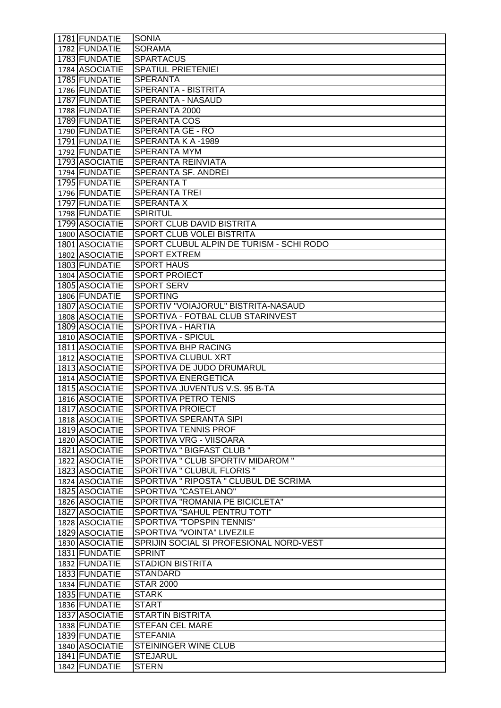| 1781 FUNDATIE                    | <b>SONIA</b>                                                 |
|----------------------------------|--------------------------------------------------------------|
| 1782 FUNDATIE                    | <b>SORAMA</b>                                                |
| 1783 FUNDATIE                    | <b>SPARTACUS</b>                                             |
| 1784 ASOCIATIE                   | <b>SPATIUL PRIETENIEI</b>                                    |
| 1785 FUNDATIE                    | <b>SPERANTA</b>                                              |
| 1786 FUNDATIE                    | SPERANTA - BISTRITA                                          |
| 1787 FUNDATIE                    | SPERANTA - NASAUD                                            |
| 1788 FUNDATIE                    | SPERANTA 2000                                                |
| 1789 FUNDATIE                    | <b>SPERANTA COS</b>                                          |
| 1790 FUNDATIE                    | <b>SPERANTA GE - RO</b>                                      |
| 1791 FUNDATIE                    | SPERANTA K A -1989                                           |
| 1792 FUNDATIE                    | <b>SPERANTA MYM</b>                                          |
| 1793 ASOCIATIE                   | SPERANTA REINVIATA                                           |
| 1794 FUNDATIE                    | SPERANTA SF. ANDREI                                          |
| 1795 FUNDATIE                    | <b>SPERANTA T</b>                                            |
| 1796 FUNDATIE<br>1797 FUNDATIE   | <b>SPERANTA TREI</b>                                         |
| 1798 FUNDATIE                    | <b>SPERANTA X</b><br><b>SPIRITUL</b>                         |
| 1799 ASOCIATIE                   | SPORT CLUB DAVID BISTRITA                                    |
| 1800 ASOCIATIE                   | SPORT CLUB VOLEI BISTRITA                                    |
| 1801 ASOCIATIE                   | SPORT CLUBUL ALPIN DE TURISM - SCHI RODO                     |
| 1802 ASOCIATIE                   | <b>SPORT EXTREM</b>                                          |
| 1803 FUNDATIE                    | <b>SPORT HAUS</b>                                            |
| 1804 ASOCIATIE                   | <b>SPORT PROIECT</b>                                         |
| 1805 ASOCIATIE                   | <b>SPORT SERV</b>                                            |
| 1806 FUNDATIE                    | <b>SPORTING</b>                                              |
| 1807 ASOCIATIE                   | SPORTIV "VOIAJORUL" BISTRITA-NASAUD                          |
| 1808 ASOCIATIE                   | SPORTIVA - FOTBAL CLUB STARINVEST                            |
| 1809 ASOCIATIE                   | SPORTIVA - HARTIA                                            |
| 1810 ASOCIATIE                   | SPORTIVA - SPICUL                                            |
| 1811 ASOCIATIE                   | SPORTIVA BHP RACING                                          |
| 1812 ASOCIATIE                   | SPORTIVA CLUBUL XRT                                          |
| 1813 ASOCIATIE                   | SPORTIVA DE JUDO DRUMARUL                                    |
| 1814 ASOCIATIE<br>1815 ASOCIATIE | <b>SPORTIVA ENERGETICA</b><br>SPORTIVA JUVENTUS V.S. 95 B-TA |
| 1816 ASOCIATIE                   | <b>SPORTIVA PETRO TENIS</b>                                  |
| 1817 ASOCIATIE                   | <b>SPORTIVA PROJECT</b>                                      |
| 1818 ASOCIATIE                   | SPORTIVA SPERANTA SIPI                                       |
| 1819 ASOCIATIE                   | <b>SPORTIVA TENNIS PROF</b>                                  |
| 1820 ASOCIATIE                   | SPORTIVA VRG - VIISOARA                                      |
| 1821 ASOCIATIE                   | <b>SPORTIVA " BIGFAST CLUB "</b>                             |
| 1822 ASOCIATIE                   | SPORTIVA " CLUB SPORTIV MIDAROM "                            |
| 1823 ASOCIATIE                   | SPORTIVA " CLUBUL FLORIS "                                   |
| 1824 ASOCIATIE                   | SPORTIVA " RIPOSTA " CLUBUL DE SCRIMA                        |
| 1825 ASOCIATIE                   | SPORTIVA "CASTELANO"                                         |
| 1826 ASOCIATIE                   | SPORTIVA "ROMANIA PE BICICLETA"                              |
| 1827 ASOCIATIE                   | SPORTIVA "SAHUL PENTRU TOTI"                                 |
| 1828 ASOCIATIE                   | SPORTIVA "TOPSPIN TENNIS"                                    |
| 1829 ASOCIATIE                   | SPORTIVA "VOINTA" LIVEZILE                                   |
| 1830 ASOCIATIE                   | SPRIJIN SOCIAL SI PROFESIONAL NORD-VEST                      |
| 1831 FUNDATIE                    | <b>SPRINT</b>                                                |
| 1832 FUNDATIE                    | <b>STADION BISTRITA</b>                                      |
| 1833 FUNDATIE<br>1834 FUNDATIE   | <b>STANDARD</b><br><b>STAR 2000</b>                          |
| 1835 FUNDATIE                    | <b>STARK</b>                                                 |
| 1836 FUNDATIE                    | <b>START</b>                                                 |
| 1837 ASOCIATIE                   | <b>STARTIN BISTRITA</b>                                      |
| 1838 FUNDATIE                    | <b>STEFAN CEL MARE</b>                                       |
| 1839 FUNDATIE                    | <b>STEFANIA</b>                                              |
| 1840 ASOCIATIE                   | <b>STEININGER WINE CLUB</b>                                  |
| 1841 FUNDATIE                    | <b>STEJARUL</b>                                              |
| 1842 FUNDATIE                    | <b>STERN</b>                                                 |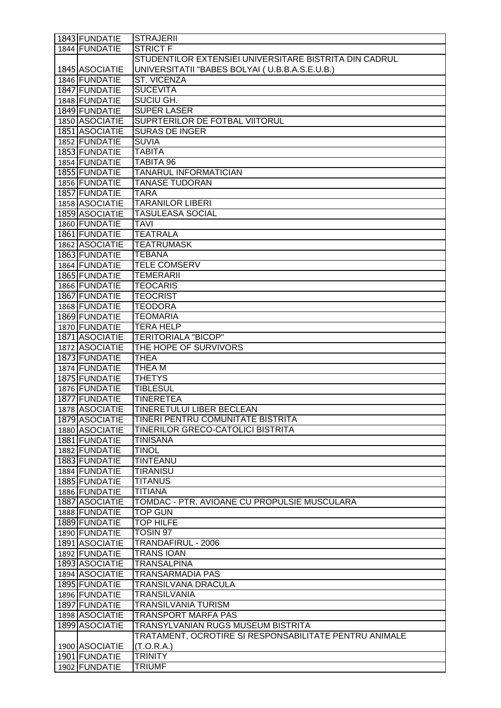| 1843 FUNDATIE  | <b>STRAJERII</b>                                       |
|----------------|--------------------------------------------------------|
| 1844 FUNDATIE  | <b>STRICT F</b>                                        |
|                | STUDENTILOR EXTENSIEI UNIVERSITARE BISTRITA DIN CADRUL |
| 1845 ASOCIATIE | UNIVERSITATII "BABES BOLYAI (U.B.B.A.S.E.U.B.)         |
| 1846 FUNDATIE  | <b>ST. VICENZA</b>                                     |
| 1847 FUNDATIE  | <b>SUCEVITA</b>                                        |
| 1848 FUNDATIE  | <b>SUCIU GH.</b>                                       |
| 1849 FUNDATIE  | <b>SUPER LASER</b>                                     |
| 1850 ASOCIATIE | SUPRTERILOR DE FOTBAL VIITORUL                         |
| 1851 ASOCIATIE | <b>SURAS DE INGER</b>                                  |
| 1852 FUNDATIE  | <b>SUVIA</b>                                           |
| 1853 FUNDATIE  | <b>TABITA</b>                                          |
| 1854 FUNDATIE  | <b>TABITA 96</b>                                       |
| 1855 FUNDATIE  | <b>TANARUL INFORMATICIAN</b>                           |
| 1856 FUNDATIE  | <b>TANASE TUDORAN</b>                                  |
| 1857 FUNDATIE  | <b>TARA</b>                                            |
| 1858 ASOCIATIE | <b>TARANILOR LIBERI</b>                                |
| 1859 ASOCIATIE | <b>TASULEASA SOCIAL</b>                                |
| 1860 FUNDATIE  | <b>TAVI</b>                                            |
| 1861 FUNDATIE  | <b>TEATRALA</b>                                        |
| 1862 ASOCIATIE | <b>TEATRUMASK</b>                                      |
| 1863 FUNDATIE  | <b>TEBANA</b>                                          |
| 1864 FUNDATIE  | <b>TELE COMSERV</b>                                    |
| 1865 FUNDATIE  | <b>TEMERARII</b>                                       |
| 1866 FUNDATIE  | <b>TEOCARIS</b>                                        |
| 1867 FUNDATIE  | <b>TEOCRIST</b>                                        |
| 1868 FUNDATIE  | <b>TEODORA</b>                                         |
| 1869 FUNDATIE  | <b>TEOMARIA</b>                                        |
| 1870 FUNDATIE  | <b>TERA HELP</b>                                       |
| 1871 ASOCIATIE | <b>TERITORIALA "BICOP"</b>                             |
| 1872 ASOCIATIE | THE HOPE OF SURVIVORS                                  |
| 1873 FUNDATIE  | <b>THEA</b>                                            |
| 1874 FUNDATIE  | THEA M                                                 |
| 1875 FUNDATIE  | <b>THETYS</b>                                          |
| 1876 FUNDATIE  | <b>TIBLESUL</b>                                        |
| 1877 FUNDATIE  | <b>TINERETEA</b>                                       |
| 1878 ASOCIATIE | <b>TINERETULUI LIBER BECLEAN</b>                       |
| 1879 ASOCIATIE | TINERI PENTRU COMUNITATE BISTRITA                      |
| 1880 ASOCIATIE | <b>TINERILOR GRECO-CATOLICI BISTRITA</b>               |
| 1881 FUNDATIE  | <b>TINISANA</b>                                        |
| 1882 FUNDATIE  | <b>TINOL</b>                                           |
| 1883 FUNDATIE  | <b>TINTEANU</b>                                        |
| 1884 FUNDATIE  | <b>TIRANISU</b>                                        |
| 1885 FUNDATIE  | <b>TITANUS</b>                                         |
| 1886 FUNDATIE  | <b>TITIANA</b>                                         |
| 1887 ASOCIATIE | TOMDAC - PTR. AVIOANE CU PROPULSIE MUSCULARA           |
| 1888 FUNDATIE  | <b>TOP GUN</b>                                         |
| 1889 FUNDATIE  | <b>TOP HILFE</b>                                       |
| 1890 FUNDATIE  | TOSIN 97                                               |
| 1891 ASOCIATIE | TRANDAFIRUL - 2006                                     |
| 1892 FUNDATIE  | <b>TRANS IOAN</b>                                      |
| 1893 ASOCIATIE | <b>TRANSALPINA</b>                                     |
| 1894 ASOCIATIE | <b>TRANSARMADIA PAS</b>                                |
| 1895 FUNDATIE  | TRANSILVANA DRACULA                                    |
| 1896 FUNDATIE  | <b>TRANSILVANIA</b>                                    |
| 1897 FUNDATIE  | <b>TRANSILVANIA TURISM</b>                             |
| 1898 ASOCIATIE | <b>TRANSPORT MARFA PAS</b>                             |
| 1899 ASOCIATIE | <b>TRANSYLVANIAN RUGS MUSEUM BISTRITA</b>              |
|                | TRATAMENT, OCROTIRE SI RESPONSABILITATE PENTRU ANIMALE |
| 1900 ASOCIATIE | (T.O.R.A.)                                             |
| 1901 FUNDATIE  | <b>TRINITY</b>                                         |
| 1902 FUNDATIE  | <b>TRIUMF</b>                                          |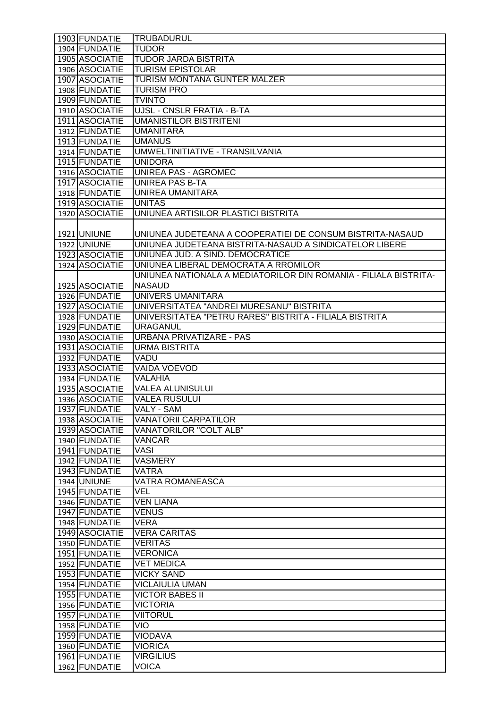| 1904 FUNDATIE<br><b>TUDOR</b><br>1905 ASOCIATIE<br><b>TUDOR JARDA BISTRITA</b><br><b>TURISM EPISTOLAR</b><br>1906 ASOCIATIE<br>1907 ASOCIATIE<br>TURISM MONTANA GUNTER MALZER<br><b>TURISM PRO</b><br>1908 FUNDATIE<br><b>TVINTO</b><br>1909 FUNDATIE<br>1910 ASOCIATIE<br>UJSL - CNSLR FRATIA - B-TA<br><b>UMANISTILOR BISTRITENI</b><br>1911 ASOCIATIE<br>1912 FUNDATIE<br><b>UMANITARA</b><br>1913 FUNDATIE<br><b>UMANUS</b><br>UMWELTINITIATIVE - TRANSILVANIA<br>1914 FUNDATIE<br>1915 FUNDATIE<br><b>UNIDORA</b><br>1916 ASOCIATIE<br>UNIREA PAS - AGROMEC<br><b>UNIREA PAS B-TA</b><br>1917 ASOCIATIE<br>1918 FUNDATIE<br>UNIREA UMANITARA<br>1919 ASOCIATIE<br><b>UNITAS</b><br>UNIUNEA ARTISILOR PLASTICI BISTRITA<br>1920 ASOCIATIE<br>1921 UNIUNE<br>UNIUNEA JUDETEANA A COOPERATIEI DE CONSUM BISTRITA-NASAUD<br>1922 UNIUNE<br>UNIUNEA JUDETEANA BISTRITA-NASAUD A SINDICATELOR LIBERE<br>1923 ASOCIATIE<br>UNIUNEA JUD. A SIND. DEMOCRATICE<br>1924 ASOCIATIE<br>UNIUNEA LIBERAL DEMOCRATA A RROMILOR<br><b>NASAUD</b><br>1925 ASOCIATIE<br>UNIVERS UMANITARA<br>1926 FUNDATIE<br>1927 ASOCIATIE<br>UNIVERSITATEA "ANDREI MURESANU" BISTRITA<br>UNIVERSITATEA "PETRU RARES" BISTRITA - FILIALA BISTRITA<br>1928 FUNDATIE<br>1929 FUNDATIE<br><b>URAGANUL</b><br>1930 ASOCIATIE<br>URBANA PRIVATIZARE - PAS | UNIUNEA NATIONALA A MEDIATORILOR DIN ROMANIA - FILIALA BISTRITA- |
|--------------------------------------------------------------------------------------------------------------------------------------------------------------------------------------------------------------------------------------------------------------------------------------------------------------------------------------------------------------------------------------------------------------------------------------------------------------------------------------------------------------------------------------------------------------------------------------------------------------------------------------------------------------------------------------------------------------------------------------------------------------------------------------------------------------------------------------------------------------------------------------------------------------------------------------------------------------------------------------------------------------------------------------------------------------------------------------------------------------------------------------------------------------------------------------------------------------------------------------------------------------------------------------------------------------------------|------------------------------------------------------------------|
|                                                                                                                                                                                                                                                                                                                                                                                                                                                                                                                                                                                                                                                                                                                                                                                                                                                                                                                                                                                                                                                                                                                                                                                                                                                                                                                          |                                                                  |
|                                                                                                                                                                                                                                                                                                                                                                                                                                                                                                                                                                                                                                                                                                                                                                                                                                                                                                                                                                                                                                                                                                                                                                                                                                                                                                                          |                                                                  |
|                                                                                                                                                                                                                                                                                                                                                                                                                                                                                                                                                                                                                                                                                                                                                                                                                                                                                                                                                                                                                                                                                                                                                                                                                                                                                                                          |                                                                  |
|                                                                                                                                                                                                                                                                                                                                                                                                                                                                                                                                                                                                                                                                                                                                                                                                                                                                                                                                                                                                                                                                                                                                                                                                                                                                                                                          |                                                                  |
|                                                                                                                                                                                                                                                                                                                                                                                                                                                                                                                                                                                                                                                                                                                                                                                                                                                                                                                                                                                                                                                                                                                                                                                                                                                                                                                          |                                                                  |
|                                                                                                                                                                                                                                                                                                                                                                                                                                                                                                                                                                                                                                                                                                                                                                                                                                                                                                                                                                                                                                                                                                                                                                                                                                                                                                                          |                                                                  |
|                                                                                                                                                                                                                                                                                                                                                                                                                                                                                                                                                                                                                                                                                                                                                                                                                                                                                                                                                                                                                                                                                                                                                                                                                                                                                                                          |                                                                  |
|                                                                                                                                                                                                                                                                                                                                                                                                                                                                                                                                                                                                                                                                                                                                                                                                                                                                                                                                                                                                                                                                                                                                                                                                                                                                                                                          |                                                                  |
|                                                                                                                                                                                                                                                                                                                                                                                                                                                                                                                                                                                                                                                                                                                                                                                                                                                                                                                                                                                                                                                                                                                                                                                                                                                                                                                          |                                                                  |
|                                                                                                                                                                                                                                                                                                                                                                                                                                                                                                                                                                                                                                                                                                                                                                                                                                                                                                                                                                                                                                                                                                                                                                                                                                                                                                                          |                                                                  |
|                                                                                                                                                                                                                                                                                                                                                                                                                                                                                                                                                                                                                                                                                                                                                                                                                                                                                                                                                                                                                                                                                                                                                                                                                                                                                                                          |                                                                  |
|                                                                                                                                                                                                                                                                                                                                                                                                                                                                                                                                                                                                                                                                                                                                                                                                                                                                                                                                                                                                                                                                                                                                                                                                                                                                                                                          |                                                                  |
|                                                                                                                                                                                                                                                                                                                                                                                                                                                                                                                                                                                                                                                                                                                                                                                                                                                                                                                                                                                                                                                                                                                                                                                                                                                                                                                          |                                                                  |
|                                                                                                                                                                                                                                                                                                                                                                                                                                                                                                                                                                                                                                                                                                                                                                                                                                                                                                                                                                                                                                                                                                                                                                                                                                                                                                                          |                                                                  |
|                                                                                                                                                                                                                                                                                                                                                                                                                                                                                                                                                                                                                                                                                                                                                                                                                                                                                                                                                                                                                                                                                                                                                                                                                                                                                                                          |                                                                  |
|                                                                                                                                                                                                                                                                                                                                                                                                                                                                                                                                                                                                                                                                                                                                                                                                                                                                                                                                                                                                                                                                                                                                                                                                                                                                                                                          |                                                                  |
|                                                                                                                                                                                                                                                                                                                                                                                                                                                                                                                                                                                                                                                                                                                                                                                                                                                                                                                                                                                                                                                                                                                                                                                                                                                                                                                          |                                                                  |
|                                                                                                                                                                                                                                                                                                                                                                                                                                                                                                                                                                                                                                                                                                                                                                                                                                                                                                                                                                                                                                                                                                                                                                                                                                                                                                                          |                                                                  |
|                                                                                                                                                                                                                                                                                                                                                                                                                                                                                                                                                                                                                                                                                                                                                                                                                                                                                                                                                                                                                                                                                                                                                                                                                                                                                                                          |                                                                  |
|                                                                                                                                                                                                                                                                                                                                                                                                                                                                                                                                                                                                                                                                                                                                                                                                                                                                                                                                                                                                                                                                                                                                                                                                                                                                                                                          |                                                                  |
|                                                                                                                                                                                                                                                                                                                                                                                                                                                                                                                                                                                                                                                                                                                                                                                                                                                                                                                                                                                                                                                                                                                                                                                                                                                                                                                          |                                                                  |
|                                                                                                                                                                                                                                                                                                                                                                                                                                                                                                                                                                                                                                                                                                                                                                                                                                                                                                                                                                                                                                                                                                                                                                                                                                                                                                                          |                                                                  |
|                                                                                                                                                                                                                                                                                                                                                                                                                                                                                                                                                                                                                                                                                                                                                                                                                                                                                                                                                                                                                                                                                                                                                                                                                                                                                                                          |                                                                  |
|                                                                                                                                                                                                                                                                                                                                                                                                                                                                                                                                                                                                                                                                                                                                                                                                                                                                                                                                                                                                                                                                                                                                                                                                                                                                                                                          |                                                                  |
|                                                                                                                                                                                                                                                                                                                                                                                                                                                                                                                                                                                                                                                                                                                                                                                                                                                                                                                                                                                                                                                                                                                                                                                                                                                                                                                          |                                                                  |
|                                                                                                                                                                                                                                                                                                                                                                                                                                                                                                                                                                                                                                                                                                                                                                                                                                                                                                                                                                                                                                                                                                                                                                                                                                                                                                                          |                                                                  |
|                                                                                                                                                                                                                                                                                                                                                                                                                                                                                                                                                                                                                                                                                                                                                                                                                                                                                                                                                                                                                                                                                                                                                                                                                                                                                                                          |                                                                  |
|                                                                                                                                                                                                                                                                                                                                                                                                                                                                                                                                                                                                                                                                                                                                                                                                                                                                                                                                                                                                                                                                                                                                                                                                                                                                                                                          |                                                                  |
|                                                                                                                                                                                                                                                                                                                                                                                                                                                                                                                                                                                                                                                                                                                                                                                                                                                                                                                                                                                                                                                                                                                                                                                                                                                                                                                          |                                                                  |
|                                                                                                                                                                                                                                                                                                                                                                                                                                                                                                                                                                                                                                                                                                                                                                                                                                                                                                                                                                                                                                                                                                                                                                                                                                                                                                                          |                                                                  |
| 1931 ASOCIATIE                                                                                                                                                                                                                                                                                                                                                                                                                                                                                                                                                                                                                                                                                                                                                                                                                                                                                                                                                                                                                                                                                                                                                                                                                                                                                                           |                                                                  |
| 1932 FUNDATIE                                                                                                                                                                                                                                                                                                                                                                                                                                                                                                                                                                                                                                                                                                                                                                                                                                                                                                                                                                                                                                                                                                                                                                                                                                                                                                            | <b>URMA BISTRITA</b>                                             |
| 1933 ASOCIATIE                                                                                                                                                                                                                                                                                                                                                                                                                                                                                                                                                                                                                                                                                                                                                                                                                                                                                                                                                                                                                                                                                                                                                                                                                                                                                                           | VADU                                                             |
| 1934 FUNDATIE                                                                                                                                                                                                                                                                                                                                                                                                                                                                                                                                                                                                                                                                                                                                                                                                                                                                                                                                                                                                                                                                                                                                                                                                                                                                                                            | <b>VAIDA VOEVOD</b>                                              |
| 1935 ASOCIATIE                                                                                                                                                                                                                                                                                                                                                                                                                                                                                                                                                                                                                                                                                                                                                                                                                                                                                                                                                                                                                                                                                                                                                                                                                                                                                                           | <b>VALAHIA</b>                                                   |
| 1936 ASOCIATIE                                                                                                                                                                                                                                                                                                                                                                                                                                                                                                                                                                                                                                                                                                                                                                                                                                                                                                                                                                                                                                                                                                                                                                                                                                                                                                           | <b>VALEA ALUNISULUI</b>                                          |
| 1937 FUNDATIE                                                                                                                                                                                                                                                                                                                                                                                                                                                                                                                                                                                                                                                                                                                                                                                                                                                                                                                                                                                                                                                                                                                                                                                                                                                                                                            | <b>VALEA RUSULUI</b>                                             |
| 1938 ASOCIATIE                                                                                                                                                                                                                                                                                                                                                                                                                                                                                                                                                                                                                                                                                                                                                                                                                                                                                                                                                                                                                                                                                                                                                                                                                                                                                                           | VALY - SAM                                                       |
| 1939 ASOCIATIE                                                                                                                                                                                                                                                                                                                                                                                                                                                                                                                                                                                                                                                                                                                                                                                                                                                                                                                                                                                                                                                                                                                                                                                                                                                                                                           | <b>VANATORII CARPATILOR</b>                                      |
|                                                                                                                                                                                                                                                                                                                                                                                                                                                                                                                                                                                                                                                                                                                                                                                                                                                                                                                                                                                                                                                                                                                                                                                                                                                                                                                          | <b>VANATORILOR "COLT ALB"</b>                                    |
| 1940 FUNDATIE                                                                                                                                                                                                                                                                                                                                                                                                                                                                                                                                                                                                                                                                                                                                                                                                                                                                                                                                                                                                                                                                                                                                                                                                                                                                                                            | <b>VANCAR</b>                                                    |
| 1941 FUNDATIE<br><b>VASI</b>                                                                                                                                                                                                                                                                                                                                                                                                                                                                                                                                                                                                                                                                                                                                                                                                                                                                                                                                                                                                                                                                                                                                                                                                                                                                                             |                                                                  |
| <b>VASMERY</b><br>1942 FUNDATIE                                                                                                                                                                                                                                                                                                                                                                                                                                                                                                                                                                                                                                                                                                                                                                                                                                                                                                                                                                                                                                                                                                                                                                                                                                                                                          |                                                                  |
| 1943 FUNDATIE<br><b>VATRA</b>                                                                                                                                                                                                                                                                                                                                                                                                                                                                                                                                                                                                                                                                                                                                                                                                                                                                                                                                                                                                                                                                                                                                                                                                                                                                                            |                                                                  |
| 1944 UNIUNE<br><b>VATRA ROMANEASCA</b>                                                                                                                                                                                                                                                                                                                                                                                                                                                                                                                                                                                                                                                                                                                                                                                                                                                                                                                                                                                                                                                                                                                                                                                                                                                                                   |                                                                  |
| 1945 FUNDATIE<br>VEL                                                                                                                                                                                                                                                                                                                                                                                                                                                                                                                                                                                                                                                                                                                                                                                                                                                                                                                                                                                                                                                                                                                                                                                                                                                                                                     |                                                                  |
| <b>VEN LIANA</b><br>1946 FUNDATIE                                                                                                                                                                                                                                                                                                                                                                                                                                                                                                                                                                                                                                                                                                                                                                                                                                                                                                                                                                                                                                                                                                                                                                                                                                                                                        |                                                                  |
| 1947 FUNDATIE<br><b>VENUS</b>                                                                                                                                                                                                                                                                                                                                                                                                                                                                                                                                                                                                                                                                                                                                                                                                                                                                                                                                                                                                                                                                                                                                                                                                                                                                                            |                                                                  |
| <b>VERA</b><br>1948 FUNDATIE                                                                                                                                                                                                                                                                                                                                                                                                                                                                                                                                                                                                                                                                                                                                                                                                                                                                                                                                                                                                                                                                                                                                                                                                                                                                                             |                                                                  |
| 1949 ASOCIATIE<br><b>VERA CARITAS</b>                                                                                                                                                                                                                                                                                                                                                                                                                                                                                                                                                                                                                                                                                                                                                                                                                                                                                                                                                                                                                                                                                                                                                                                                                                                                                    |                                                                  |
| 1950 FUNDATIE<br><b>VERITAS</b>                                                                                                                                                                                                                                                                                                                                                                                                                                                                                                                                                                                                                                                                                                                                                                                                                                                                                                                                                                                                                                                                                                                                                                                                                                                                                          |                                                                  |
| <b>VERONICA</b><br>1951 FUNDATIE                                                                                                                                                                                                                                                                                                                                                                                                                                                                                                                                                                                                                                                                                                                                                                                                                                                                                                                                                                                                                                                                                                                                                                                                                                                                                         |                                                                  |
| <b>VET MEDICA</b><br>1952 FUNDATIE                                                                                                                                                                                                                                                                                                                                                                                                                                                                                                                                                                                                                                                                                                                                                                                                                                                                                                                                                                                                                                                                                                                                                                                                                                                                                       |                                                                  |
| 1953 FUNDATIE<br><b>VICKY SAND</b>                                                                                                                                                                                                                                                                                                                                                                                                                                                                                                                                                                                                                                                                                                                                                                                                                                                                                                                                                                                                                                                                                                                                                                                                                                                                                       |                                                                  |
| <b>VICLAIULIA UMAN</b><br>1954 FUNDATIE                                                                                                                                                                                                                                                                                                                                                                                                                                                                                                                                                                                                                                                                                                                                                                                                                                                                                                                                                                                                                                                                                                                                                                                                                                                                                  |                                                                  |
| 1955 FUNDATIE<br><b>VICTOR BABES II</b>                                                                                                                                                                                                                                                                                                                                                                                                                                                                                                                                                                                                                                                                                                                                                                                                                                                                                                                                                                                                                                                                                                                                                                                                                                                                                  |                                                                  |
|                                                                                                                                                                                                                                                                                                                                                                                                                                                                                                                                                                                                                                                                                                                                                                                                                                                                                                                                                                                                                                                                                                                                                                                                                                                                                                                          |                                                                  |
| <b>VICTORIA</b><br>1956 FUNDATIE<br><b>VIITORUL</b>                                                                                                                                                                                                                                                                                                                                                                                                                                                                                                                                                                                                                                                                                                                                                                                                                                                                                                                                                                                                                                                                                                                                                                                                                                                                      |                                                                  |
| 1957 FUNDATIE<br><b>VIO</b>                                                                                                                                                                                                                                                                                                                                                                                                                                                                                                                                                                                                                                                                                                                                                                                                                                                                                                                                                                                                                                                                                                                                                                                                                                                                                              |                                                                  |
| 1958 FUNDATIE<br><b>VIODAVA</b>                                                                                                                                                                                                                                                                                                                                                                                                                                                                                                                                                                                                                                                                                                                                                                                                                                                                                                                                                                                                                                                                                                                                                                                                                                                                                          |                                                                  |
| 1959 FUNDATIE                                                                                                                                                                                                                                                                                                                                                                                                                                                                                                                                                                                                                                                                                                                                                                                                                                                                                                                                                                                                                                                                                                                                                                                                                                                                                                            |                                                                  |
| <b>VIORICA</b><br>1960 FUNDATIE<br><b>VIRGILIUS</b><br>1961 FUNDATIE                                                                                                                                                                                                                                                                                                                                                                                                                                                                                                                                                                                                                                                                                                                                                                                                                                                                                                                                                                                                                                                                                                                                                                                                                                                     |                                                                  |
|                                                                                                                                                                                                                                                                                                                                                                                                                                                                                                                                                                                                                                                                                                                                                                                                                                                                                                                                                                                                                                                                                                                                                                                                                                                                                                                          |                                                                  |
|                                                                                                                                                                                                                                                                                                                                                                                                                                                                                                                                                                                                                                                                                                                                                                                                                                                                                                                                                                                                                                                                                                                                                                                                                                                                                                                          |                                                                  |
|                                                                                                                                                                                                                                                                                                                                                                                                                                                                                                                                                                                                                                                                                                                                                                                                                                                                                                                                                                                                                                                                                                                                                                                                                                                                                                                          |                                                                  |
|                                                                                                                                                                                                                                                                                                                                                                                                                                                                                                                                                                                                                                                                                                                                                                                                                                                                                                                                                                                                                                                                                                                                                                                                                                                                                                                          |                                                                  |
|                                                                                                                                                                                                                                                                                                                                                                                                                                                                                                                                                                                                                                                                                                                                                                                                                                                                                                                                                                                                                                                                                                                                                                                                                                                                                                                          |                                                                  |
|                                                                                                                                                                                                                                                                                                                                                                                                                                                                                                                                                                                                                                                                                                                                                                                                                                                                                                                                                                                                                                                                                                                                                                                                                                                                                                                          |                                                                  |
|                                                                                                                                                                                                                                                                                                                                                                                                                                                                                                                                                                                                                                                                                                                                                                                                                                                                                                                                                                                                                                                                                                                                                                                                                                                                                                                          |                                                                  |
|                                                                                                                                                                                                                                                                                                                                                                                                                                                                                                                                                                                                                                                                                                                                                                                                                                                                                                                                                                                                                                                                                                                                                                                                                                                                                                                          |                                                                  |
|                                                                                                                                                                                                                                                                                                                                                                                                                                                                                                                                                                                                                                                                                                                                                                                                                                                                                                                                                                                                                                                                                                                                                                                                                                                                                                                          |                                                                  |
|                                                                                                                                                                                                                                                                                                                                                                                                                                                                                                                                                                                                                                                                                                                                                                                                                                                                                                                                                                                                                                                                                                                                                                                                                                                                                                                          |                                                                  |
|                                                                                                                                                                                                                                                                                                                                                                                                                                                                                                                                                                                                                                                                                                                                                                                                                                                                                                                                                                                                                                                                                                                                                                                                                                                                                                                          |                                                                  |
|                                                                                                                                                                                                                                                                                                                                                                                                                                                                                                                                                                                                                                                                                                                                                                                                                                                                                                                                                                                                                                                                                                                                                                                                                                                                                                                          |                                                                  |
|                                                                                                                                                                                                                                                                                                                                                                                                                                                                                                                                                                                                                                                                                                                                                                                                                                                                                                                                                                                                                                                                                                                                                                                                                                                                                                                          |                                                                  |
|                                                                                                                                                                                                                                                                                                                                                                                                                                                                                                                                                                                                                                                                                                                                                                                                                                                                                                                                                                                                                                                                                                                                                                                                                                                                                                                          |                                                                  |
|                                                                                                                                                                                                                                                                                                                                                                                                                                                                                                                                                                                                                                                                                                                                                                                                                                                                                                                                                                                                                                                                                                                                                                                                                                                                                                                          |                                                                  |
|                                                                                                                                                                                                                                                                                                                                                                                                                                                                                                                                                                                                                                                                                                                                                                                                                                                                                                                                                                                                                                                                                                                                                                                                                                                                                                                          |                                                                  |
|                                                                                                                                                                                                                                                                                                                                                                                                                                                                                                                                                                                                                                                                                                                                                                                                                                                                                                                                                                                                                                                                                                                                                                                                                                                                                                                          |                                                                  |
|                                                                                                                                                                                                                                                                                                                                                                                                                                                                                                                                                                                                                                                                                                                                                                                                                                                                                                                                                                                                                                                                                                                                                                                                                                                                                                                          |                                                                  |
|                                                                                                                                                                                                                                                                                                                                                                                                                                                                                                                                                                                                                                                                                                                                                                                                                                                                                                                                                                                                                                                                                                                                                                                                                                                                                                                          |                                                                  |
|                                                                                                                                                                                                                                                                                                                                                                                                                                                                                                                                                                                                                                                                                                                                                                                                                                                                                                                                                                                                                                                                                                                                                                                                                                                                                                                          |                                                                  |
|                                                                                                                                                                                                                                                                                                                                                                                                                                                                                                                                                                                                                                                                                                                                                                                                                                                                                                                                                                                                                                                                                                                                                                                                                                                                                                                          |                                                                  |
|                                                                                                                                                                                                                                                                                                                                                                                                                                                                                                                                                                                                                                                                                                                                                                                                                                                                                                                                                                                                                                                                                                                                                                                                                                                                                                                          |                                                                  |
|                                                                                                                                                                                                                                                                                                                                                                                                                                                                                                                                                                                                                                                                                                                                                                                                                                                                                                                                                                                                                                                                                                                                                                                                                                                                                                                          |                                                                  |
|                                                                                                                                                                                                                                                                                                                                                                                                                                                                                                                                                                                                                                                                                                                                                                                                                                                                                                                                                                                                                                                                                                                                                                                                                                                                                                                          |                                                                  |
|                                                                                                                                                                                                                                                                                                                                                                                                                                                                                                                                                                                                                                                                                                                                                                                                                                                                                                                                                                                                                                                                                                                                                                                                                                                                                                                          |                                                                  |
|                                                                                                                                                                                                                                                                                                                                                                                                                                                                                                                                                                                                                                                                                                                                                                                                                                                                                                                                                                                                                                                                                                                                                                                                                                                                                                                          |                                                                  |
|                                                                                                                                                                                                                                                                                                                                                                                                                                                                                                                                                                                                                                                                                                                                                                                                                                                                                                                                                                                                                                                                                                                                                                                                                                                                                                                          |                                                                  |
|                                                                                                                                                                                                                                                                                                                                                                                                                                                                                                                                                                                                                                                                                                                                                                                                                                                                                                                                                                                                                                                                                                                                                                                                                                                                                                                          |                                                                  |
|                                                                                                                                                                                                                                                                                                                                                                                                                                                                                                                                                                                                                                                                                                                                                                                                                                                                                                                                                                                                                                                                                                                                                                                                                                                                                                                          |                                                                  |
|                                                                                                                                                                                                                                                                                                                                                                                                                                                                                                                                                                                                                                                                                                                                                                                                                                                                                                                                                                                                                                                                                                                                                                                                                                                                                                                          |                                                                  |
|                                                                                                                                                                                                                                                                                                                                                                                                                                                                                                                                                                                                                                                                                                                                                                                                                                                                                                                                                                                                                                                                                                                                                                                                                                                                                                                          |                                                                  |
|                                                                                                                                                                                                                                                                                                                                                                                                                                                                                                                                                                                                                                                                                                                                                                                                                                                                                                                                                                                                                                                                                                                                                                                                                                                                                                                          |                                                                  |
|                                                                                                                                                                                                                                                                                                                                                                                                                                                                                                                                                                                                                                                                                                                                                                                                                                                                                                                                                                                                                                                                                                                                                                                                                                                                                                                          |                                                                  |
|                                                                                                                                                                                                                                                                                                                                                                                                                                                                                                                                                                                                                                                                                                                                                                                                                                                                                                                                                                                                                                                                                                                                                                                                                                                                                                                          |                                                                  |
|                                                                                                                                                                                                                                                                                                                                                                                                                                                                                                                                                                                                                                                                                                                                                                                                                                                                                                                                                                                                                                                                                                                                                                                                                                                                                                                          |                                                                  |
|                                                                                                                                                                                                                                                                                                                                                                                                                                                                                                                                                                                                                                                                                                                                                                                                                                                                                                                                                                                                                                                                                                                                                                                                                                                                                                                          |                                                                  |
|                                                                                                                                                                                                                                                                                                                                                                                                                                                                                                                                                                                                                                                                                                                                                                                                                                                                                                                                                                                                                                                                                                                                                                                                                                                                                                                          |                                                                  |
|                                                                                                                                                                                                                                                                                                                                                                                                                                                                                                                                                                                                                                                                                                                                                                                                                                                                                                                                                                                                                                                                                                                                                                                                                                                                                                                          |                                                                  |
|                                                                                                                                                                                                                                                                                                                                                                                                                                                                                                                                                                                                                                                                                                                                                                                                                                                                                                                                                                                                                                                                                                                                                                                                                                                                                                                          |                                                                  |
|                                                                                                                                                                                                                                                                                                                                                                                                                                                                                                                                                                                                                                                                                                                                                                                                                                                                                                                                                                                                                                                                                                                                                                                                                                                                                                                          |                                                                  |
|                                                                                                                                                                                                                                                                                                                                                                                                                                                                                                                                                                                                                                                                                                                                                                                                                                                                                                                                                                                                                                                                                                                                                                                                                                                                                                                          |                                                                  |
|                                                                                                                                                                                                                                                                                                                                                                                                                                                                                                                                                                                                                                                                                                                                                                                                                                                                                                                                                                                                                                                                                                                                                                                                                                                                                                                          |                                                                  |
|                                                                                                                                                                                                                                                                                                                                                                                                                                                                                                                                                                                                                                                                                                                                                                                                                                                                                                                                                                                                                                                                                                                                                                                                                                                                                                                          |                                                                  |
|                                                                                                                                                                                                                                                                                                                                                                                                                                                                                                                                                                                                                                                                                                                                                                                                                                                                                                                                                                                                                                                                                                                                                                                                                                                                                                                          |                                                                  |
|                                                                                                                                                                                                                                                                                                                                                                                                                                                                                                                                                                                                                                                                                                                                                                                                                                                                                                                                                                                                                                                                                                                                                                                                                                                                                                                          |                                                                  |
|                                                                                                                                                                                                                                                                                                                                                                                                                                                                                                                                                                                                                                                                                                                                                                                                                                                                                                                                                                                                                                                                                                                                                                                                                                                                                                                          |                                                                  |
|                                                                                                                                                                                                                                                                                                                                                                                                                                                                                                                                                                                                                                                                                                                                                                                                                                                                                                                                                                                                                                                                                                                                                                                                                                                                                                                          |                                                                  |
|                                                                                                                                                                                                                                                                                                                                                                                                                                                                                                                                                                                                                                                                                                                                                                                                                                                                                                                                                                                                                                                                                                                                                                                                                                                                                                                          |                                                                  |
|                                                                                                                                                                                                                                                                                                                                                                                                                                                                                                                                                                                                                                                                                                                                                                                                                                                                                                                                                                                                                                                                                                                                                                                                                                                                                                                          |                                                                  |
|                                                                                                                                                                                                                                                                                                                                                                                                                                                                                                                                                                                                                                                                                                                                                                                                                                                                                                                                                                                                                                                                                                                                                                                                                                                                                                                          |                                                                  |
|                                                                                                                                                                                                                                                                                                                                                                                                                                                                                                                                                                                                                                                                                                                                                                                                                                                                                                                                                                                                                                                                                                                                                                                                                                                                                                                          |                                                                  |
|                                                                                                                                                                                                                                                                                                                                                                                                                                                                                                                                                                                                                                                                                                                                                                                                                                                                                                                                                                                                                                                                                                                                                                                                                                                                                                                          |                                                                  |
|                                                                                                                                                                                                                                                                                                                                                                                                                                                                                                                                                                                                                                                                                                                                                                                                                                                                                                                                                                                                                                                                                                                                                                                                                                                                                                                          |                                                                  |
|                                                                                                                                                                                                                                                                                                                                                                                                                                                                                                                                                                                                                                                                                                                                                                                                                                                                                                                                                                                                                                                                                                                                                                                                                                                                                                                          |                                                                  |
|                                                                                                                                                                                                                                                                                                                                                                                                                                                                                                                                                                                                                                                                                                                                                                                                                                                                                                                                                                                                                                                                                                                                                                                                                                                                                                                          |                                                                  |
|                                                                                                                                                                                                                                                                                                                                                                                                                                                                                                                                                                                                                                                                                                                                                                                                                                                                                                                                                                                                                                                                                                                                                                                                                                                                                                                          |                                                                  |
|                                                                                                                                                                                                                                                                                                                                                                                                                                                                                                                                                                                                                                                                                                                                                                                                                                                                                                                                                                                                                                                                                                                                                                                                                                                                                                                          |                                                                  |
|                                                                                                                                                                                                                                                                                                                                                                                                                                                                                                                                                                                                                                                                                                                                                                                                                                                                                                                                                                                                                                                                                                                                                                                                                                                                                                                          |                                                                  |
|                                                                                                                                                                                                                                                                                                                                                                                                                                                                                                                                                                                                                                                                                                                                                                                                                                                                                                                                                                                                                                                                                                                                                                                                                                                                                                                          |                                                                  |
|                                                                                                                                                                                                                                                                                                                                                                                                                                                                                                                                                                                                                                                                                                                                                                                                                                                                                                                                                                                                                                                                                                                                                                                                                                                                                                                          |                                                                  |
|                                                                                                                                                                                                                                                                                                                                                                                                                                                                                                                                                                                                                                                                                                                                                                                                                                                                                                                                                                                                                                                                                                                                                                                                                                                                                                                          |                                                                  |
|                                                                                                                                                                                                                                                                                                                                                                                                                                                                                                                                                                                                                                                                                                                                                                                                                                                                                                                                                                                                                                                                                                                                                                                                                                                                                                                          |                                                                  |
|                                                                                                                                                                                                                                                                                                                                                                                                                                                                                                                                                                                                                                                                                                                                                                                                                                                                                                                                                                                                                                                                                                                                                                                                                                                                                                                          |                                                                  |
|                                                                                                                                                                                                                                                                                                                                                                                                                                                                                                                                                                                                                                                                                                                                                                                                                                                                                                                                                                                                                                                                                                                                                                                                                                                                                                                          |                                                                  |
|                                                                                                                                                                                                                                                                                                                                                                                                                                                                                                                                                                                                                                                                                                                                                                                                                                                                                                                                                                                                                                                                                                                                                                                                                                                                                                                          |                                                                  |
|                                                                                                                                                                                                                                                                                                                                                                                                                                                                                                                                                                                                                                                                                                                                                                                                                                                                                                                                                                                                                                                                                                                                                                                                                                                                                                                          |                                                                  |
|                                                                                                                                                                                                                                                                                                                                                                                                                                                                                                                                                                                                                                                                                                                                                                                                                                                                                                                                                                                                                                                                                                                                                                                                                                                                                                                          |                                                                  |
|                                                                                                                                                                                                                                                                                                                                                                                                                                                                                                                                                                                                                                                                                                                                                                                                                                                                                                                                                                                                                                                                                                                                                                                                                                                                                                                          |                                                                  |
|                                                                                                                                                                                                                                                                                                                                                                                                                                                                                                                                                                                                                                                                                                                                                                                                                                                                                                                                                                                                                                                                                                                                                                                                                                                                                                                          |                                                                  |
|                                                                                                                                                                                                                                                                                                                                                                                                                                                                                                                                                                                                                                                                                                                                                                                                                                                                                                                                                                                                                                                                                                                                                                                                                                                                                                                          |                                                                  |
|                                                                                                                                                                                                                                                                                                                                                                                                                                                                                                                                                                                                                                                                                                                                                                                                                                                                                                                                                                                                                                                                                                                                                                                                                                                                                                                          |                                                                  |
|                                                                                                                                                                                                                                                                                                                                                                                                                                                                                                                                                                                                                                                                                                                                                                                                                                                                                                                                                                                                                                                                                                                                                                                                                                                                                                                          |                                                                  |
|                                                                                                                                                                                                                                                                                                                                                                                                                                                                                                                                                                                                                                                                                                                                                                                                                                                                                                                                                                                                                                                                                                                                                                                                                                                                                                                          |                                                                  |
|                                                                                                                                                                                                                                                                                                                                                                                                                                                                                                                                                                                                                                                                                                                                                                                                                                                                                                                                                                                                                                                                                                                                                                                                                                                                                                                          |                                                                  |
|                                                                                                                                                                                                                                                                                                                                                                                                                                                                                                                                                                                                                                                                                                                                                                                                                                                                                                                                                                                                                                                                                                                                                                                                                                                                                                                          |                                                                  |
|                                                                                                                                                                                                                                                                                                                                                                                                                                                                                                                                                                                                                                                                                                                                                                                                                                                                                                                                                                                                                                                                                                                                                                                                                                                                                                                          |                                                                  |
|                                                                                                                                                                                                                                                                                                                                                                                                                                                                                                                                                                                                                                                                                                                                                                                                                                                                                                                                                                                                                                                                                                                                                                                                                                                                                                                          |                                                                  |
|                                                                                                                                                                                                                                                                                                                                                                                                                                                                                                                                                                                                                                                                                                                                                                                                                                                                                                                                                                                                                                                                                                                                                                                                                                                                                                                          |                                                                  |
|                                                                                                                                                                                                                                                                                                                                                                                                                                                                                                                                                                                                                                                                                                                                                                                                                                                                                                                                                                                                                                                                                                                                                                                                                                                                                                                          |                                                                  |
|                                                                                                                                                                                                                                                                                                                                                                                                                                                                                                                                                                                                                                                                                                                                                                                                                                                                                                                                                                                                                                                                                                                                                                                                                                                                                                                          |                                                                  |
|                                                                                                                                                                                                                                                                                                                                                                                                                                                                                                                                                                                                                                                                                                                                                                                                                                                                                                                                                                                                                                                                                                                                                                                                                                                                                                                          |                                                                  |
|                                                                                                                                                                                                                                                                                                                                                                                                                                                                                                                                                                                                                                                                                                                                                                                                                                                                                                                                                                                                                                                                                                                                                                                                                                                                                                                          |                                                                  |
|                                                                                                                                                                                                                                                                                                                                                                                                                                                                                                                                                                                                                                                                                                                                                                                                                                                                                                                                                                                                                                                                                                                                                                                                                                                                                                                          |                                                                  |